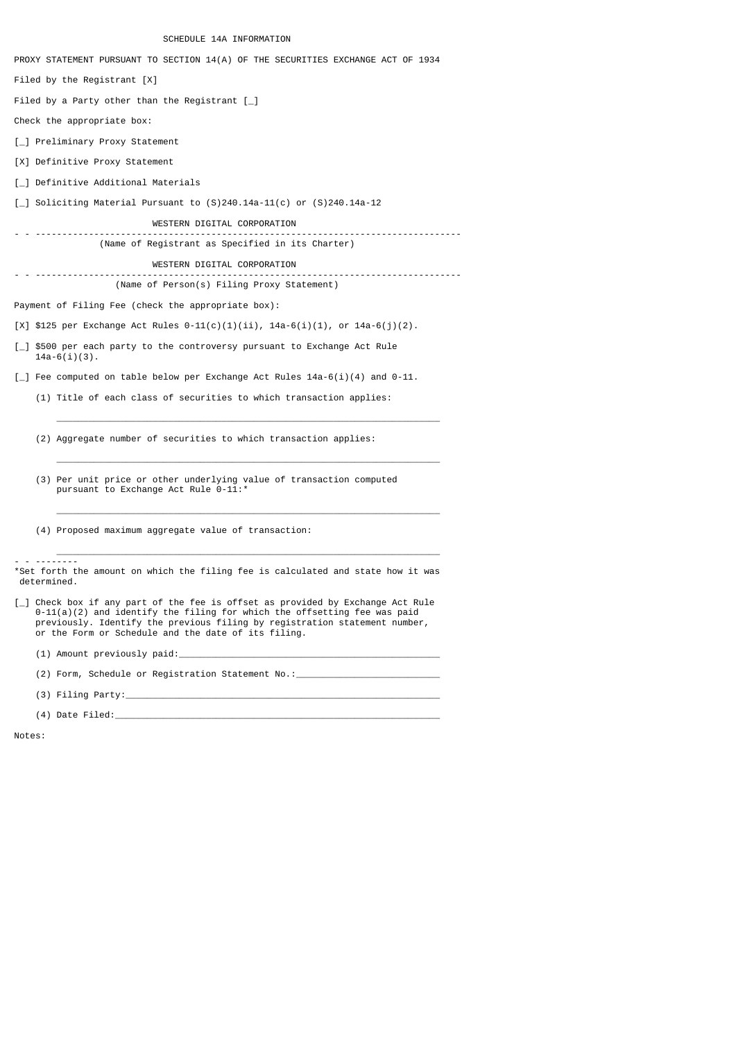SCHEDULE 14A INFORMATION

PROXY STATEMENT PURSUANT TO SECTION 14(A) OF THE SECURITIES EXCHANGE ACT OF 1934 Filed by the Registrant [X] Filed by a Party other than the Registrant [\_] Check the appropriate box: [\_] Preliminary Proxy Statement [X] Definitive Proxy Statement [\_] Definitive Additional Materials [\_] Soliciting Material Pursuant to (S)240.14a-11(c) or (S)240.14a-12 WESTERN DIGITAL CORPORATION - - -------------------------------------------------------------------------------- (Name of Registrant as Specified in its Charter) WESTERN DIGITAL CORPORATION - - -------------------------------------------------------------------------------- (Name of Person(s) Filing Proxy Statement) Payment of Filing Fee (check the appropriate box): [X] \$125 per Exchange Act Rules  $0-11(c)(1)(ii)$ ,  $14a-6(i)(1)$ , or  $14a-6(j)(2)$ . [\_] \$500 per each party to the controversy pursuant to Exchange Act Rule  $14a-6(i)(3)$ .  $\lceil \frac{1}{2} \rceil$  Fee computed on table below per Exchange Act Rules 14a-6(i)(4) and 0-11. (1) Title of each class of securities to which transaction applies: \_\_\_\_\_\_\_\_\_\_\_\_\_\_\_\_\_\_\_\_\_\_\_\_\_\_\_\_\_\_\_\_\_\_\_\_\_\_\_\_\_\_\_\_\_\_\_\_\_\_\_\_\_\_\_\_\_\_\_\_\_\_\_\_\_\_\_\_\_\_\_\_ (2) Aggregate number of securities to which transaction applies: \_\_\_\_\_\_\_\_\_\_\_\_\_\_\_\_\_\_\_\_\_\_\_\_\_\_\_\_\_\_\_\_\_\_\_\_\_\_\_\_\_\_\_\_\_\_\_\_\_\_\_\_\_\_\_\_\_\_\_\_\_\_\_\_\_\_\_\_\_\_\_\_ (3) Per unit price or other underlying value of transaction computed pursuant to Exchange Act Rule 0-11:\* \_\_\_\_\_\_\_\_\_\_\_\_\_\_\_\_\_\_\_\_\_\_\_\_\_\_\_\_\_\_\_\_\_\_\_\_\_\_\_\_\_\_\_\_\_\_\_\_\_\_\_\_\_\_\_\_\_\_\_\_\_\_\_\_\_\_\_\_\_\_\_\_ (4) Proposed maximum aggregate value of transaction: \_\_\_\_\_\_\_\_\_\_\_\_\_\_\_\_\_\_\_\_\_\_\_\_\_\_\_\_\_\_\_\_\_\_\_\_\_\_\_\_\_\_\_\_\_\_\_\_\_\_\_\_\_\_\_\_\_\_\_\_\_\_\_\_\_\_\_\_\_\_\_\_ - - -------- \*Set forth the amount on which the filing fee is calculated and state how it was determined. [\_] Check box if any part of the fee is offset as provided by Exchange Act Rule 0-11(a)(2) and identify the filing for which the offsetting fee was paid previously. Identify the previous filing by registration statement number, or the Form or Schedule and the date of its filing.

(1) Amount previously paid:\_\_\_\_\_\_\_\_\_\_\_\_\_\_\_\_\_\_\_\_\_\_\_\_\_\_\_\_\_\_\_\_\_\_\_\_\_\_\_\_\_\_\_\_\_\_\_\_\_

 $(2)$  Form, Schedule or Registration Statement No.:

 $(3)$  Filing Party:

(4) Date Filed: $\sqsubseteq$ 

Notes: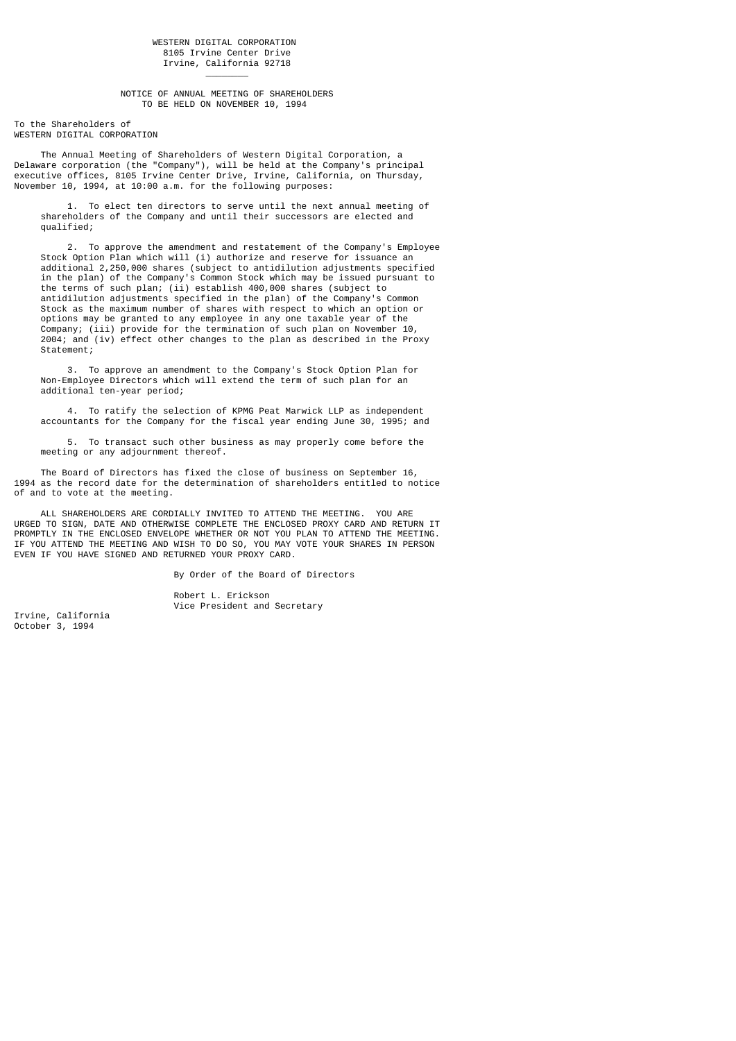NOTICE OF ANNUAL MEETING OF SHAREHOLDERS TO BE HELD ON NOVEMBER 10, 1994

To the Shareholders of WESTERN DIGITAL CORPORATION

\_\_\_\_\_\_\_\_

 The Annual Meeting of Shareholders of Western Digital Corporation, a Delaware corporation (the "Company"), will be held at the Company's principal executive offices, 8105 Irvine Center Drive, Irvine, California, on Thursday, November 10, 1994, at 10:00 a.m. for the following purposes:

 1. To elect ten directors to serve until the next annual meeting of shareholders of the Company and until their successors are elected and qualified;

 2. To approve the amendment and restatement of the Company's Employee Stock Option Plan which will (i) authorize and reserve for issuance an additional 2,250,000 shares (subject to antidilution adjustments specified in the plan) of the Company's Common Stock which may be issued pursuant to the terms of such plan; (ii) establish 400,000 shares (subject to antidilution adjustments specified in the plan) of the Company's Common Stock as the maximum number of shares with respect to which an option or options may be granted to any employee in any one taxable year of the Company; (iii) provide for the termination of such plan on November 10, 2004; and (iv) effect other changes to the plan as described in the Proxy Statement;

 3. To approve an amendment to the Company's Stock Option Plan for Non-Employee Directors which will extend the term of such plan for an additional ten-year period;

 4. To ratify the selection of KPMG Peat Marwick LLP as independent accountants for the Company for the fiscal year ending June 30, 1995; and

 5. To transact such other business as may properly come before the meeting or any adjournment thereof.

 The Board of Directors has fixed the close of business on September 16, 1994 as the record date for the determination of shareholders entitled to notice of and to vote at the meeting.

 ALL SHAREHOLDERS ARE CORDIALLY INVITED TO ATTEND THE MEETING. YOU ARE URGED TO SIGN, DATE AND OTHERWISE COMPLETE THE ENCLOSED PROXY CARD AND RETURN IT PROMPTLY IN THE ENCLOSED ENVELOPE WHETHER OR NOT YOU PLAN TO ATTEND THE MEETING. IF YOU ATTEND THE MEETING AND WISH TO DO SO, YOU MAY VOTE YOUR SHARES IN PERSON EVEN IF YOU HAVE SIGNED AND RETURNED YOUR PROXY CARD.

Robert L. Erickson

By Order of the Board of Directors

Irvine, California October 3, 1994

Vice President and Secretary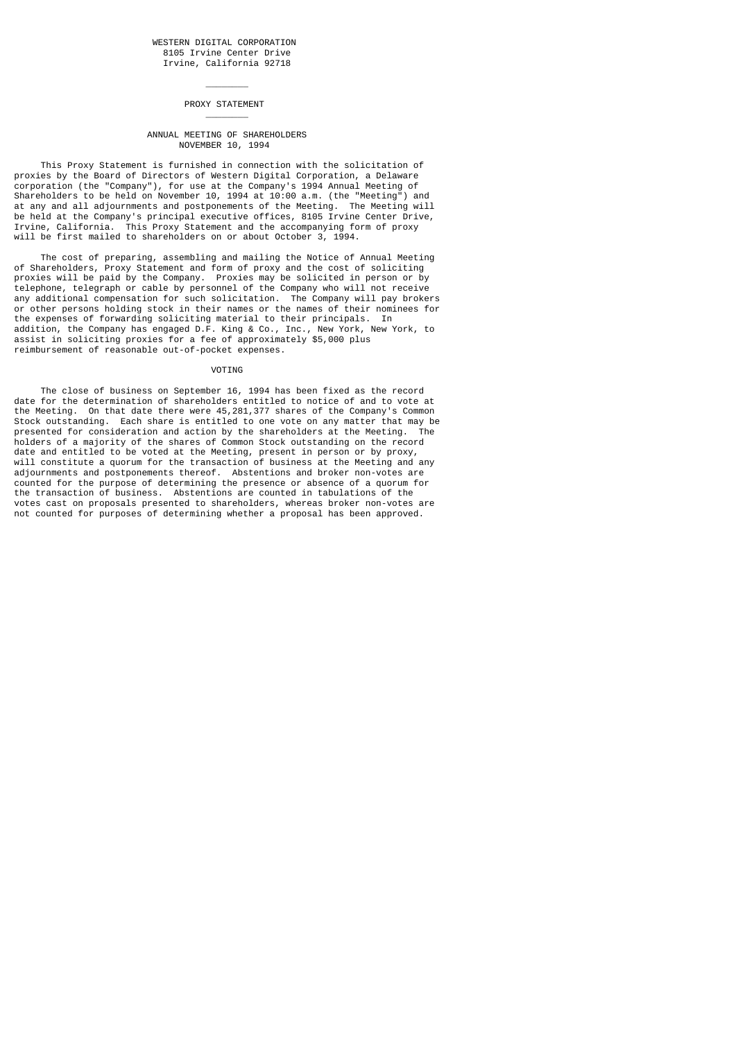PROXY STATEMENT

\_\_\_\_\_\_\_\_

\_\_\_\_\_\_\_\_

### ANNUAL MEETING OF SHAREHOLDERS NOVEMBER 10, 1994

 This Proxy Statement is furnished in connection with the solicitation of proxies by the Board of Directors of Western Digital Corporation, a Delaware corporation (the "Company"), for use at the Company's 1994 Annual Meeting of Shareholders to be held on November 10, 1994 at 10:00 a.m. (the "Meeting") and at any and all adjournments and postponements of the Meeting. The Meeting will be held at the Company's principal executive offices, 8105 Irvine Center Drive, Irvine, California. This Proxy Statement and the accompanying form of proxy will be first mailed to shareholders on or about October 3, 1994.

 The cost of preparing, assembling and mailing the Notice of Annual Meeting of Shareholders, Proxy Statement and form of proxy and the cost of soliciting proxies will be paid by the Company. Proxies may be solicited in person or by telephone, telegraph or cable by personnel of the Company who will not receive any additional compensation for such solicitation. The Company will pay brokers or other persons holding stock in their names or the names of their nominees for the expenses of forwarding soliciting material to their principals. In addition, the Company has engaged D.F. King & Co., Inc., New York, New York, to assist in soliciting proxies for a fee of approximately \$5,000 plus reimbursement of reasonable out-of-pocket expenses.

## **VOTTNG**

 The close of business on September 16, 1994 has been fixed as the record date for the determination of shareholders entitled to notice of and to vote at the Meeting. On that date there were 45,281,377 shares of the Company's Common Stock outstanding. Each share is entitled to one vote on any matter that may be presented for consideration and action by the shareholders at the Meeting. The holders of a majority of the shares of Common Stock outstanding on the record date and entitled to be voted at the Meeting, present in person or by proxy, will constitute a quorum for the transaction of business at the Meeting and any adjournments and postponements thereof. Abstentions and broker non-votes are counted for the purpose of determining the presence or absence of a quorum for the transaction of business. Abstentions are counted in tabulations of the votes cast on proposals presented to shareholders, whereas broker non-votes are not counted for purposes of determining whether a proposal has been approved.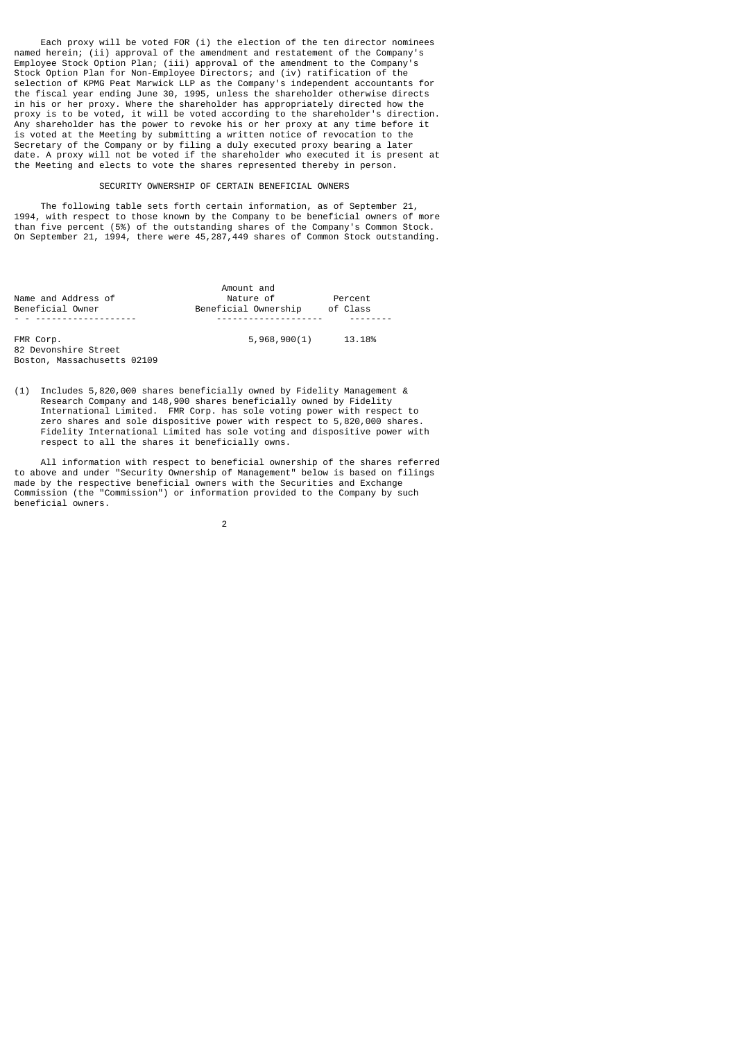Each proxy will be voted FOR (i) the election of the ten director nominees named herein; (ii) approval of the amendment and restatement of the Company's Employee Stock Option Plan; (iii) approval of the amendment to the Company Stock Option Plan for Non-Employee Directors; and (iv) ratification of the selection of KPMG Peat Marwick LLP as the Company's independent accountants for the fiscal year ending June 30, 1995, unless the shareholder otherwise directs in his or her proxy. Where the shareholder has appropriately directed how the proxy is to be voted, it will be voted according to the shareholder's direction. Any shareholder has the power to revoke his or her proxy at any time before it is voted at the Meeting by submitting a written notice of revocation to the Secretary of the Company or by filing a duly executed proxy bearing a later date. A proxy will not be voted if the shareholder who executed it is present at the Meeting and elects to vote the shares represented thereby in person.

### SECURITY OWNERSHIP OF CERTAIN BENEFICIAL OWNERS

 The following table sets forth certain information, as of September 21, 1994, with respect to those known by the Company to be beneficial owners of more than five percent (5%) of the outstanding shares of the Company's Common Stock. On September 21, 1994, there were 45,287,449 shares of Common Stock outstanding.

|                             | Amount and           |          |
|-----------------------------|----------------------|----------|
| Name and Address of         | Nature of            | Percent  |
| Beneficial Owner            | Beneficial Ownership | of Class |
| .                           | ----------------     |          |
| FMR Corp.                   | 5,968,900(1)         | 13.18%   |
| 82 Devonshire Street        |                      |          |
| Boston, Massachusetts 02109 |                      |          |

(1) Includes 5,820,000 shares beneficially owned by Fidelity Management & Research Company and 148,900 shares beneficially owned by Fidelity International Limited. FMR Corp. has sole voting power with respect to zero shares and sole dispositive power with respect to 5,820,000 shares. Fidelity International Limited has sole voting and dispositive power with respect to all the shares it beneficially owns.

 All information with respect to beneficial ownership of the shares referred to above and under "Security Ownership of Management" below is based on filings made by the respective beneficial owners with the Securities and Exchange Commission (the "Commission") or information provided to the Company by such beneficial owners.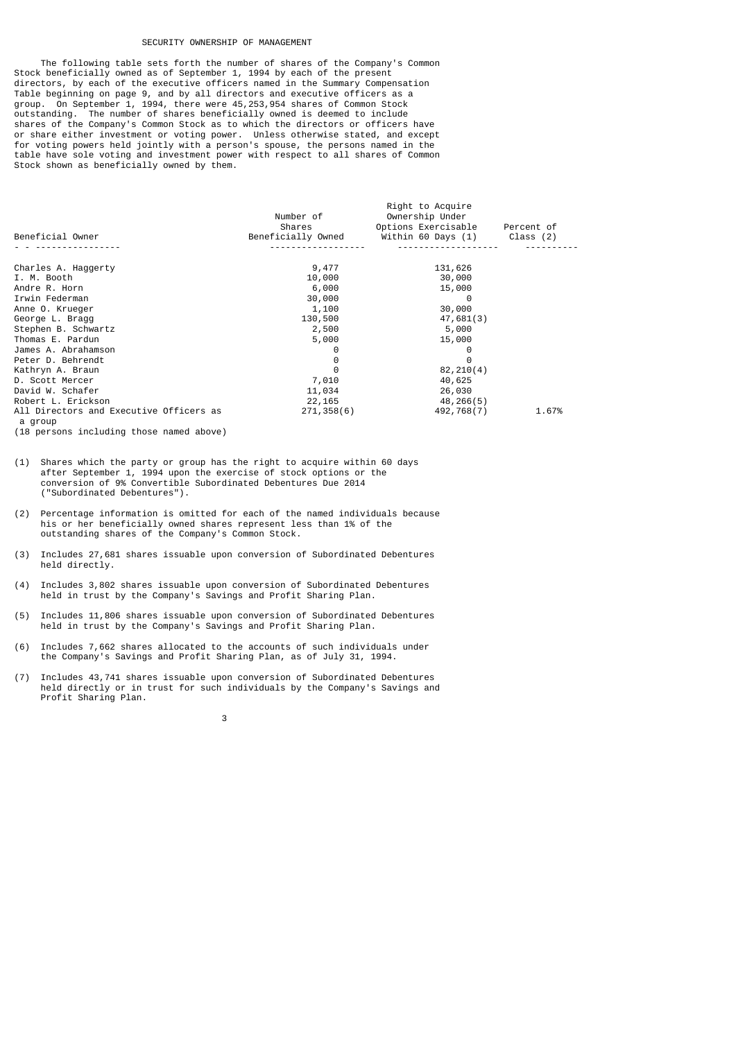### SECURITY OWNERSHIP OF MANAGEMENT

 The following table sets forth the number of shares of the Company's Common Stock beneficially owned as of September 1, 1994 by each of the present directors, by each of the executive officers named in the Summary Compensation Table beginning on page 9, and by all directors and executive officers as a group. On September 1, 1994, there were 45,253,954 shares of Common Stock outstanding. The number of shares beneficially owned is deemed to include shares of the Company's Common Stock as to which the directors or officers have or share either investment or voting power. Unless otherwise stated, and except for voting powers held jointly with a person's spouse, the persons named in the table have sole voting and investment power with respect to all shares of Common Stock shown as beneficially owned by them.

| Beneficial Owner                                   | Number of<br>Shares<br>Beneficially Owned | Right to Acquire<br>Ownership Under<br>Options Exercisable<br>Within 60 Days (1) | Percent of<br>Class $(2)$ |
|----------------------------------------------------|-------------------------------------------|----------------------------------------------------------------------------------|---------------------------|
|                                                    |                                           |                                                                                  |                           |
| Charles A. Haggerty                                | 9,477                                     | 131,626                                                                          |                           |
| I. M. Booth                                        | 10,000                                    | 30,000                                                                           |                           |
| Andre R. Horn                                      | 6,000                                     | 15,000                                                                           |                           |
| Irwin Federman                                     | 30,000                                    | 0                                                                                |                           |
| Anne O. Krueger                                    | 1,100                                     | 30,000                                                                           |                           |
| George L. Bragg                                    | 130,500                                   | 47,681(3)                                                                        |                           |
| Stephen B. Schwartz                                | 2,500                                     | 5,000                                                                            |                           |
| Thomas E. Pardun                                   | 5,000                                     | 15,000                                                                           |                           |
| James A. Abrahamson                                |                                           | 0                                                                                |                           |
| Peter D. Behrendt                                  | 0                                         | 0                                                                                |                           |
| Kathryn A. Braun                                   | 0                                         | 82, 210(4)                                                                       |                           |
| D. Scott Mercer                                    | 7,010                                     | 40,625                                                                           |                           |
| David W. Schafer                                   | 11,034                                    | 26,030                                                                           |                           |
| Robert L. Erickson                                 | 22,165                                    | 48,266(5)                                                                        |                           |
| All Directors and Executive Officers as<br>a group | 271, 358(6)                               | 492,768(7)                                                                       | 1.67%                     |

(18 persons including those named above)

- (1) Shares which the party or group has the right to acquire within 60 days after September 1, 1994 upon the exercise of stock options or the conversion of 9% Convertible Subordinated Debentures Due 2014 ("Subordinated Debentures").
- (2) Percentage information is omitted for each of the named individuals because his or her beneficially owned shares represent less than 1% of the outstanding shares of the Company's Common Stock.
- (3) Includes 27,681 shares issuable upon conversion of Subordinated Debentures held directly.
- (4) Includes 3,802 shares issuable upon conversion of Subordinated Debentures held in trust by the Company's Savings and Profit Sharing Plan.
- (5) Includes 11,806 shares issuable upon conversion of Subordinated Debentures held in trust by the Company's Savings and Profit Sharing Plan.
- (6) Includes 7,662 shares allocated to the accounts of such individuals under the Company's Savings and Profit Sharing Plan, as of July 31, 1994.
- (7) Includes 43,741 shares issuable upon conversion of Subordinated Debentures held directly or in trust for such individuals by the Company's Savings and Profit Sharing Plan.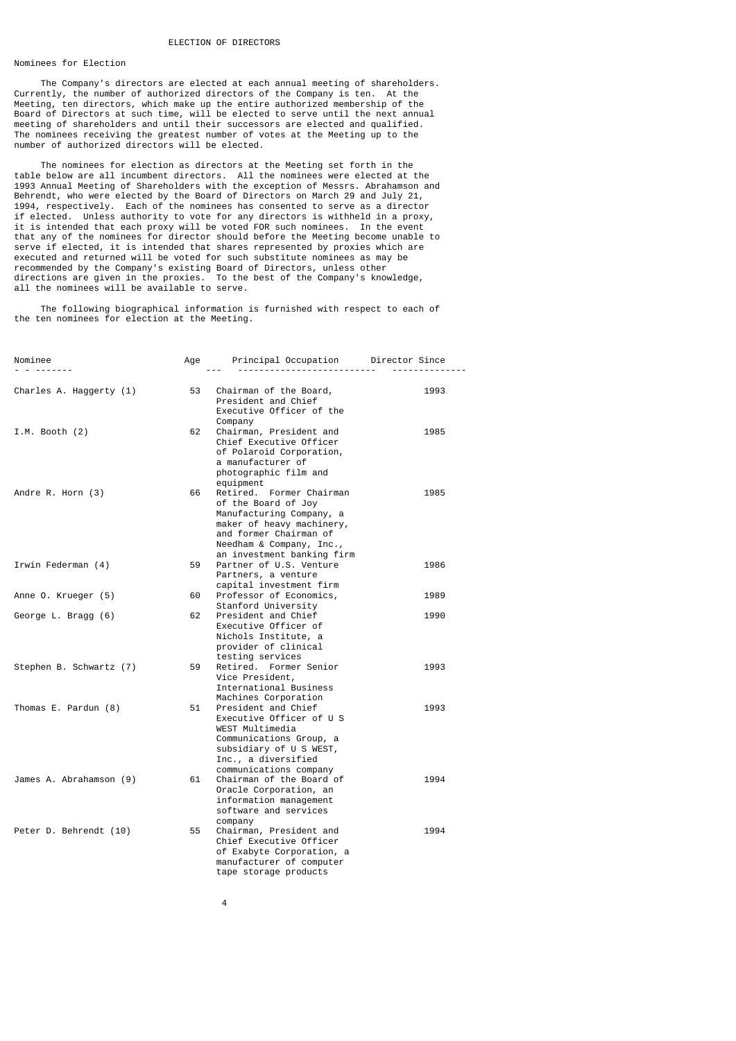### Nominees for Election

 The Company's directors are elected at each annual meeting of shareholders. Currently, the number of authorized directors of the Company is ten. At the Meeting, ten directors, which make up the entire authorized membership of the Board of Directors at such time, will be elected to serve until the next annual meeting of shareholders and until their successors are elected and qualified. The nominees receiving the greatest number of votes at the Meeting up to the number of authorized directors will be elected.

 The nominees for election as directors at the Meeting set forth in the table below are all incumbent directors. All the nominees were elected at the 1993 Annual Meeting of Shareholders with the exception of Messrs. Abrahamson and Behrendt, who were elected by the Board of Directors on March 29 and July 21, 1994, respectively. Each of the nominees has consented to serve as a director if elected. Unless authority to vote for any directors is withheld in a proxy, it is intended that each proxy will be voted FOR such nominees. In the event that any of the nominees for director should before the Meeting become unable to serve if elected, it is intended that shares represented by proxies which are executed and returned will be voted for such substitute nominees as may be recommended by the Company's existing Board of Directors, unless other directions are given in the proxies. To the best of the Company's knowledge, all the nominees will be available to serve.

 The following biographical information is furnished with respect to each of the ten nominees for election at the Meeting.

| Nominee<br>.            | Age | Principal Occupation      Director Since<br>. <u>.</u>                                                                                                                                       |      |
|-------------------------|-----|----------------------------------------------------------------------------------------------------------------------------------------------------------------------------------------------|------|
| Charles A. Haggerty (1) | 53  | Chairman of the Board,<br>President and Chief<br>Executive Officer of the<br>Company                                                                                                         | 1993 |
| I.M. Booth $(2)$        | 62  | Chairman, President and<br>Chief Executive Officer<br>of Polaroid Corporation,<br>a manufacturer of<br>photographic film and<br>equipment                                                    | 1985 |
| Andre R. Horn (3)       | 66  | Retired. Former Chairman<br>of the Board of Joy<br>Manufacturing Company, a<br>maker of heavy machinery,<br>and former Chairman of<br>Needham & Company, Inc.,<br>an investment banking firm | 1985 |
| Irwin Federman (4)      | 59  | Partner of U.S. Venture<br>Partners, a venture<br>capital investment firm                                                                                                                    | 1986 |
| Anne O. Krueger (5)     | 60  | Professor of Economics,<br>Stanford University                                                                                                                                               | 1989 |
| George L. Bragg (6)     | 62  | President and Chief<br>Executive Officer of<br>Nichols Institute, a<br>provider of clinical<br>testing services                                                                              | 1990 |
| Stephen B. Schwartz (7) | 59  | Retired, Former Senior<br>Vice President,<br>International Business<br>Machines Corporation                                                                                                  | 1993 |
| Thomas E. Pardun (8)    | 51  | President and Chief<br>Executive Officer of U S<br>WEST Multimedia<br>Communications Group, a<br>subsidiary of U S WEST,<br>Inc., a diversified<br>communications company                    | 1993 |
| James A. Abrahamson (9) | 61  | Chairman of the Board of<br>Oracle Corporation, an<br>information management<br>software and services<br>company                                                                             | 1994 |
| Peter D. Behrendt (10)  | 55  | Chairman, President and<br>Chief Executive Officer<br>of Exabyte Corporation, a<br>manufacturer of computer<br>tape storage products                                                         | 1994 |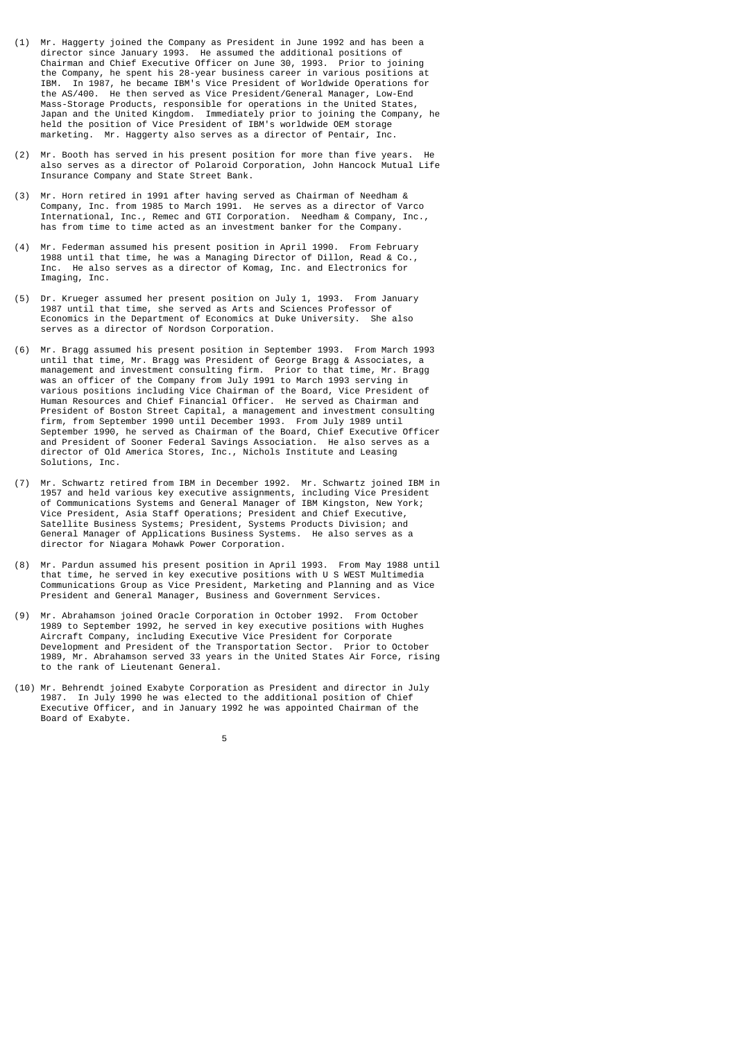- (1) Mr. Haggerty joined the Company as President in June 1992 and has been a director since January 1993. He assumed the additional positions of Chairman and Chief Executive Officer on June 30, 1993. Prior to joining the Company, he spent his 28-year business career in various positions at IBM. In 1987, he became IBM's Vice President of Worldwide Operations for the AS/400. He then served as Vice President/General Manager, Low-End Mass-Storage Products, responsible for operations in the United States, Japan and the United Kingdom. Immediately prior to joining the Company, he held the position of Vice President of IBM's worldwide OEM storage marketing. Mr. Haggerty also serves as a director of Pentair, Inc.
- (2) Mr. Booth has served in his present position for more than five years. He also serves as a director of Polaroid Corporation, John Hancock Mutual Life Insurance Company and State Street Bank.
- (3) Mr. Horn retired in 1991 after having served as Chairman of Needham & Company, Inc. from 1985 to March 1991. He serves as a director of Varco International, Inc., Remec and GTI Corporation. Needham & Company, Inc., has from time to time acted as an investment banker for the Company.
- (4) Mr. Federman assumed his present position in April 1990. From February 1988 until that time, he was a Managing Director of Dillon, Read & Co., Inc. He also serves as a director of Komag, Inc. and Electronics for Imaging, Inc.
- (5) Dr. Krueger assumed her present position on July 1, 1993. From January 1987 until that time, she served as Arts and Sciences Professor of Economics in the Department of Economics at Duke University. She also serves as a director of Nordson Corporation.
- (6) Mr. Bragg assumed his present position in September 1993. From March 1993 until that time, Mr. Bragg was President of George Bragg & Associates, a management and investment consulting firm. Prior to that time, Mr. Bragg was an officer of the Company from July 1991 to March 1993 serving in various positions including Vice Chairman of the Board, Vice President of Human Resources and Chief Financial Officer. He served as Chairman and President of Boston Street Capital, a management and investment consulting firm, from September 1990 until December 1993. From July 1989 until September 1990, he served as Chairman of the Board, Chief Executive Officer and President of Sooner Federal Savings Association. He also serves as a director of Old America Stores, Inc., Nichols Institute and Leasing Solutions, Inc.
- (7) Mr. Schwartz retired from IBM in December 1992. Mr. Schwartz joined IBM in 1957 and held various key executive assignments, including Vice President of Communications Systems and General Manager of IBM Kingston, New York; Vice President, Asia Staff Operations; President and Chief Executive, Satellite Business Systems; President, Systems Products Division; and General Manager of Applications Business Systems. He also serves as a director for Niagara Mohawk Power Corporation.
- (8) Mr. Pardun assumed his present position in April 1993. From May 1988 until that time, he served in key executive positions with U S WEST Multimedia Communications Group as Vice President, Marketing and Planning and as Vice President and General Manager, Business and Government Services.
- (9) Mr. Abrahamson joined Oracle Corporation in October 1992. From October 1989 to September 1992, he served in key executive positions with Hughes Aircraft Company, including Executive Vice President for Corporate Development and President of the Transportation Sector. Prior to October 1989, Mr. Abrahamson served 33 years in the United States Air Force, rising to the rank of Lieutenant General.
- (10) Mr. Behrendt joined Exabyte Corporation as President and director in July 1987. In July 1990 he was elected to the additional position of Chief Executive Officer, and in January 1992 he was appointed Chairman of the Board of Exabyte.

the contract of the contract of the contract of the contract of the contract of the contract of the contract o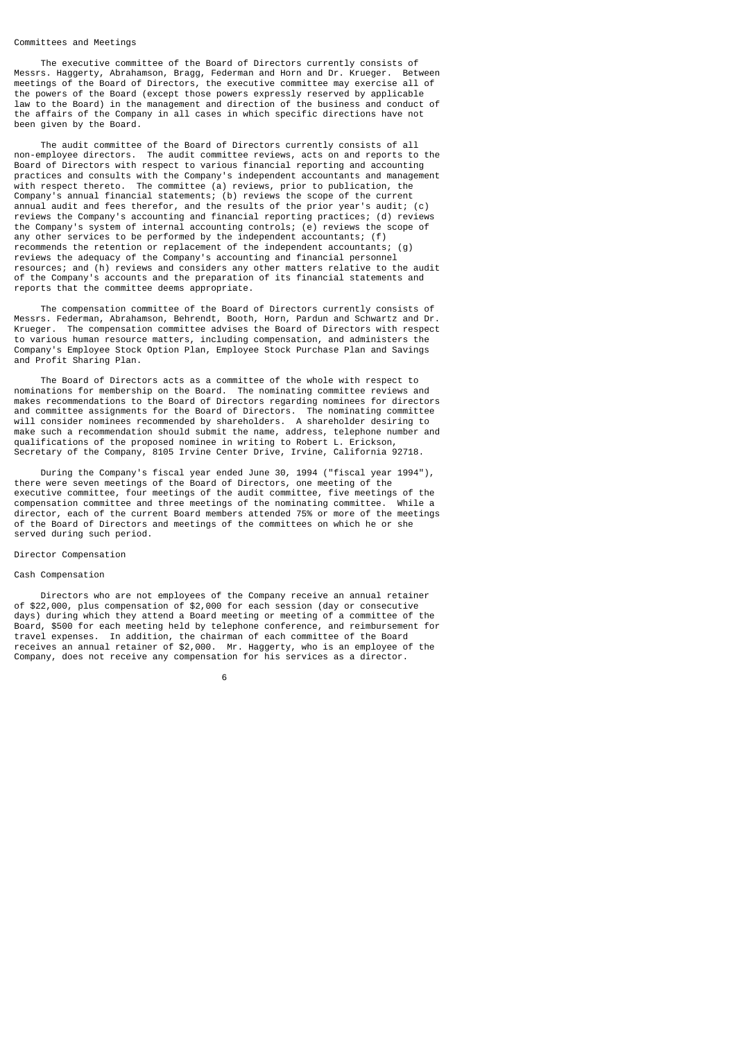### Committees and Meetings

 The executive committee of the Board of Directors currently consists of Messrs. Haggerty, Abrahamson, Bragg, Federman and Horn and Dr. Krueger. Between meetings of the Board of Directors, the executive committee may exercise all of the powers of the Board (except those powers expressly reserved by applicable law to the Board) in the management and direction of the business and conduct of the affairs of the Company in all cases in which specific directions have not been given by the Board.

 The audit committee of the Board of Directors currently consists of all non-employee directors. The audit committee reviews, acts on and reports to the Board of Directors with respect to various financial reporting and accounting practices and consults with the Company's independent accountants and management with respect thereto. The committee (a) reviews, prior to publication, the Company's annual financial statements; (b) reviews the scope of the current annual audit and fees therefor, and the results of the prior year's audit; (c) reviews the Company's accounting and financial reporting practices; (d) reviews the Company's system of internal accounting controls; (e) reviews the scope of any other services to be performed by the independent accountants; (f) recommends the retention or replacement of the independent accountants; (g) reviews the adequacy of the Company's accounting and financial personnel resources; and (h) reviews and considers any other matters relative to the audit of the Company's accounts and the preparation of its financial statements and reports that the committee deems appropriate.

 The compensation committee of the Board of Directors currently consists of Messrs. Federman, Abrahamson, Behrendt, Booth, Horn, Pardun and Schwartz and Dr. Krueger. The compensation committee advises the Board of Directors with respect to various human resource matters, including compensation, and administers the Company's Employee Stock Option Plan, Employee Stock Purchase Plan and Savings and Profit Sharing Plan.

 The Board of Directors acts as a committee of the whole with respect to nominations for membership on the Board. The nominating committee reviews and makes recommendations to the Board of Directors regarding nominees for directors and committee assignments for the Board of Directors. The nominating committee will consider nominees recommended by shareholders. A shareholder desiring to make such a recommendation should submit the name, address, telephone number and qualifications of the proposed nominee in writing to Robert L. Erickson, Secretary of the Company, 8105 Irvine Center Drive, Irvine, California 92718.

 During the Company's fiscal year ended June 30, 1994 ("fiscal year 1994"), there were seven meetings of the Board of Directors, one meeting of the executive committee, four meetings of the audit committee, five meetings of the compensation committee and three meetings of the nominating committee. While a director, each of the current Board members attended 75% or more of the meetings of the Board of Directors and meetings of the committees on which he or she served during such period.

#### Director Compensation

# Cash Compensation

 Directors who are not employees of the Company receive an annual retainer of \$22,000, plus compensation of \$2,000 for each session (day or consecutive days) during which they attend a Board meeting or meeting of a committee of the Board, \$500 for each meeting held by telephone conference, and reimbursement for travel expenses. In addition, the chairman of each committee of the Board receives an annual retainer of \$2,000. Mr. Haggerty, who is an employee of the Company, does not receive any compensation for his services as a director.

 $\sim$  6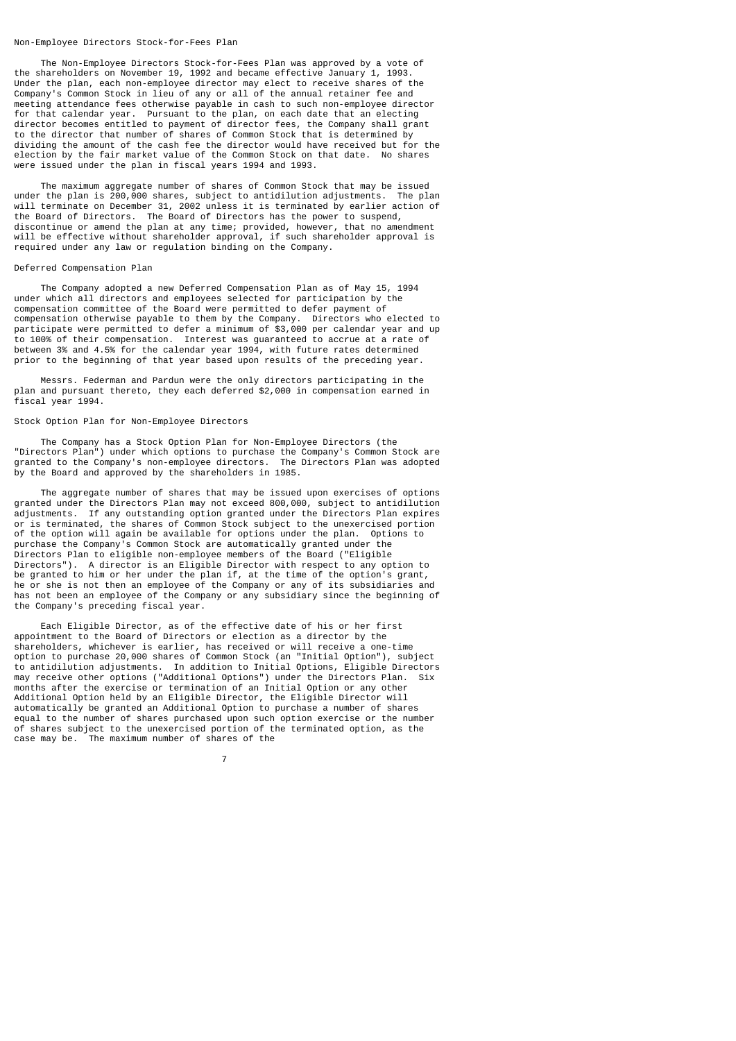#### Non-Employee Directors Stock-for-Fees Plan

 The Non-Employee Directors Stock-for-Fees Plan was approved by a vote of the shareholders on November 19, 1992 and became effective January 1, 1993. Under the plan, each non-employee director may elect to receive shares of the Company's Common Stock in lieu of any or all of the annual retainer fee and meeting attendance fees otherwise payable in cash to such non-employee director for that calendar year. Pursuant to the plan, on each date that an electing director becomes entitled to payment of director fees, the Company shall grant to the director that number of shares of Common Stock that is determined by dividing the amount of the cash fee the director would have received but for the election by the fair market value of the Common Stock on that date. No shares were issued under the plan in fiscal years 1994 and 1993.

 The maximum aggregate number of shares of Common Stock that may be issued under the plan is 200,000 shares, subject to antidilution adjustments. The plan will terminate on December 31, 2002 unless it is terminated by earlier action of the Board of Directors. The Board of Directors has the power to suspend, discontinue or amend the plan at any time; provided, however, that no amendment will be effective without shareholder approval, if such shareholder approval is required under any law or regulation binding on the Company.

## Deferred Compensation Plan

 The Company adopted a new Deferred Compensation Plan as of May 15, 1994 under which all directors and employees selected for participation by the compensation committee of the Board were permitted to defer payment of compensation otherwise payable to them by the Company. Directors who elected to participate were permitted to defer a minimum of \$3,000 per calendar year and up to 100% of their compensation. Interest was guaranteed to accrue at a rate of between 3% and 4.5% for the calendar year 1994, with future rates determined prior to the beginning of that year based upon results of the preceding year.

 Messrs. Federman and Pardun were the only directors participating in the plan and pursuant thereto, they each deferred \$2,000 in compensation earned in fiscal year 1994.

## Stock Option Plan for Non-Employee Directors

7

 The Company has a Stock Option Plan for Non-Employee Directors (the "Directors Plan") under which options to purchase the Company's Common Stock are granted to the Company's non-employee directors. The Directors Plan was adopted by the Board and approved by the shareholders in 1985.

 The aggregate number of shares that may be issued upon exercises of options granted under the Directors Plan may not exceed 800,000, subject to antidilution adjustments. If any outstanding option granted under the Directors Plan expires or is terminated, the shares of Common Stock subject to the unexercised portion of the option will again be available for options under the plan. Options to purchase the Company's Common Stock are automatically granted under the Directors Plan to eligible non-employee members of the Board ("Eligible Directors"). A director is an Eligible Director with respect to any option to be granted to him or her under the plan if, at the time of the option's grant, he or she is not then an employee of the Company or any of its subsidiaries and has not been an employee of the Company or any subsidiary since the beginning of the Company's preceding fiscal year.

 Each Eligible Director, as of the effective date of his or her first appointment to the Board of Directors or election as a director by the shareholders, whichever is earlier, has received or will receive a one-time option to purchase 20,000 shares of Common Stock (an "Initial Option"), subject to antidilution adjustments. In addition to Initial Options, Eligible Directors may receive other options ("Additional Options") under the Directors Plan. Six months after the exercise or termination of an Initial Option or any other Additional Option held by an Eligible Director, the Eligible Director will automatically be granted an Additional Option to purchase a number of shares equal to the number of shares purchased upon such option exercise or the number of shares subject to the unexercised portion of the terminated option, as the case may be. The maximum number of shares of the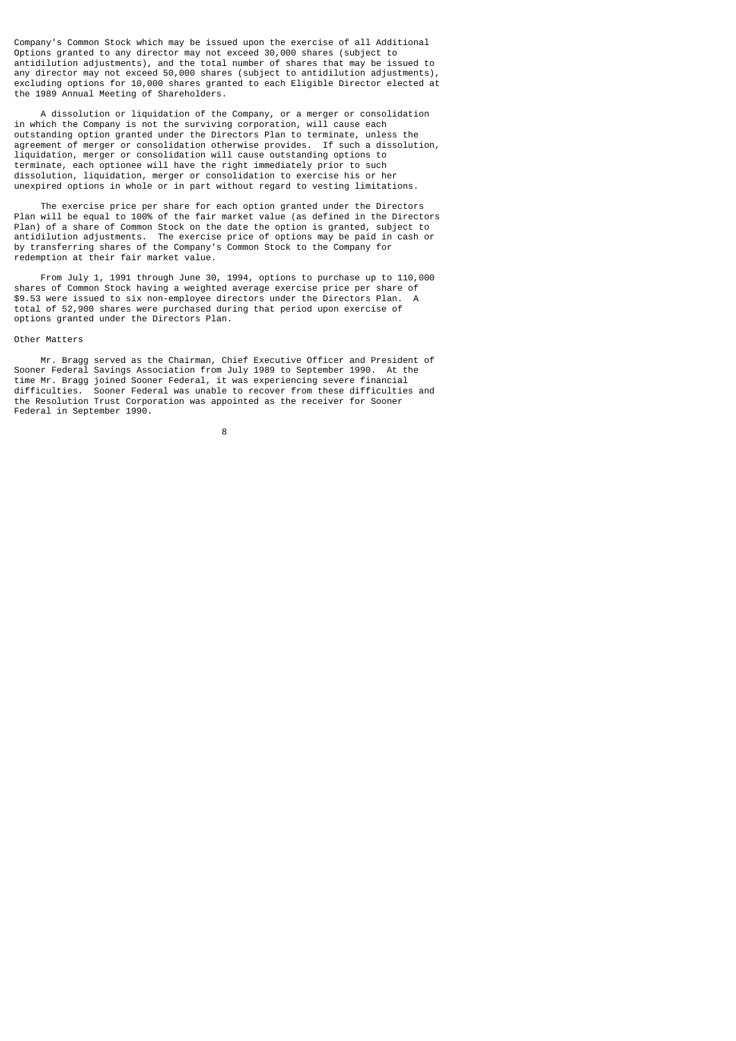Company's Common Stock which may be issued upon the exercise of all Additional Options granted to any director may not exceed 30,000 shares (subject to antidilution adjustments), and the total number of shares that may be issued to any director may not exceed 50,000 shares (subject to antidilution adjustments), excluding options for 10,000 shares granted to each Eligible Director elected at the 1989 Annual Meeting of Shareholders.

 A dissolution or liquidation of the Company, or a merger or consolidation in which the Company is not the surviving corporation, will cause each outstanding option granted under the Directors Plan to terminate, unless the agreement of merger or consolidation otherwise provides. If such a dissolution, liquidation, merger or consolidation will cause outstanding options to terminate, each optionee will have the right immediately prior to such dissolution, liquidation, merger or consolidation to exercise his or her unexpired options in whole or in part without regard to vesting limitations.

 The exercise price per share for each option granted under the Directors Plan will be equal to 100% of the fair market value (as defined in the Directors Plan) of a share of Common Stock on the date the option is granted, subject to antidilution adjustments. The exercise price of options may be paid in cash or by transferring shares of the Company's Common Stock to the Company for redemption at their fair market value.

 From July 1, 1991 through June 30, 1994, options to purchase up to 110,000 shares of Common Stock having a weighted average exercise price per share of \$9.53 were issued to six non-employee directors under the Directors Plan. A total of 52,900 shares were purchased during that period upon exercise of options granted under the Directors Plan.

#### Other Matters

 Mr. Bragg served as the Chairman, Chief Executive Officer and President of Sooner Federal Savings Association from July 1989 to September 1990. At the time Mr. Bragg joined Sooner Federal, it was experiencing severe financial difficulties. Sooner Federal was unable to recover from these difficulties and the Resolution Trust Corporation was appointed as the receiver for Sooner Federal in September 1990.

en andere de la provincia de la provincia de la provincia de la provincia de la provincia de la provincia del<br>En 1888, en 1888, en 1888, en 1888, en 1888, en 1888, en 1888, en 1888, en 1888, en 1888, en 1888, en 1888, en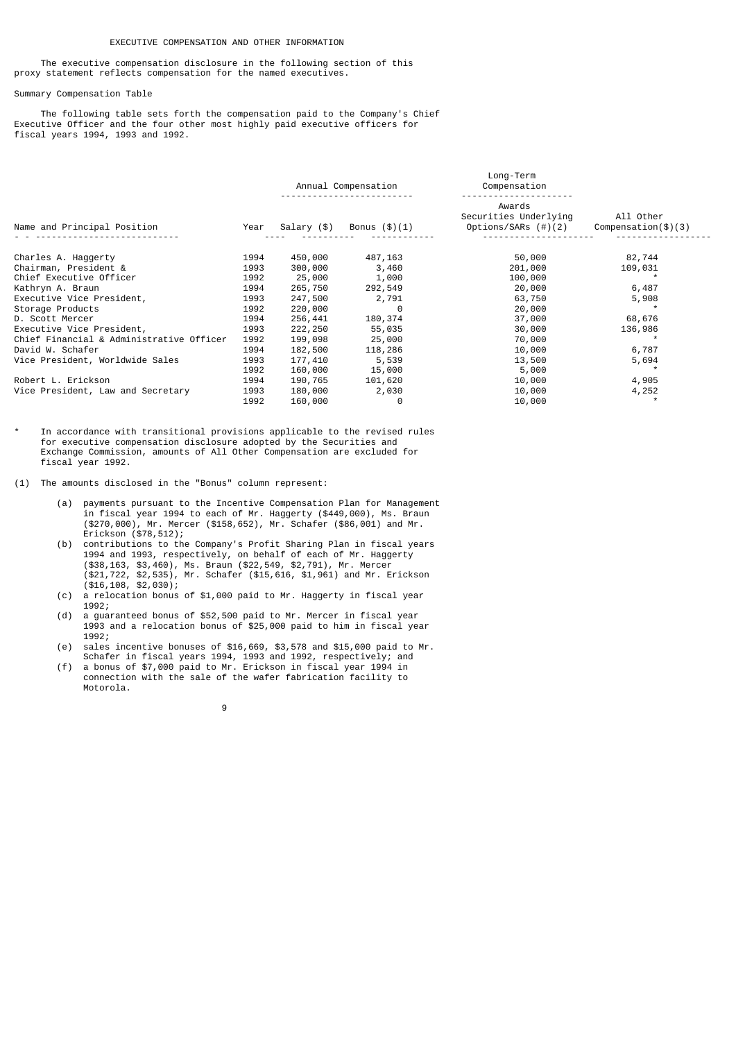### EXECUTIVE COMPENSATION AND OTHER INFORMATION

 The executive compensation disclosure in the following section of this proxy statement reflects compensation for the named executives.

# Summary Compensation Table

 The following table sets forth the compensation paid to the Company's Chief Executive Officer and the four other most highly paid executive officers for fiscal years 1994, 1993 and 1992.

| Name and Principal Position              |      | Annual Compensation |                 | Long-Term<br>Compensation                              |                            |  |
|------------------------------------------|------|---------------------|-----------------|--------------------------------------------------------|----------------------------|--|
|                                          |      | Salary (\$)         | Bonus $(\$)(1)$ | Awards<br>Securities Underlying<br>Options/SARs (#)(2) | All Other<br>Comparison(3) |  |
| Charles A. Haggerty                      | 1994 | 450,000             | 487,163         | 50,000                                                 | 82,744                     |  |
| Chairman, President &                    | 1993 | 300,000             | 3,460           | 201,000                                                | 109,031                    |  |
| Chief Executive Officer                  | 1992 | 25,000              | 1,000           | 100,000                                                |                            |  |
| Kathryn A. Braun                         | 1994 | 265,750             | 292,549         | 20,000                                                 | 6,487                      |  |
| Executive Vice President,                | 1993 | 247,500             | 2,791           | 63,750                                                 | 5,908                      |  |
| Storage Products                         | 1992 | 220,000             | 0               | 20,000                                                 |                            |  |
| D. Scott Mercer                          | 1994 | 256,441             | 180,374         | 37,000                                                 | 68,676                     |  |
| Executive Vice President,                | 1993 | 222, 250            | 55,035          | 30,000                                                 | 136,986                    |  |
| Chief Financial & Administrative Officer | 1992 | 199,098             | 25,000          | 70,000                                                 |                            |  |
| David W. Schafer                         | 1994 | 182,500             | 118,286         | 10,000                                                 | 6,787                      |  |
| Vice President, Worldwide Sales          | 1993 | 177,410             | 5,539           | 13,500                                                 | 5,694                      |  |
|                                          | 1992 | 160,000             | 15,000          | 5,000                                                  |                            |  |
| Robert L. Erickson                       | 1994 | 190,765             | 101,620         | 10,000                                                 | 4,905                      |  |
| Vice President, Law and Secretary        | 1993 | 180,000             | 2,030           | 10,000                                                 | 4,252                      |  |
|                                          | 1992 | 160,000             | 0               | 10,000                                                 |                            |  |

- In accordance with transitional provisions applicable to the revised rules for executive compensation disclosure adopted by the Securities and Exchange Commission, amounts of All Other Compensation are excluded for fiscal year 1992.
- (1) The amounts disclosed in the "Bonus" column represent:
- (a) payments pursuant to the Incentive Compensation Plan for Management in fiscal year 1994 to each of Mr. Haggerty (\$449,000), Ms. Braun (\$270,000), Mr. Mercer (\$158,652), Mr. Schafer (\$86,001) and Mr. Erickson (\$78,512);
- (b) contributions to the Company's Profit Sharing Plan in fiscal years 1994 and 1993, respectively, on behalf of each of Mr. Haggerty (\$38,163, \$3,460), Ms. Braun (\$22,549, \$2,791), Mr. Mercer (\$21,722, \$2,535), Mr. Schafer (\$15,616, \$1,961) and Mr. Erickson (\$16,108, \$2,030);
	- (c) a relocation bonus of \$1,000 paid to Mr. Haggerty in fiscal year 1992;
	- (d) a guaranteed bonus of \$52,500 paid to Mr. Mercer in fiscal year 1993 and a relocation bonus of \$25,000 paid to him in fiscal year 1992;
- (e) sales incentive bonuses of \$16,669, \$3,578 and \$15,000 paid to Mr. Schafer in fiscal years 1994, 1993 and 1992, respectively; and
- (f) a bonus of \$7,000 paid to Mr. Erickson in fiscal year 1994 in connection with the sale of the wafer fabrication facility to Motorola.

9 and 20 and 20 and 20 and 20 and 20 and 20 and 20 and 20 and 20 and 20 and 20 and 20 and 20 and 20 and 20 and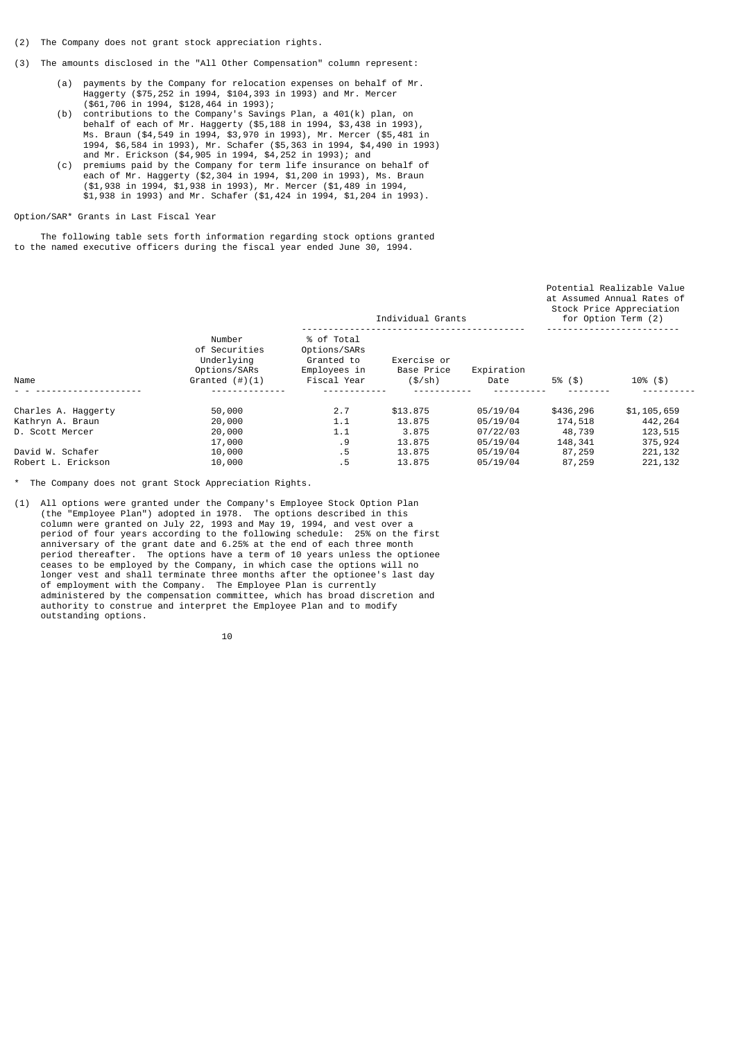- (2) The Company does not grant stock appreciation rights.
- (3) The amounts disclosed in the "All Other Compensation" column represent:
	- (a) payments by the Company for relocation expenses on behalf of Mr. Haggerty (\$75,252 in 1994, \$104,393 in 1993) and Mr. Mercer (\$61,706 in 1994, \$128,464 in 1993);<br>(b) contributions to the Company's Savin
- $\overline{\text{contributions}}$  to the Company's Savings Plan, a 401(k) plan, on behalf of each of Mr. Haggerty (\$5,188 in 1994, \$3,438 in 1993), Ms. Braun (\$4,549 in 1994, \$3,970 in 1993), Mr. Mercer (\$5,481 in 1994, \$6,584 in 1993), Mr. Schafer (\$5,363 in 1994, \$4,490 in 1993) and Mr. Erickson (\$4,905 in 1994, \$4,252 in 1993); and
- (c) premiums paid by the Company for term life insurance on behalf of each of Mr. Haggerty (\$2,304 in 1994, \$1,200 in 1993), Ms. Braun (\$1,938 in 1994, \$1,938 in 1993), Mr. Mercer (\$1,489 in 1994, \$1,938 in 1993) and Mr. Schafer (\$1,424 in 1994, \$1,204 in 1993).

# Option/SAR\* Grants in Last Fiscal Year

 The following table sets forth information regarding stock options granted to the named executive officers during the fiscal year ended June 30, 1994.

|                     |                                                                            | Individual Grants                                                       |                                        |                    |           | Potential Realizable Value<br>at Assumed Annual Rates of<br>Stock Price Appreciation<br>for Option Term (2) |  |
|---------------------|----------------------------------------------------------------------------|-------------------------------------------------------------------------|----------------------------------------|--------------------|-----------|-------------------------------------------------------------------------------------------------------------|--|
| Name                | Number<br>of Securities<br>Underlying<br>Options/SARs<br>Granted $(\#)(1)$ | % of Total<br>Options/SARs<br>Granted to<br>Employees in<br>Fiscal Year | Exercise or<br>Base Price<br>$(S/\sh)$ | Expiration<br>Date | 5% (\$)   | $10\%$ (\$)                                                                                                 |  |
| Charles A. Haggerty | 50,000                                                                     | 2.7                                                                     | \$13,875                               | 05/19/04           | \$436,296 | \$1,105,659                                                                                                 |  |
| Kathryn A. Braun    | 20,000                                                                     | 1.1                                                                     | 13.875                                 | 05/19/04           | 174,518   | 442,264                                                                                                     |  |
| D. Scott Mercer     | 20,000                                                                     | 1.1                                                                     | 3.875                                  | 07/22/03           | 48,739    | 123,515                                                                                                     |  |
|                     | 17,000                                                                     | . 9                                                                     | 13.875                                 | 05/19/04           | 148,341   | 375,924                                                                                                     |  |
| David W. Schafer    | 10,000                                                                     | .5                                                                      | 13.875                                 | 05/19/04           | 87,259    | 221,132                                                                                                     |  |
| Robert L. Erickson  | 10,000                                                                     | . 5                                                                     | 13,875                                 | 05/19/04           | 87,259    | 221, 132                                                                                                    |  |

\* The Company does not grant Stock Appreciation Rights.

(1) All options were granted under the Company's Employee Stock Option Plan (the "Employee Plan") adopted in 1978. The options described in this column were granted on July 22, 1993 and May 19, 1994, and vest over a period of four years according to the following schedule: 25% on the first anniversary of the grant date and 6.25% at the end of each three month period thereafter. The options have a term of 10 years unless the optionee ceases to be employed by the Company, in which case the options will no longer vest and shall terminate three months after the optionee's last day of employment with the Company. The Employee Plan is currently administered by the compensation committee, which has broad discretion and authority to construe and interpret the Employee Plan and to modify outstanding options.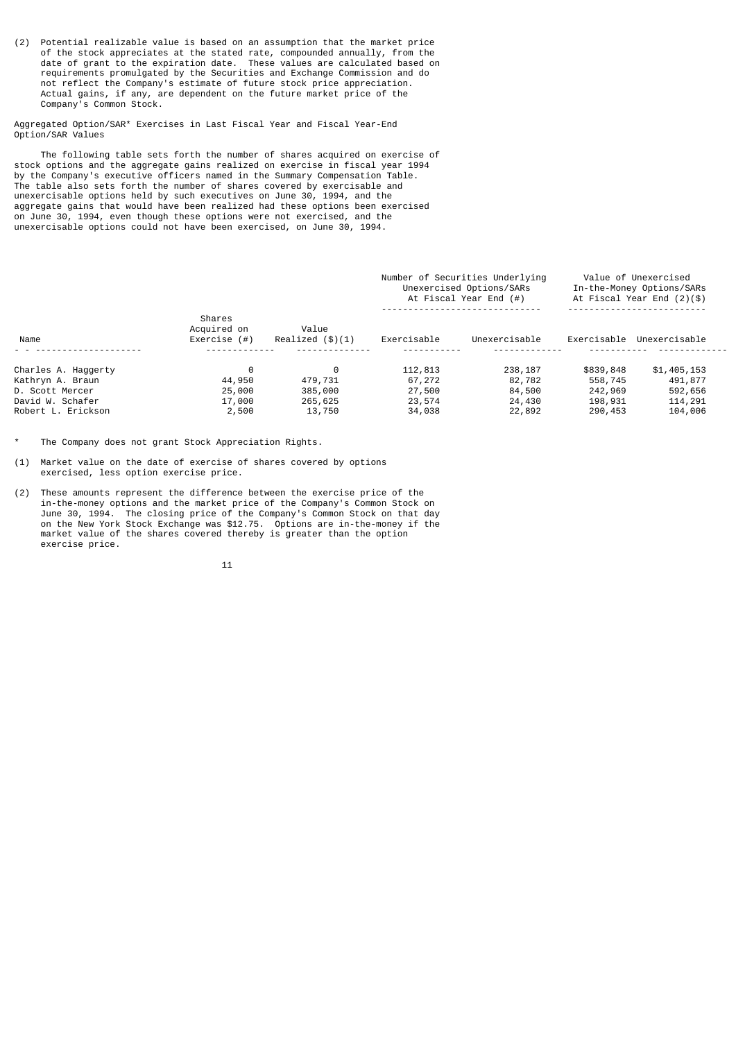(2) Potential realizable value is based on an assumption that the market price of the stock appreciates at the stated rate, compounded annually, from the date of grant to the expiration date. These values are calculated based on requirements promulgated by the Securities and Exchange Commission and do not reflect the Company's estimate of future stock price appreciation. Actual gains, if any, are dependent on the future market price of the Company's Common Stock.

Aggregated Option/SAR\* Exercises in Last Fiscal Year and Fiscal Year-End Option/SAR Values

 The following table sets forth the number of shares acquired on exercise of stock options and the aggregate gains realized on exercise in fiscal year 1994 by the Company's executive officers named in the Summary Compensation Table. The table also sets forth the number of shares covered by exercisable and unexercisable options held by such executives on June 30, 1994, and the aggregate gains that would have been realized had these options been exercised on June 30, 1994, even though these options were not exercised, and the unexercisable options could not have been exercised, on June 30, 1994.

|                                                                                |                                          |                                    | Number of Securities Underlying<br>Unexercised Options/SARs<br>At Fiscal Year End $(#)$ | Value of Unexercised<br>In-the-Money Options/SARs<br>At Fiscal Year End $(2)(\$)$ |                                            |                                              |
|--------------------------------------------------------------------------------|------------------------------------------|------------------------------------|-----------------------------------------------------------------------------------------|-----------------------------------------------------------------------------------|--------------------------------------------|----------------------------------------------|
| Name                                                                           | Shares<br>Acquired on<br>Exercise $($ #) | Value<br>Realized $(\$)(1)$        | Exercisable                                                                             | Unexercisable                                                                     | Exercisable                                | Unexercisable                                |
| Charles A. Haggerty<br>Kathryn A. Braun<br>D. Scott Mercer<br>David W. Schafer | 44,950<br>25,000<br>17,000               | 0<br>479,731<br>385,000<br>265,625 | 112,813<br>67,272<br>27,500<br>23,574                                                   | 238,187<br>82,782<br>84,500<br>24,430                                             | \$839,848<br>558,745<br>242,969<br>198,931 | \$1,405,153<br>491,877<br>592,656<br>114,291 |
| Robert L. Erickson                                                             | 2,500                                    | 13,750                             | 34,038                                                                                  | 22,892                                                                            | 290,453                                    | 104,006                                      |

The Company does not grant Stock Appreciation Rights.

- (1) Market value on the date of exercise of shares covered by options exercised, less option exercise price.
- (2) These amounts represent the difference between the exercise price of the in-the-money options and the market price of the Company's Common Stock on June 30, 1994. The closing price of the Company's Common Stock on that day on the New York Stock Exchange was \$12.75. Options are in-the-money if the market value of the shares covered thereby is greater than the option exercise price.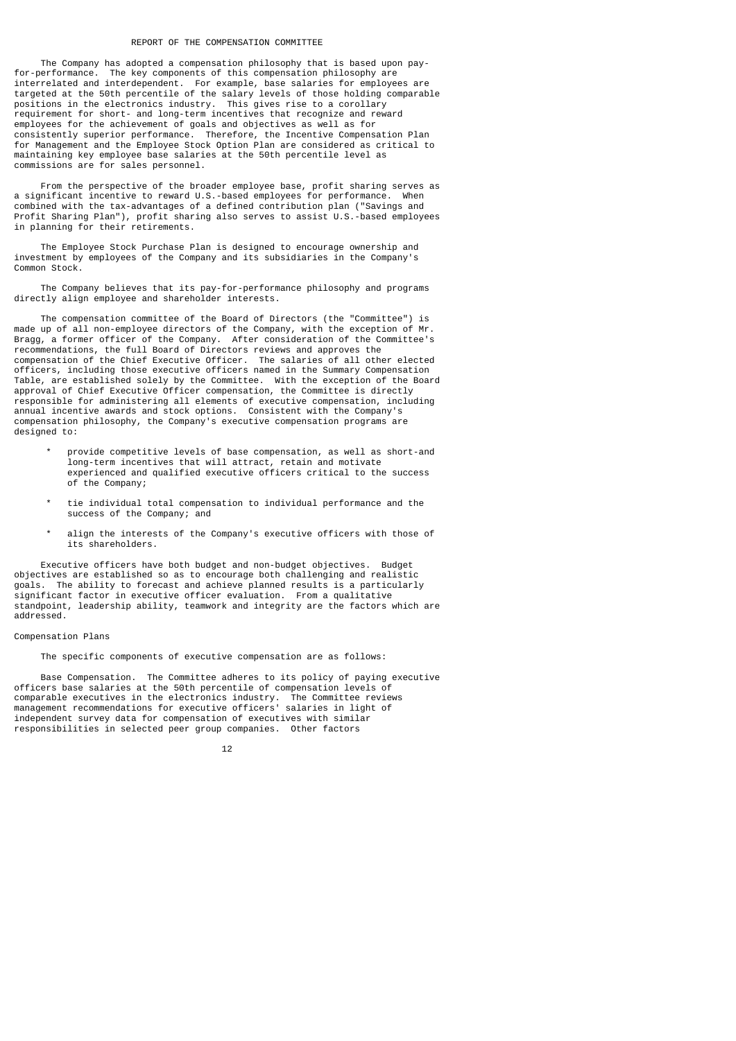### REPORT OF THE COMPENSATION COMMITTEE

 The Company has adopted a compensation philosophy that is based upon payfor-performance. The key components of this compensation philosophy are interrelated and interdependent. For example, base salaries for employees are targeted at the 50th percentile of the salary levels of those holding comparable positions in the electronics industry. This gives rise to a corollary requirement for short- and long-term incentives that recognize and reward employees for the achievement of goals and objectives as well as for consistently superior performance. Therefore, the Incentive Compensation Plan for Management and the Employee Stock Option Plan are considered as critical to maintaining key employee base salaries at the 50th percentile level as commissions are for sales personnel.

 From the perspective of the broader employee base, profit sharing serves as a significant incentive to reward U.S.-based employees for performance. When combined with the tax-advantages of a defined contribution plan ("Savings and Profit Sharing Plan"), profit sharing also serves to assist U.S.-based employees in planning for their retirements.

 The Employee Stock Purchase Plan is designed to encourage ownership and investment by employees of the Company and its subsidiaries in the Company's Common Stock.

 The Company believes that its pay-for-performance philosophy and programs directly align employee and shareholder interests.

 The compensation committee of the Board of Directors (the "Committee") is made up of all non-employee directors of the Company, with the exception of Mr. Bragg, a former officer of the Company. After consideration of the Committee's recommendations, the full Board of Directors reviews and approves the compensation of the Chief Executive Officer. The salaries of all other elected officers, including those executive officers named in the Summary Compensation Table, are established solely by the Committee. With the exception of the Board approval of Chief Executive Officer compensation, the Committee is directly responsible for administering all elements of executive compensation, including annual incentive awards and stock options. Consistent with the Company's compensation philosophy, the Company's executive compensation programs are designed to:

- provide competitive levels of base compensation, as well as short-and long-term incentives that will attract, retain and motivate experienced and qualified executive officers critical to the success of the Company;
- tie individual total compensation to individual performance and the success of the Company; and
- align the interests of the Company's executive officers with those of its shareholders.

 Executive officers have both budget and non-budget objectives. Budget objectives are established so as to encourage both challenging and realistic goals. The ability to forecast and achieve planned results is a particularly significant factor in executive officer evaluation. From a qualitative standpoint, leadership ability, teamwork and integrity are the factors which are addressed.

# Compensation Plans

The specific components of executive compensation are as follows:

 Base Compensation. The Committee adheres to its policy of paying executive officers base salaries at the 50th percentile of compensation levels of comparable executives in the electronics industry. The Committee reviews management recommendations for executive officers' salaries in light of independent survey data for compensation of executives with similar responsibilities in selected peer group companies. Other factors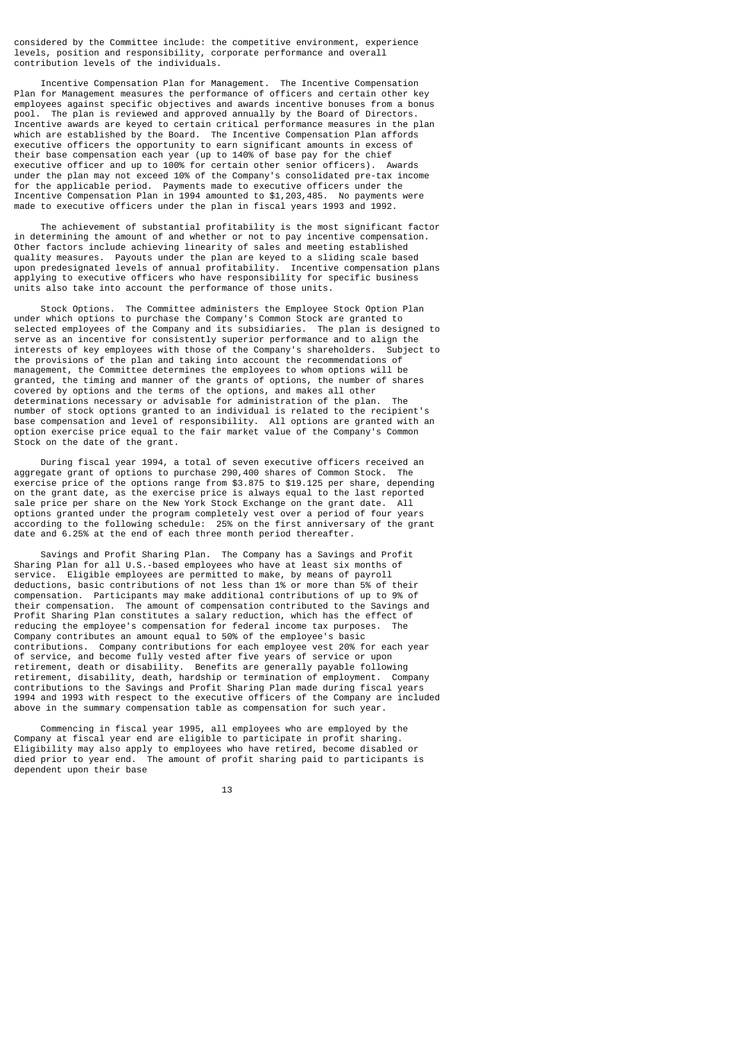considered by the Committee include: the competitive environment, experience levels, position and responsibility, corporate performance and overall contribution levels of the individuals.

 Incentive Compensation Plan for Management. The Incentive Compensation Plan for Management measures the performance of officers and certain other key employees against specific objectives and awards incentive bonuses from a bonus pool. The plan is reviewed and approved annually by the Board of Directors. Incentive awards are keyed to certain critical performance measures in the plan which are established by the Board. The Incentive Compensation Plan affords executive officers the opportunity to earn significant amounts in excess of their base compensation each year (up to 140% of base pay for the chief executive officer and up to 100% for certain other senior officers). Awards under the plan may not exceed 10% of the Company's consolidated pre-tax income for the applicable period. Payments made to executive officers under the Incentive Compensation Plan in 1994 amounted to \$1,203,485. No payments were made to executive officers under the plan in fiscal years 1993 and 1992.

 The achievement of substantial profitability is the most significant factor in determining the amount of and whether or not to pay incentive compensation. Other factors include achieving linearity of sales and meeting established quality measures. Payouts under the plan are keyed to a sliding scale based upon predesignated levels of annual profitability. Incentive compensation plans applying to executive officers who have responsibility for specific business units also take into account the performance of those units.

 Stock Options. The Committee administers the Employee Stock Option Plan under which options to purchase the Company's Common Stock are granted to selected employees of the Company and its subsidiaries. The plan is designed to serve as an incentive for consistently superior performance and to align the interests of key employees with those of the Company's shareholders. Subject to the provisions of the plan and taking into account the recommendations of management, the Committee determines the employees to whom options will be granted, the timing and manner of the grants of options, the number of shares covered by options and the terms of the options, and makes all other determinations necessary or advisable for administration of the plan. The number of stock options granted to an individual is related to the recipient's base compensation and level of responsibility. All options are granted with an option exercise price equal to the fair market value of the Company's Common Stock on the date of the grant.

During fiscal year 1994, a total of seven executive officers received an onate grant of ontions to purchase 290 400 shares of Common Stock The aggregate grant of options to purchase 290,400 shares of Common Stock. exercise price of the options range from \$3.875 to \$19.125 per share, depending on the grant date, as the exercise price is always equal to the last reported sale price per share on the New York Stock Exchange on the grant date. All options granted under the program completely vest over a period of four years according to the following schedule: 25% on the first anniversary of the grant date and 6.25% at the end of each three month period thereafter.

 Savings and Profit Sharing Plan. The Company has a Savings and Profit Sharing Plan for all U.S.-based employees who have at least six months of service. Eligible employees are permitted to make, by means of payroll deductions, basic contributions of not less than 1% or more than 5% of their compensation. Participants may make additional contributions of up to 9% of their compensation. The amount of compensation contributed to the Savings and Profit Sharing Plan constitutes a salary reduction, which has the effect of reducing the employee's compensation for federal income tax purposes. The reducing the employee's compensation for federal income tax purposes. Company contributes an amount equal to 50% of the employee's basic contributions. Company contributions for each employee vest 20% for each year of service, and become fully vested after five years of service or upon retirement, death or disability. Benefits are generally payable following retirement, disability, death, hardship or termination of employment. Company contributions to the Savings and Profit Sharing Plan made during fiscal years 1994 and 1993 with respect to the executive officers of the Company are included above in the summary compensation table as compensation for such year.

 Commencing in fiscal year 1995, all employees who are employed by the Company at fiscal year end are eligible to participate in profit sharing. Eligibility may also apply to employees who have retired, become disabled or died prior to year end. The amount of profit sharing paid to participants is dependent upon their base

13 and 13 and 13 and 13 and 13 and 13 and 13 and 13 and 13 and 13 and 13 and 13 and 13 and 13 and 13 and 13 an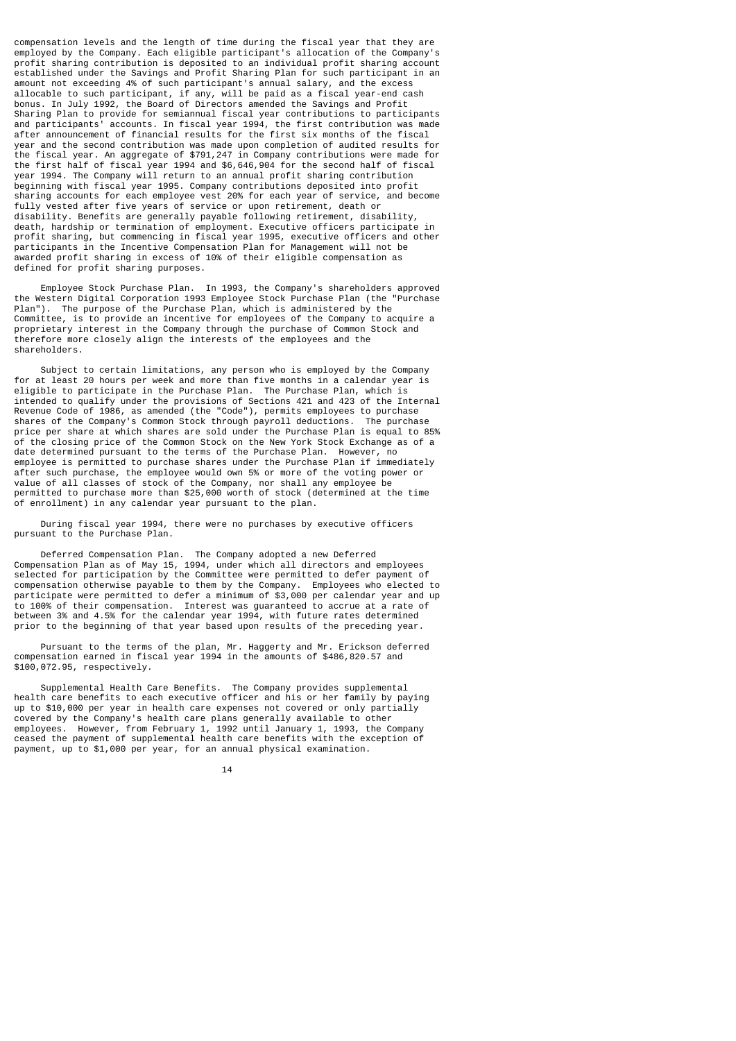compensation levels and the length of time during the fiscal year that they are employed by the Company. Each eligible participant's allocation of the Company's profit sharing contribution is deposited to an individual profit sharing account established under the Savings and Profit Sharing Plan for such participant in an amount not exceeding 4% of such participant's annual salary, and the excess allocable to such participant, if any, will be paid as a fiscal year-end cash bonus. In July 1992, the Board of Directors amended the Savings and Profit Sharing Plan to provide for semiannual fiscal year contributions to participants and participants' accounts. In fiscal year 1994, the first contribution was made after announcement of financial results for the first six months of the fiscal year and the second contribution was made upon completion of audited results for the fiscal year. An aggregate of \$791,247 in Company contributions were made for the first half of fiscal year 1994 and \$6,646,904 for the second half of fiscal year 1994. The Company will return to an annual profit sharing contribution beginning with fiscal year 1995. Company contributions deposited into profit sharing accounts for each employee vest 20% for each year of service, and become fully vested after five years of service or upon retirement, death or disability. Benefits are generally payable following retirement, disability, death, hardship or termination of employment. Executive officers participate in profit sharing, but commencing in fiscal year 1995, executive officers and other participants in the Incentive Compensation Plan for Management will not be awarded profit sharing in excess of 10% of their eligible compensation as defined for profit sharing purposes.

 Employee Stock Purchase Plan. In 1993, the Company's shareholders approved the Western Digital Corporation 1993 Employee Stock Purchase Plan (the "Purchase Plan"). The purpose of the Purchase Plan, which is administered by the Committee, is to provide an incentive for employees of the Company to acquire a proprietary interest in the Company through the purchase of Common Stock and therefore more closely align the interests of the employees and the shareholders.

 Subject to certain limitations, any person who is employed by the Company for at least 20 hours per week and more than five months in a calendar year is eligible to participate in the Purchase Plan. The Purchase Plan, which is intended to qualify under the provisions of Sections 421 and 423 of the Internal Revenue Code of 1986, as amended (the "Code"), permits employees to purchase shares of the Company's Common Stock through payroll deductions. The purchase price per share at which shares are sold under the Purchase Plan is equal to 85% of the closing price of the Common Stock on the New York Stock Exchange as of a date determined pursuant to the terms of the Purchase Plan. However, no employee is permitted to purchase shares under the Purchase Plan if immediately after such purchase, the employee would own 5% or more of the voting power or value of all classes of stock of the Company, nor shall any employee be permitted to purchase more than \$25,000 worth of stock (determined at the time of enrollment) in any calendar year pursuant to the plan.

 During fiscal year 1994, there were no purchases by executive officers pursuant to the Purchase Plan.

 Deferred Compensation Plan. The Company adopted a new Deferred Compensation Plan as of May 15, 1994, under which all directors and employees selected for participation by the Committee were permitted to defer payment of compensation otherwise payable to them by the Company. Employees who elected to participate were permitted to defer a minimum of \$3,000 per calendar year and up to 100% of their compensation. Interest was guaranteed to accrue at a rate of between 3% and 4.5% for the calendar year 1994, with future rates determined prior to the beginning of that year based upon results of the preceding year.

 Pursuant to the terms of the plan, Mr. Haggerty and Mr. Erickson deferred compensation earned in fiscal year 1994 in the amounts of \$486,820.57 and \$100,072.95, respectively.

 Supplemental Health Care Benefits. The Company provides supplemental health care benefits to each executive officer and his or her family by paying up to \$10,000 per year in health care expenses not covered or only partially covered by the Company's health care plans generally available to other employees. However, from February 1, 1992 until January 1, 1993, the Company ceased the payment of supplemental health care benefits with the exception of payment, up to \$1,000 per year, for an annual physical examination.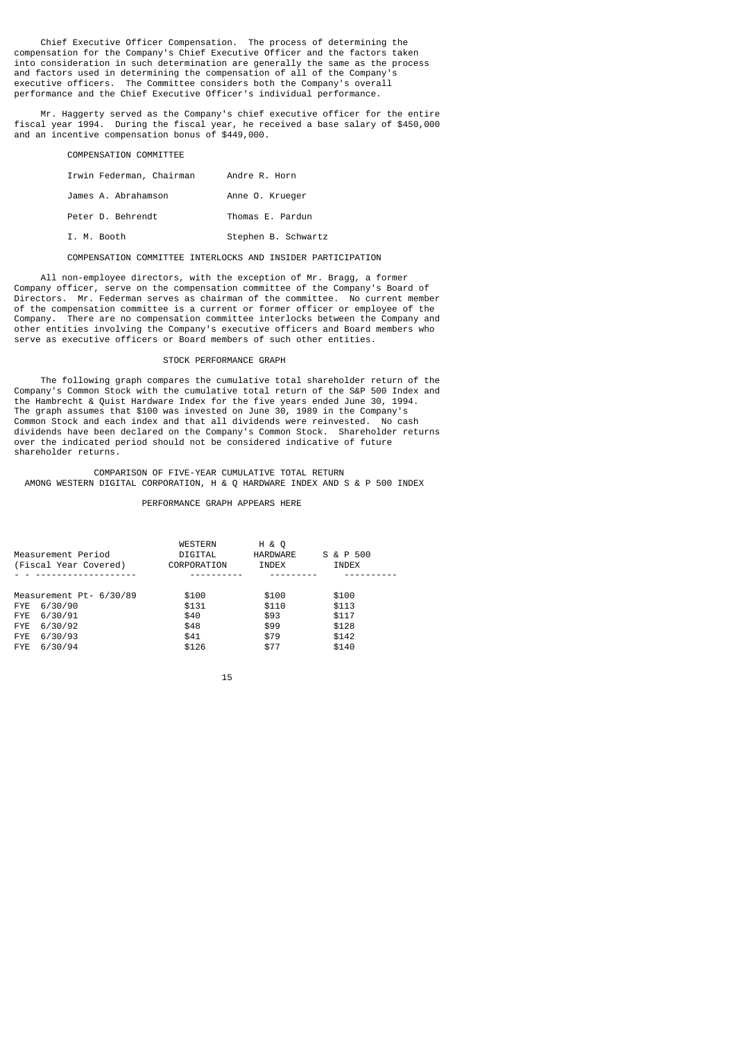Chief Executive Officer Compensation. The process of determining the compensation for the Company's Chief Executive Officer and the factors taken into consideration in such determination are generally the same as the process and factors used in determining the compensation of all of the Company's executive officers. The Committee considers both the Company's overall performance and the Chief Executive Officer's individual performance.

 Mr. Haggerty served as the Company's chief executive officer for the entire fiscal year 1994. During the fiscal year, he received a base salary of \$450,000 and an incentive compensation bonus of \$449,000.

| Irwin Federman, Chairman | Andre R. Horn       |
|--------------------------|---------------------|
| James A. Abrahamson      | Anne O. Krueger     |
| Peter D. Behrendt        | Thomas E. Pardun    |
| I. M. Booth              | Stephen B. Schwartz |

COMPENSATION COMMITTEE INTERLOCKS AND INSIDER PARTICIPATION

 All non-employee directors, with the exception of Mr. Bragg, a former Company officer, serve on the compensation committee of the Company's Board of Directors. Mr. Federman serves as chairman of the committee. No current member of the compensation committee is a current or former officer or employee of the Company. There are no compensation committee interlocks between the Company and other entities involving the Company's executive officers and Board members who serve as executive officers or Board members of such other entities.

## STOCK PERFORMANCE GRAPH

 The following graph compares the cumulative total shareholder return of the Company's Common Stock with the cumulative total return of the S&P 500 Index and the Hambrecht & Quist Hardware Index for the five years ended June 30, 1994. The graph assumes that \$100 was invested on June 30, 1989 in the Company's Common Stock and each index and that all dividends were reinvested. No cash dividends have been declared on the Company's Common Stock. Shareholder returns over the indicated period should not be considered indicative of future shareholder returns.

 COMPARISON OF FIVE-YEAR CUMULATIVE TOTAL RETURN AMONG WESTERN DIGITAL CORPORATION, H & Q HARDWARE INDEX AND S & P 500 INDEX

### PERFORMANCE GRAPH APPEARS HERE

| Measurement Period<br>(Fiscal Year Covered)                                                                                     | <b>WESTERN</b><br>DIGITAL<br>CORPORATION        | H & O<br>HARDWARE<br>INDEX                     | S & P 500<br>INDEX                                 |
|---------------------------------------------------------------------------------------------------------------------------------|-------------------------------------------------|------------------------------------------------|----------------------------------------------------|
| Measurement Pt- 6/30/89<br>6/30/90<br><b>FYE</b><br>6/30/91<br>FYE<br>6/30/92<br>FYE<br>6/30/93<br><b>FYE</b><br>6/30/94<br>FYE | \$100<br>\$131<br>\$40<br>\$48<br>\$41<br>\$126 | \$100<br>\$110<br>\$93<br>\$99<br>\$79<br>\$77 | \$100<br>\$113<br>\$117<br>\$128<br>\$142<br>\$140 |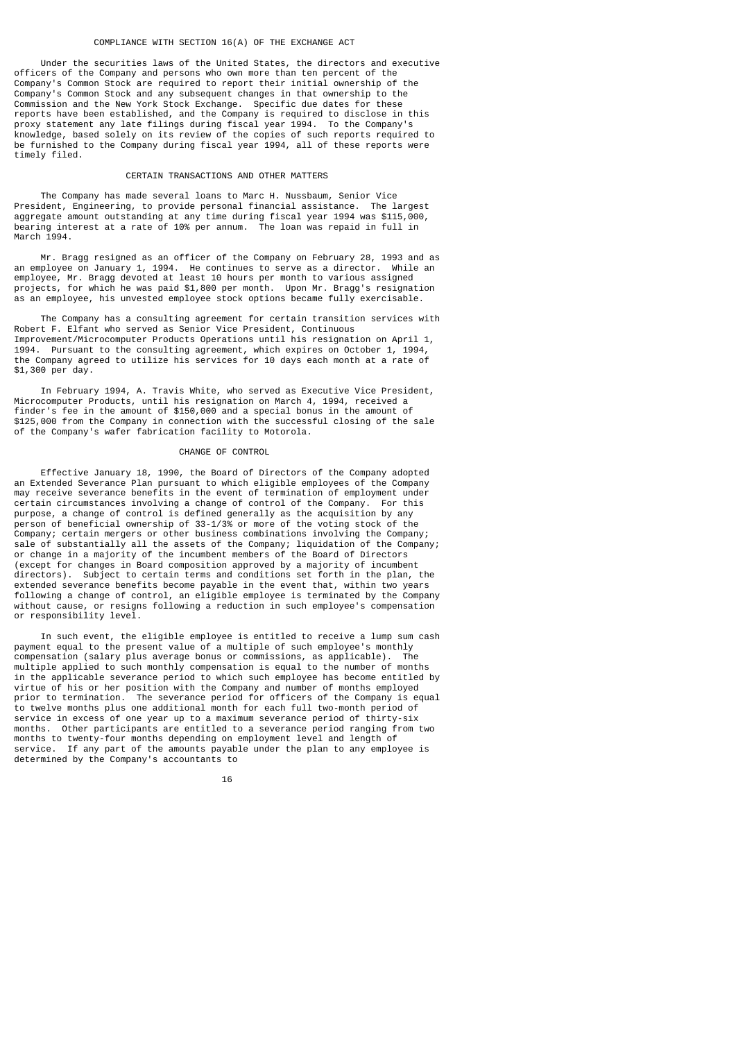## COMPLIANCE WITH SECTION 16(A) OF THE EXCHANGE ACT

 Under the securities laws of the United States, the directors and executive officers of the Company and persons who own more than ten percent of the Company's Common Stock are required to report their initial ownership of the Company's Common Stock and any subsequent changes in that ownership to the Commission and the New York Stock Exchange. Specific due dates for these reports have been established, and the Company is required to disclose in this proxy statement any late filings during fiscal year 1994. To the Company's knowledge, based solely on its review of the copies of such reports required to be furnished to the Company during fiscal year 1994, all of these reports were timely filed.

### CERTAIN TRANSACTIONS AND OTHER MATTERS

 The Company has made several loans to Marc H. Nussbaum, Senior Vice President, Engineering, to provide personal financial assistance. The largest aggregate amount outstanding at any time during fiscal year 1994 was \$115,000, bearing interest at a rate of 10% per annum. The loan was repaid in full in March 1994.

 Mr. Bragg resigned as an officer of the Company on February 28, 1993 and as an employee on January 1, 1994. He continues to serve as a director. While an employee, Mr. Bragg devoted at least 10 hours per month to various assigned projects, for which he was paid \$1,800 per month. Upon Mr. Bragg's resignation as an employee, his unvested employee stock options became fully exercisable.

 The Company has a consulting agreement for certain transition services with Robert F. Elfant who served as Senior Vice President, Continuous Improvement/Microcomputer Products Operations until his resignation on April 1, 1994. Pursuant to the consulting agreement, which expires on October 1, 1994, the Company agreed to utilize his services for 10 days each month at a rate of \$1,300 per day.

 In February 1994, A. Travis White, who served as Executive Vice President, Microcomputer Products, until his resignation on March 4, 1994, received a finder's fee in the amount of \$150,000 and a special bonus in the amount of \$125,000 from the Company in connection with the successful closing of the sale of the Company's wafer fabrication facility to Motorola.

# CHANGE OF CONTROL

 Effective January 18, 1990, the Board of Directors of the Company adopted an Extended Severance Plan pursuant to which eligible employees of the Company may receive severance benefits in the event of termination of employment under certain circumstances involving a change of control of the Company. For this purpose, a change of control is defined generally as the acquisition by any person of beneficial ownership of 33-1/3% or more of the voting stock of the Company; certain mergers or other business combinations involving the Company; sale of substantially all the assets of the Company; liquidation of the Company; or change in a majority of the incumbent members of the Board of Directors (except for changes in Board composition approved by a majority of incumbent directors). Subject to certain terms and conditions set forth in the plan, the extended severance benefits become payable in the event that, within two years following a change of control, an eligible employee is terminated by the Company without cause, or resigns following a reduction in such employee's compensation or responsibility level.

 In such event, the eligible employee is entitled to receive a lump sum cash payment equal to the present value of a multiple of such employee's monthly compensation (salary plus average bonus or commissions, as applicable). The multiple applied to such monthly compensation is equal to the number of months in the applicable severance period to which such employee has become entitled by virtue of his or her position with the Company and number of months employed prior to termination. The severance period for officers of the Company is equal to twelve months plus one additional month for each full two-month period of service in excess of one year up to a maximum severance period of thirty-six months. Other participants are entitled to a severance period ranging from two months to twenty-four months depending on employment level and length of service. If any part of the amounts payable under the plan to any employee is determined by the Company's accountants to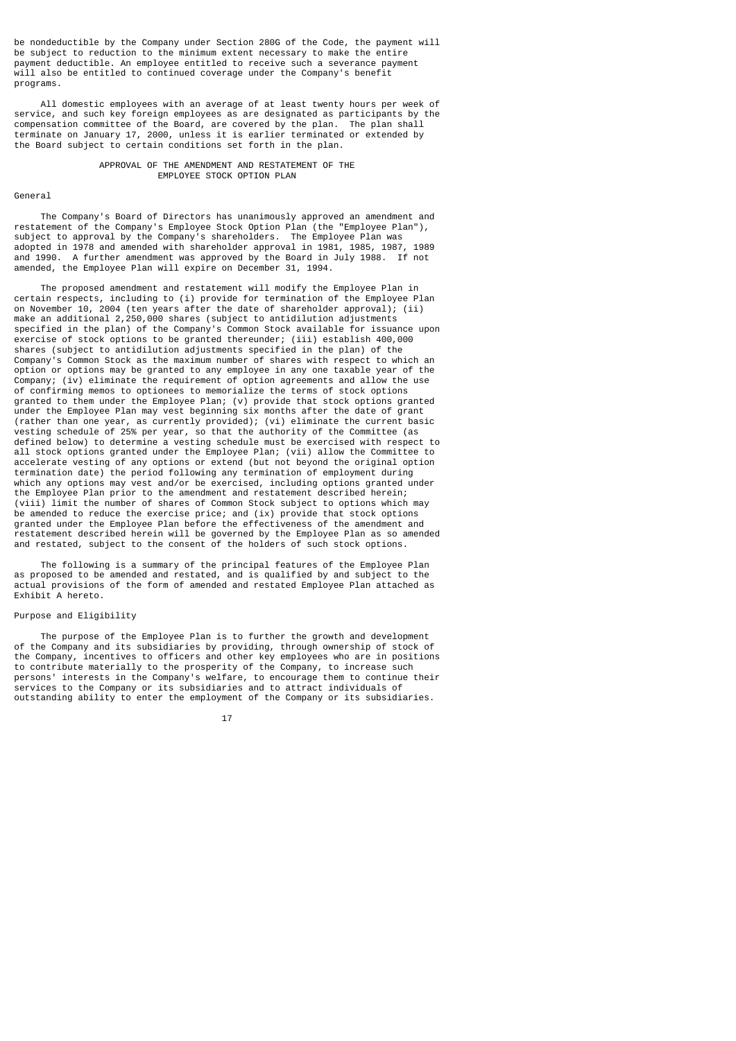be nondeductible by the Company under Section 280G of the Code, the payment will be subject to reduction to the minimum extent necessary to make the entire payment deductible. An employee entitled to receive such a severance payment will also be entitled to continued coverage under the Company's benefit programs.

 All domestic employees with an average of at least twenty hours per week of service, and such key foreign employees as are designated as participants by the compensation committee of the Board, are covered by the plan. The plan shall terminate on January 17, 2000, unless it is earlier terminated or extended by the Board subject to certain conditions set forth in the plan.

#### APPROVAL OF THE AMENDMENT AND RESTATEMENT OF THE EMPLOYEE STOCK OPTION PLAN

General

 The Company's Board of Directors has unanimously approved an amendment and restatement of the Company's Employee Stock Option Plan (the "Employee Plan"), subject to approval by the Company's shareholders. The Employee Plan was adopted in 1978 and amended with shareholder approval in 1981, 1985, 1987, 1989 A further amendment was approved by the Board in July 1988. If not amended, the Employee Plan will expire on December 31, 1994.

 The proposed amendment and restatement will modify the Employee Plan in certain respects, including to (i) provide for termination of the Employee Plan on November 10, 2004 (ten years after the date of shareholder approval); (ii) make an additional 2, 250,000 shares (subject to antidilution adjustments specified in the plan) of the Company's Common Stock available for issuance upon exercise of stock options to be granted thereunder; (iii) establish 400,000 shares (subject to antidilution adjustments specified in the plan) of the Company's Common Stock as the maximum number of shares with respect to wh:  $^{\prime}$ s Common Stock as the maximum number of shares with respect to which an option or options may be granted to any employee in any one taxable year of the Company; (iv) eliminate the requirement of option agreements and allow the use of confirming memos to optionees to memorialize the terms of stock options granted to them under the Employee Plan; (v) provide that stock options granted under the Employee Plan may vest beginning six months after the date of grant (rather than one year, as currently provided); (vi) eliminate the current basic vesting schedule of 25% per year, so that the authority of the Committee (as defined below) to determine a vesting schedule must be exercised with respect to all stock options granted under the Employee Plan; (vii) allow the Committee to accelerate vesting of any options or extend (but not beyond the original option termination date) the period following any termination of employment during which any options may vest and/or be exercised, including options granted under the Employee Plan prior to the amendment and restatement described herein; (viii) limit the number of shares of Common Stock subject to options which may be amended to reduce the exercise price; and (ix) provide that stock options granted under the Employee Plan before the effectiveness of the amendment and restatement described herein will be governed by the Employee Plan as so amended and restated, subject to the consent of the holders of such stock options.

 The following is a summary of the principal features of the Employee Plan as proposed to be amended and restated, and is qualified by and subject to the actual provisions of the form of amended and restated Employee Plan attached as Exhibit A hereto.

# Purpose and Eligibility

 The purpose of the Employee Plan is to further the growth and development of the Company and its subsidiaries by providing, through ownership of stock of the Company, incentives to officers and other key employees who are in positions to contribute materially to the prosperity of the Company, to increase such persons' interests in the Company's welfare, to encourage them to continue their services to the Company or its subsidiaries and to attract individuals of outstanding ability to enter the employment of the Company or its subsidiaries.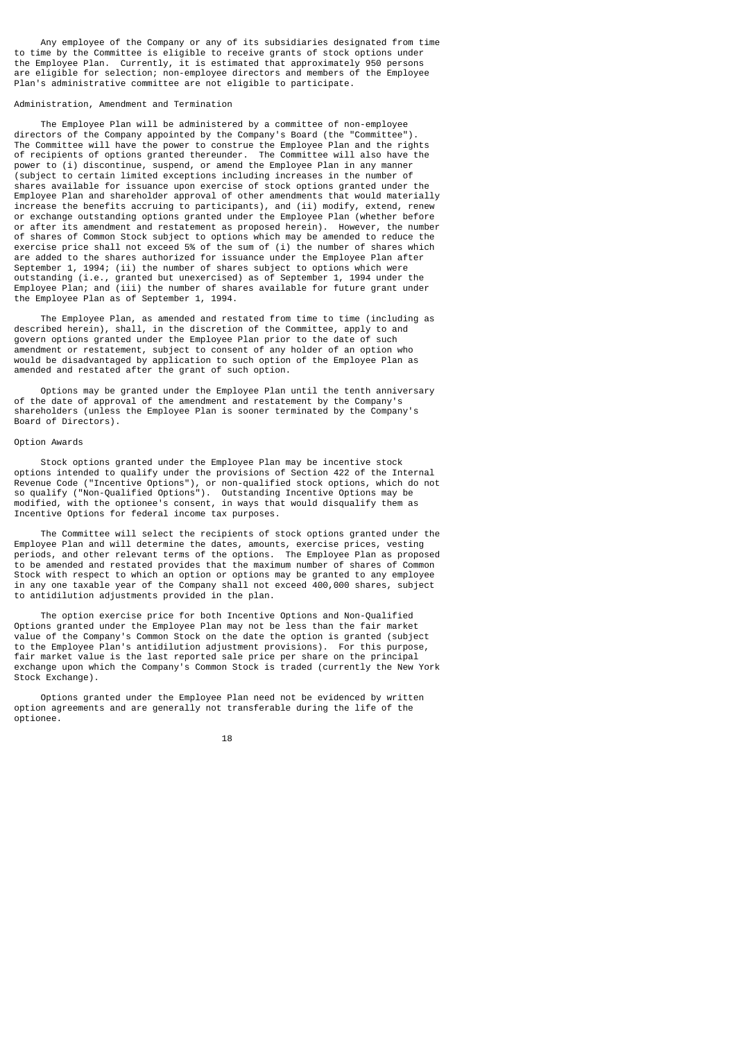Any employee of the Company or any of its subsidiaries designated from time to time by the Committee is eligible to receive grants of stock options under the Employee Plan. Currently, it is estimated that approximately 950 persons are eligible for selection; non-employee directors and members of the Employee Plan's administrative committee are not eligible to participate.

# Administration, Amendment and Termination

 The Employee Plan will be administered by a committee of non-employee directors of the Company appointed by the Company's Board (the "Committee"). The Committee will have the power to construe the Employee Plan and the rights of recipients of options granted thereunder. The Committee will also have the power to (i) discontinue, suspend, or amend the Employee Plan in any manner (subject to certain limited exceptions including increases in the number of shares available for issuance upon exercise of stock options granted under the Employee Plan and shareholder approval of other amendments that would materially increase the benefits accruing to participants), and (ii) modify, extend, renew or exchange outstanding options granted under the Employee Plan (whether before or after its amendment and restatement as proposed herein). However, the number of shares of Common Stock subject to options which may be amended to reduce the exercise price shall not exceed 5% of the sum of (i) the number of shares which are added to the shares authorized for issuance under the Employee Plan after September 1, 1994; (ii) the number of shares subject to options which were outstanding (i.e., granted but unexercised) as of September 1, 1994 under the Employee Plan; and (iii) the number of shares available for future grant under the Employee Plan as of September 1, 1994.

 The Employee Plan, as amended and restated from time to time (including as described herein), shall, in the discretion of the Committee, apply to and govern options granted under the Employee Plan prior to the date of such amendment or restatement, subject to consent of any holder of an option who would be disadvantaged by application to such option of the Employee Plan as amended and restated after the grant of such option.

 Options may be granted under the Employee Plan until the tenth anniversary of the date of approval of the amendment and restatement by the Company's shareholders (unless the Employee Plan is sooner terminated by the Company's Board of Directors).

## Option Awards

 Stock options granted under the Employee Plan may be incentive stock options intended to qualify under the provisions of Section 422 of the Internal Revenue Code ("Incentive Options"), or non-qualified stock options, which do not so qualify ("Non-Qualified Options"). Outstanding Incentive Options may be modified, with the optionee's consent, in ways that would disqualify them as Incentive Options for federal income tax purposes.

 The Committee will select the recipients of stock options granted under the Employee Plan and will determine the dates, amounts, exercise prices, vesting periods, and other relevant terms of the options. The Employee Plan as proposed to be amended and restated provides that the maximum number of shares of Common Stock with respect to which an option or options may be granted to any employee in any one taxable year of the Company shall not exceed 400,000 shares, subject to antidilution adjustments provided in the plan.

 The option exercise price for both Incentive Options and Non-Qualified Options granted under the Employee Plan may not be less than the fair market value of the Company's Common Stock on the date the option is granted (subject to the Employee Plan's antidilution adjustment provisions). For this purpose, fair market value is the last reported sale price per share on the principal exchange upon which the Company's Common Stock is traded (currently the New York Stock Exchange).

 Options granted under the Employee Plan need not be evidenced by written option agreements and are generally not transferable during the life of the optionee.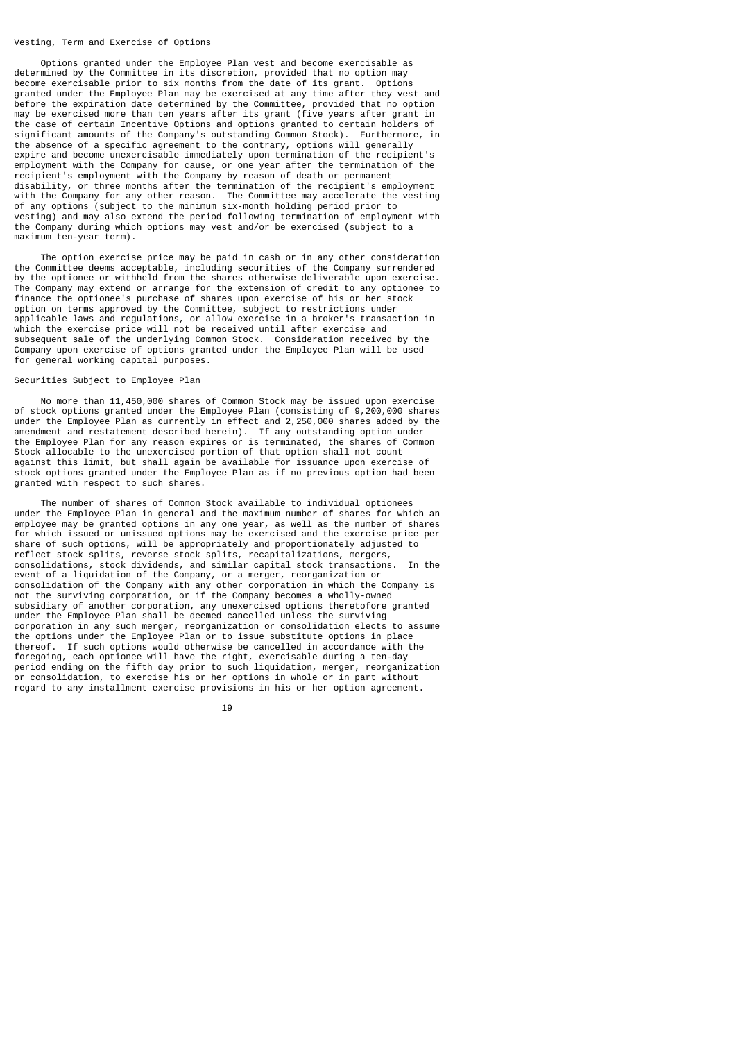#### Vesting, Term and Exercise of Options

 Options granted under the Employee Plan vest and become exercisable as determined by the Committee in its discretion, provided that no option may<br>become exercisable prior to six months from the date of its grant. Options become exercisable prior to six months from the date of its grant. granted under the Employee Plan may be exercised at any time after they vest and before the expiration date determined by the Committee, provided that no option may be exercised more than ten years after its grant (five years after grant in the case of certain Incentive Options and options granted to certain holders of significant amounts of the Company's outstanding Common Stock). Furthermore, in the absence of a specific agreement to the contrary, options will generally expire and become unexercisable immediately upon termination of the recipient's employment with the Company for cause, or one year after the termination of the recipient's employment with the Company by reason of death or permanent disability, or three months after the termination of the recipient's employment with the Company for any other reason. The Committee may accelerate the vesting of any options (subject to the minimum six-month holding period prior to vesting) and may also extend the period following termination of employment with the Company during which options may vest and/or be exercised (subject to a maximum ten-year term).

 The option exercise price may be paid in cash or in any other consideration the Committee deems acceptable, including securities of the Company surrendered by the optionee or withheld from the shares otherwise deliverable upon exercise. The Company may extend or arrange for the extension of credit to any optionee to finance the optionee's purchase of shares upon exercise of his or her stock option on terms approved by the Committee, subject to restrictions under applicable laws and regulations, or allow exercise in a broker's transaction in which the exercise price will not be received until after exercise and subsequent sale of the underlying Common Stock. Consideration received by the Company upon exercise of options granted under the Employee Plan will be used for general working capital purposes.

### Securities Subject to Employee Plan

 No more than 11,450,000 shares of Common Stock may be issued upon exercise of stock options granted under the Employee Plan (consisting of 9,200,000 shares under the Employee Plan as currently in effect and 2,250,000 shares added by the amendment and restatement described herein). If any outstanding option under the Employee Plan for any reason expires or is terminated, the shares of Common Stock allocable to the unexercised portion of that option shall not count against this limit, but shall again be available for issuance upon exercise of stock options granted under the Employee Plan as if no previous option had been granted with respect to such shares.

 The number of shares of Common Stock available to individual optionees under the Employee Plan in general and the maximum number of shares for which an employee may be granted options in any one year, as well as the number of shares for which issued or unissued options may be exercised and the exercise price per share of such options, will be appropriately and proportionately adjusted to reflect stock splits, reverse stock splits, recapitalizations, mergers, consolidations, stock dividends, and similar capital stock transactions. In the event of a liquidation of the Company, or a merger, reorganization or consolidation of the Company with any other corporation in which the Company is not the surviving corporation, or if the Company becomes a wholly-owned subsidiary of another corporation, any unexercised options theretofore granted under the Employee Plan shall be deemed cancelled unless the surviving corporation in any such merger, reorganization or consolidation elects to assume the options under the Employee Plan or to issue substitute options in place thereof. If such options would otherwise be cancelled in accordance with the foregoing, each optionee will have the right, exercisable during a ten-day period ending on the fifth day prior to such liquidation, merger, reorganization or consolidation, to exercise his or her options in whole or in part without regard to any installment exercise provisions in his or her option agreement.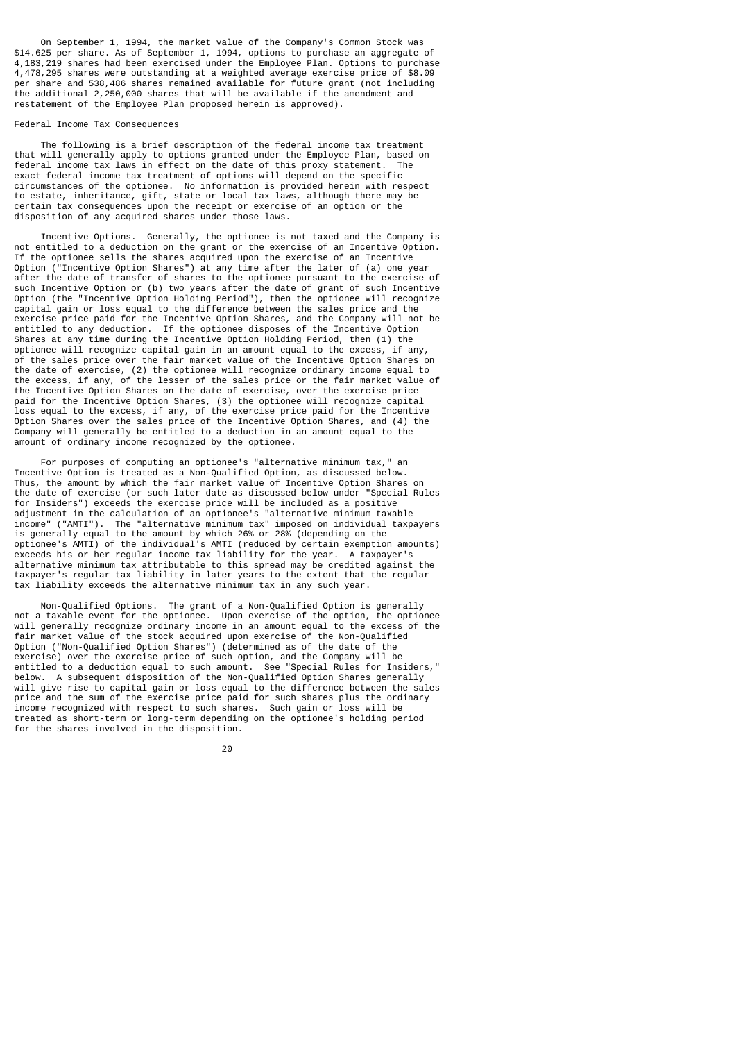On September 1, 1994, the market value of the Company's Common Stock was \$14.625 per share. As of September 1, 1994, options to purchase an aggregate of 4,183,219 shares had been exercised under the Employee Plan. Options to purchase 4,478,295 shares were outstanding at a weighted average exercise price of \$8.09 per share and 538,486 shares remained available for future grant (not including the additional 2,250,000 shares that will be available if the amendment and restatement of the Employee Plan proposed herein is approved).

### Federal Income Tax Consequences

 The following is a brief description of the federal income tax treatment that will generally apply to options granted under the Employee Plan, based on federal income tax laws in effect on the date of this proxy statement. The exact federal income tax treatment of options will depend on the specific circumstances of the optionee. No information is provided herein with respect to estate, inheritance, gift, state or local tax laws, although there may be certain tax consequences upon the receipt or exercise of an option or the disposition of any acquired shares under those laws.

 Incentive Options. Generally, the optionee is not taxed and the Company is not entitled to a deduction on the grant or the exercise of an Incentive Option. If the optionee sells the shares acquired upon the exercise of an Incentive Option ("Incentive Option Shares") at any time after the later of (a) one year after the date of transfer of shares to the optionee pursuant to the exercise of such Incentive Option or (b) two years after the date of grant of such Incentive Option (the "Incentive Option Holding Period"), then the optionee will recognize capital gain or loss equal to the difference between the sales price and the exercise price paid for the Incentive Option Shares, and the Company will not be entitled to any deduction. If the optionee disposes of the Incentive Option Shares at any time during the Incentive Option Holding Period, then (1) the optionee will recognize capital gain in an amount equal to the excess, if any, of the sales price over the fair market value of the Incentive Option Shares on the date of exercise, (2) the optionee will recognize ordinary income equal to the excess, if any, of the lesser of the sales price or the fair market value of the Incentive Option Shares on the date of exercise, over the exercise price paid for the Incentive Option Shares, (3) the optionee will recognize capital loss equal to the excess, if any, of the exercise price paid for the Incentive Option Shares over the sales price of the Incentive Option Shares, and (4) the Company will generally be entitled to a deduction in an amount equal to the amount of ordinary income recognized by the optionee.

 For purposes of computing an optionee's "alternative minimum tax," an Incentive Option is treated as a Non-Qualified Option, as discussed below. Thus, the amount by which the fair market value of Incentive Option Shares on the date of exercise (or such later date as discussed below under "Special Rules for Insiders") exceeds the exercise price will be included as a positive adjustment in the calculation of an optionee's "alternative minimum taxable income" ("AMTI"). The "alternative minimum tax" imposed on individual taxpayers is generally equal to the amount by which 26% or 28% (depending on the optionee's AMTI) of the individual's AMTI (reduced by certain exemption amounts) exceeds his or her regular income tax liability for the year. A taxpayer's alternative minimum tax attributable to this spread may be credited against the taxpayer's regular tax liability in later years to the extent that the regular tax liability exceeds the alternative minimum tax in any such year.

 Non-Qualified Options. The grant of a Non-Qualified Option is generally not a taxable event for the optionee. Upon exercise of the option, the optionee will generally recognize ordinary income in an amount equal to the excess of the fair market value of the stock acquired upon exercise of the Non-Qualified Option ("Non-Qualified Option Shares") (determined as of the date of the exercise) over the exercise price of such option, and the Company will be entitled to a deduction equal to such amount. See "Special Rules for Insiders," below. A subsequent disposition of the Non-Qualified Option Shares generally will give rise to capital gain or loss equal to the difference between the sales price and the sum of the exercise price paid for such shares plus the ordinary income recognized with respect to such shares. Such gain or loss will be treated as short-term or long-term depending on the optionee's holding period for the shares involved in the disposition.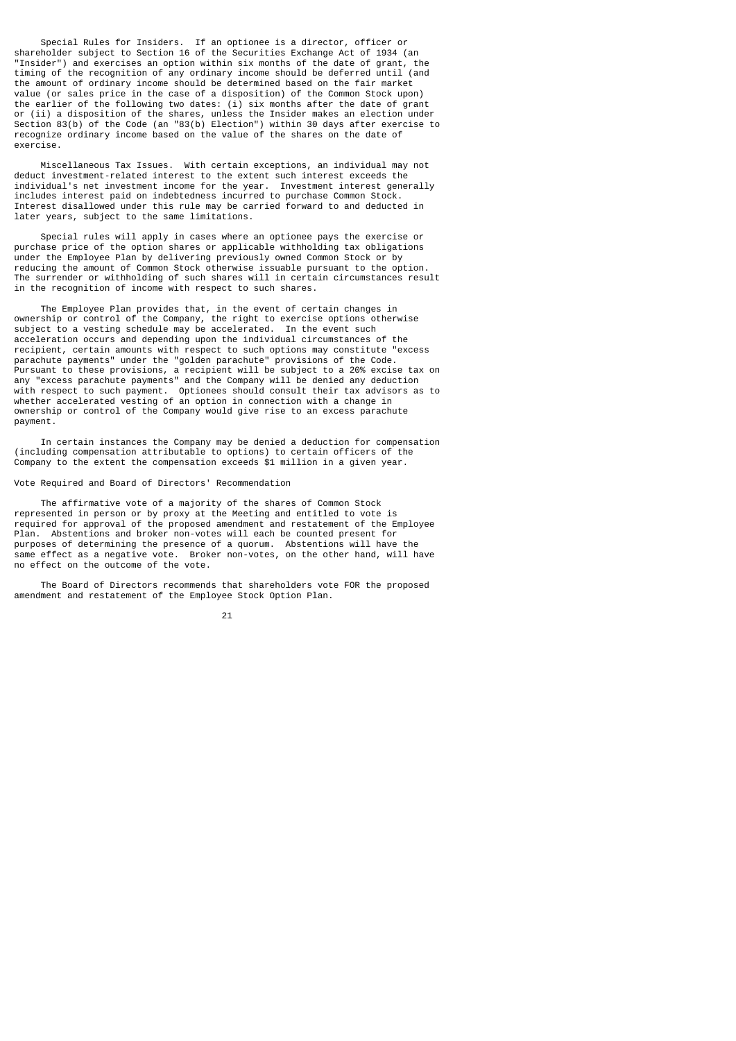Special Rules for Insiders. If an optionee is a director, officer or shareholder subject to Section 16 of the Securities Exchange Act of 1934 (an "Insider") and exercises an option within six months of the date of grant, the timing of the recognition of any ordinary income should be deferred until (and the amount of ordinary income should be determined based on the fair market value (or sales price in the case of a disposition) of the Common Stock upon) the earlier of the following two dates: (i) six months after the date of grant or (ii) a disposition of the shares, unless the Insider makes an election under Section 83(b) of the Code (an "83(b) Election") within 30 days after exercise to recognize ordinary income based on the value of the shares on the date of exercise.

 Miscellaneous Tax Issues. With certain exceptions, an individual may not deduct investment-related interest to the extent such interest exceeds the individual's net investment income for the year. Investment interest generally includes interest paid on indebtedness incurred to purchase Common Stock. Interest disallowed under this rule may be carried forward to and deducted in later years, subject to the same limitations.

 Special rules will apply in cases where an optionee pays the exercise or purchase price of the option shares or applicable withholding tax obligations under the Employee Plan by delivering previously owned Common Stock or by reducing the amount of Common Stock otherwise issuable pursuant to the option. The surrender or withholding of such shares will in certain circumstances result in the recognition of income with respect to such shares.

 The Employee Plan provides that, in the event of certain changes in ownership or control of the Company, the right to exercise options otherwise subject to a vesting schedule may be accelerated. In the event such acceleration occurs and depending upon the individual circumstances of the recipient, certain amounts with respect to such options may constitute "excess parachute payments" under the "golden parachute" provisions of the Code. Pursuant to these provisions, a recipient will be subject to a 20% excise tax on any "excess parachute payments" and the Company will be denied any deduction with respect to such payment. Optionees should consult their tax advisors as to whether accelerated vesting of an option in connection with a change in ownership or control of the Company would give rise to an excess parachute payment.

 In certain instances the Company may be denied a deduction for compensation (including compensation attributable to options) to certain officers of the Company to the extent the compensation exceeds \$1 million in a given year.

Vote Required and Board of Directors' Recommendation

 The affirmative vote of a majority of the shares of Common Stock represented in person or by proxy at the Meeting and entitled to vote is required for approval of the proposed amendment and restatement of the Employee Plan. Abstentions and broker non-votes will each be counted present for purposes of determining the presence of a quorum. Abstentions will have the same effect as a negative vote. Broker non-votes, on the other hand, will have no effect on the outcome of the vote.

 The Board of Directors recommends that shareholders vote FOR the proposed amendment and restatement of the Employee Stock Option Plan.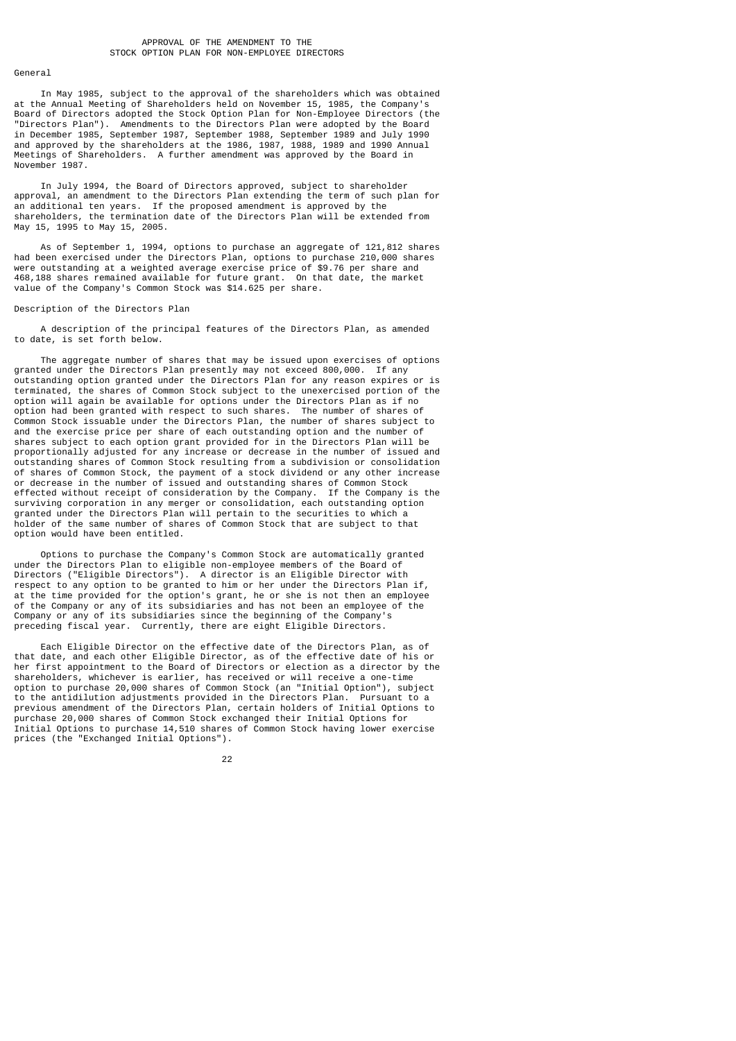#### General

 In May 1985, subject to the approval of the shareholders which was obtained at the Annual Meeting of Shareholders held on November 15, 1985, the Company's Board of Directors adopted the Stock Option Plan for Non-Employee Directors (the "Directors Plan"). Amendments to the Directors Plan were adopted by the Board in December 1985, September 1987, September 1988, September 1989 and July 1990 and approved by the shareholders at the 1986, 1987, 1988, 1989 and 1990 Annual Meetings of Shareholders. A further amendment was approved by the Board in November 1987.

 In July 1994, the Board of Directors approved, subject to shareholder approval, an amendment to the Directors Plan extending the term of such plan for an additional ten years. If the proposed amendment is approved by the shareholders, the termination date of the Directors Plan will be extended from May 15, 1995 to May 15, 2005.

 As of September 1, 1994, options to purchase an aggregate of 121,812 shares had been exercised under the Directors Plan, options to purchase 210,000 shares were outstanding at a weighted average exercise price of \$9.76 per share and 468,188 shares remained available for future grant. On that date, the market value of the Company's Common Stock was \$14.625 per share.

Description of the Directors Plan

 A description of the principal features of the Directors Plan, as amended to date, is set forth below.

 The aggregate number of shares that may be issued upon exercises of options granted under the Directors Plan presently may not exceed 800,000. If any outstanding option granted under the Directors Plan for any reason expires or is terminated, the shares of Common Stock subject to the unexercised portion of the option will again be available for options under the Directors Plan as if no option had been granted with respect to such shares. The number of shares of Common Stock issuable under the Directors Plan, the number of shares subject to and the exercise price per share of each outstanding option and the number of shares subject to each option grant provided for in the Directors Plan will be proportionally adjusted for any increase or decrease in the number of issued and outstanding shares of Common Stock resulting from a subdivision or consolidation of shares of Common Stock, the payment of a stock dividend or any other increase or decrease in the number of issued and outstanding shares of Common Stock effected without receipt of consideration by the Company. If the Company is the surviving corporation in any merger or consolidation, each outstanding option granted under the Directors Plan will pertain to the securities to which a holder of the same number of shares of Common Stock that are subject to that option would have been entitled.

 Options to purchase the Company's Common Stock are automatically granted under the Directors Plan to eligible non-employee members of the Board of Directors ("Eligible Directors"). A director is an Eligible Director with respect to any option to be granted to him or her under the Directors Plan if, at the time provided for the option's grant, he or she is not then an employee of the Company or any of its subsidiaries and has not been an employee of the Company or any of its subsidiaries since the beginning of the Company's preceding fiscal year. Currently, there are eight Eligible Directors.

 Each Eligible Director on the effective date of the Directors Plan, as of that date, and each other Eligible Director, as of the effective date of his or her first appointment to the Board of Directors or election as a director by the shareholders, whichever is earlier, has received or will receive a one-time option to purchase 20,000 shares of Common Stock (an "Initial Option"), subject to the antidilution adjustments provided in the Directors Plan. Pursuant to a previous amendment of the Directors Plan, certain holders of Initial Options to purchase 20,000 shares of Common Stock exchanged their Initial Options for Initial Options to purchase 14,510 shares of Common Stock having lower exercise prices (the "Exchanged Initial Options").

<u>22 and 23 and 23 and 23 and 23 and 23 and 23 and 23 and 23 and 23 and 23 and 23 and 23 and 23 and 23 and 23 and 23 and 23 and 23 and 23 and 23 and 23 and 23 and 23 and 23 and 23 and 23 and 23 and 23 and 23 and 23 and 23 a</u>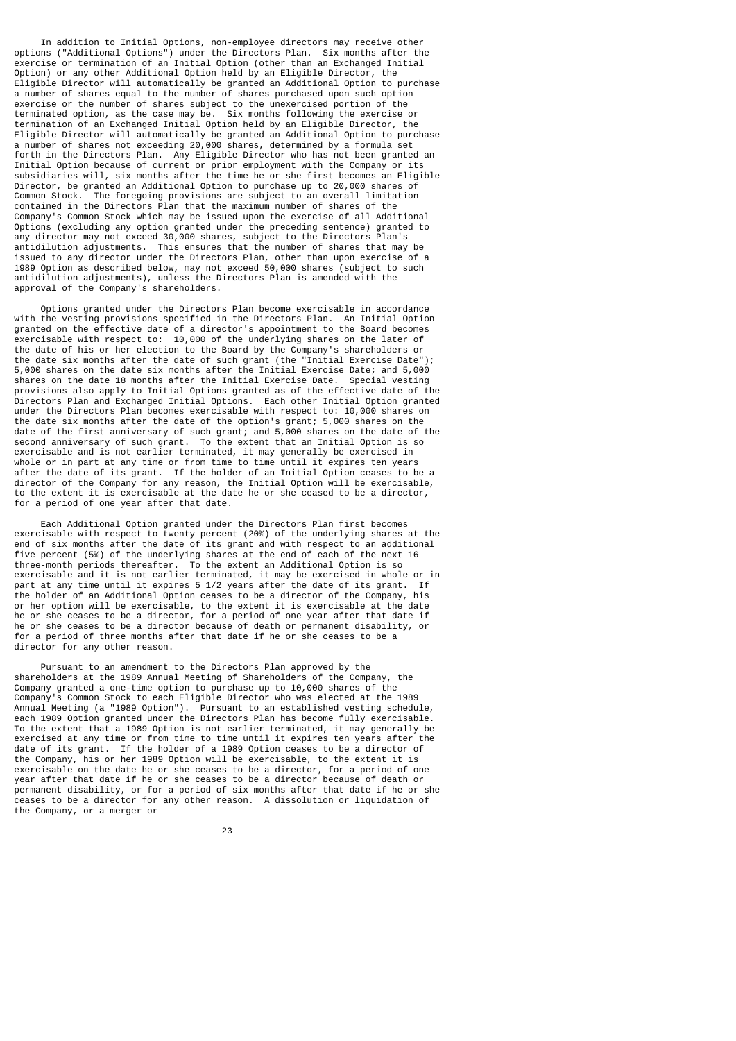In addition to Initial Options, non-employee directors may receive other options ("Additional Options") under the Directors Plan. Six months after the exercise or termination of an Initial Option (other than an Exchanged Initial Option) or any other Additional Option held by an Eligible Director, the Eligible Director will automatically be granted an Additional Option to purchase a number of shares equal to the number of shares purchased upon such option exercise or the number of shares subject to the unexercised portion of the terminated option, as the case may be. Six months following the exercise or termination of an Exchanged Initial Option held by an Eligible Director, the Eligible Director will automatically be granted an Additional Option to purchase a number of shares not exceeding 20,000 shares, determined by a formula set forth in the Directors Plan. Any Eligible Director who has not been granted an Initial Option because of current or prior employment with the Company or its subsidiaries will, six months after the time he or she first becomes an Eligible Director, be granted an Additional Option to purchase up to 20,000 shares of Common Stock. The foregoing provisions are subject to an overall limitation The foregoing provisions are subject to an overall limitation contained in the Directors Plan that the maximum number of shares of the Company's Common Stock which may be issued upon the exercise of all Additional Options (excluding any option granted under the preceding sentence) granted to any director may not exceed 30,000 shares, subject to the Directors Plan's antidilution adjustments. This ensures that the number of shares that may be issued to any director under the Directors Plan, other than upon exercise of a 1989 Option as described below, may not exceed 50,000 shares (subject to such antidilution adjustments), unless the Directors Plan is amended with the approval of the Company's shareholders.

 Options granted under the Directors Plan become exercisable in accordance with the vesting provisions specified in the Directors Plan. An Initial Option granted on the effective date of a director's appointment to the Board becomes exercisable with respect to: 10,000 of the underlying shares on the later of the date of his or her election to the Board by the Company's shareholders or the date six months after the date of such grant (the "Initial Exercise Date"); 5,000 shares on the date six months after the Initial Exercise Date; and 5,000 shares on the date 18 months after the Initial Exercise Date. Special vesting provisions also apply to Initial Options granted as of the effective date of the Directors Plan and Exchanged Initial Options. Each other Initial Option granted under the Directors Plan becomes exercisable with respect to: 10,000 shares on the date six months after the date of the option's grant; 5,000 shares on the date of the first anniversary of such grant; and 5,000 shares on the date of the second anniversary of such grant. To the extent that an Initial Option is so exercisable and is not earlier terminated, it may generally be exercised in whole or in part at any time or from time to time until it expires ten years after the date of its grant. If the holder of an Initial Option ceases to be a director of the Company for any reason, the Initial Option will be exercisable, to the extent it is exercisable at the date he or she ceased to be a director, for a period of one year after that date.

 Each Additional Option granted under the Directors Plan first becomes exercisable with respect to twenty percent (20%) of the underlying shares at the end of six months after the date of its grant and with respect to an additional five percent (5%) of the underlying shares at the end of each of the next 16 three-month periods thereafter. To the extent an Additional Option is so exercisable and it is not earlier terminated, it may be exercised in whole or in part at any time until it expires 5 1/2 years after the date of its grant. If the holder of an Additional Option ceases to be a director of the Company, his or her option will be exercisable, to the extent it is exercisable at the date he or she ceases to be a director, for a period of one year after that date if he or she ceases to be a director because of death or permanent disability, or for a period of three months after that date if he or she ceases to be a director for any other reason.

 Pursuant to an amendment to the Directors Plan approved by the shareholders at the 1989 Annual Meeting of Shareholders of the Company, the Company granted a one-time option to purchase up to 10,000 shares of the Company's Common Stock to each Eligible Director who was elected at the 1989 Annual Meeting (a "1989 Option"). Pursuant to an established vesting schedule, each 1989 Option granted under the Directors Plan has become fully exercisable. To the extent that a 1989 Option is not earlier terminated, it may generally be exercised at any time or from time to time until it expires ten years after the date of its grant. If the holder of a 1989 Option ceases to be a director of the Company, his or her 1989 Option will be exercisable, to the extent it is exercisable on the date he or she ceases to be a director, for a period of one year after that date if he or she ceases to be a director because of death or permanent disability, or for a period of six months after that date if he or she ceases to be a director for any other reason. A dissolution or liquidation of the Company, or a merger or

<u>23 and 23</u>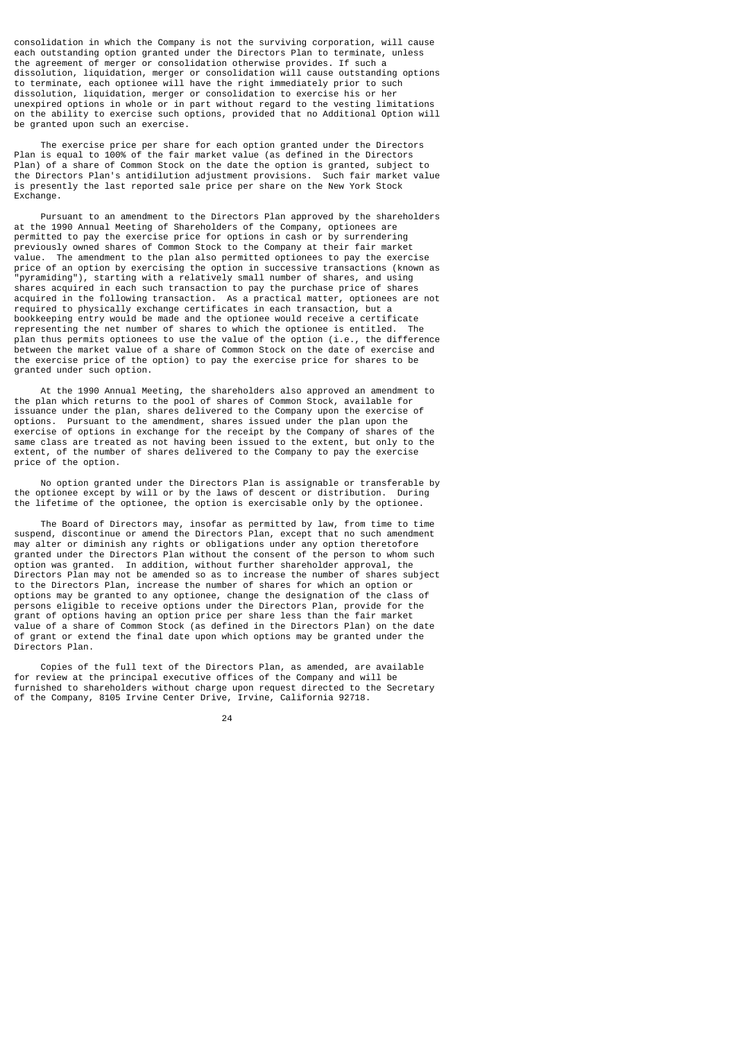consolidation in which the Company is not the surviving corporation, will cause each outstanding option granted under the Directors Plan to terminate, unless the agreement of merger or consolidation otherwise provides. If such a dissolution, liquidation, merger or consolidation will cause outstanding options to terminate, each optionee will have the right immediately prior to such dissolution, liquidation, merger or consolidation to exercise his or her unexpired options in whole or in part without regard to the vesting limitations on the ability to exercise such options, provided that no Additional Option will be granted upon such an exercise.

 The exercise price per share for each option granted under the Directors Plan is equal to 100% of the fair market value (as defined in the Directors Plan) of a share of Common Stock on the date the option is granted, subject to the Directors Plan's antidilution adjustment provisions. Such fair market value is presently the last reported sale price per share on the New York Stock Exchange.

 Pursuant to an amendment to the Directors Plan approved by the shareholders at the 1990 Annual Meeting of Shareholders of the Company, optionees are permitted to pay the exercise price for options in cash or by surrendering previously owned shares of Common Stock to the Company at their fair market<br>value The amendment to the plan also permitted ontionees to pay the exerc The amendment to the plan also permitted optionees to pay the exercise price of an option by exercising the option in successive transactions (known as "pyramiding"), starting with a relatively small number of shares, and using shares acquired in each such transaction to pay the purchase price of shares acquired in the following transaction. As a practical matter, optionees are not required to physically exchange certificates in each transaction, but a bookkeeping entry would be made and the optionee would receive a certificate representing the net number of shares to which the optionee is entitled. The representing the net number of shares to which the optionee is entitled. plan thus permits optionees to use the value of the option (i.e., the difference between the market value of a share of Common Stock on the date of exercise and the exercise price of the option) to pay the exercise price for shares to be granted under such option.

 At the 1990 Annual Meeting, the shareholders also approved an amendment to the plan which returns to the pool of shares of Common Stock, available for issuance under the plan, shares delivered to the Company upon the exercise of options. Pursuant to the amendment, shares issued under the plan upon the exercise of options in exchange for the receipt by the Company of shares of the same class are treated as not having been issued to the extent, but only to the extent, of the number of shares delivered to the Company to pay the exercise price of the option.

 No option granted under the Directors Plan is assignable or transferable by the optionee except by will or by the laws of descent or distribution. During the lifetime of the optionee, the option is exercisable only by the optionee.

 The Board of Directors may, insofar as permitted by law, from time to time suspend, discontinue or amend the Directors Plan, except that no such amendment may alter or diminish any rights or obligations under any option theretofore granted under the Directors Plan without the consent of the person to whom such option was granted. In addition, without further shareholder approval, the Directors Plan may not be amended so as to increase the number of shares subject to the Directors Plan, increase the number of shares for which an option or options may be granted to any optionee, change the designation of the class of persons eligible to receive options under the Directors Plan, provide for the grant of options having an option price per share less than the fair market value of a share of Common Stock (as defined in the Directors Plan) on the date of grant or extend the final date upon which options may be granted under the Directors Plan.

 Copies of the full text of the Directors Plan, as amended, are available for review at the principal executive offices of the Company and will be furnished to shareholders without charge upon request directed to the Secretary of the Company, 8105 Irvine Center Drive, Irvine, California 92718.

24 and 24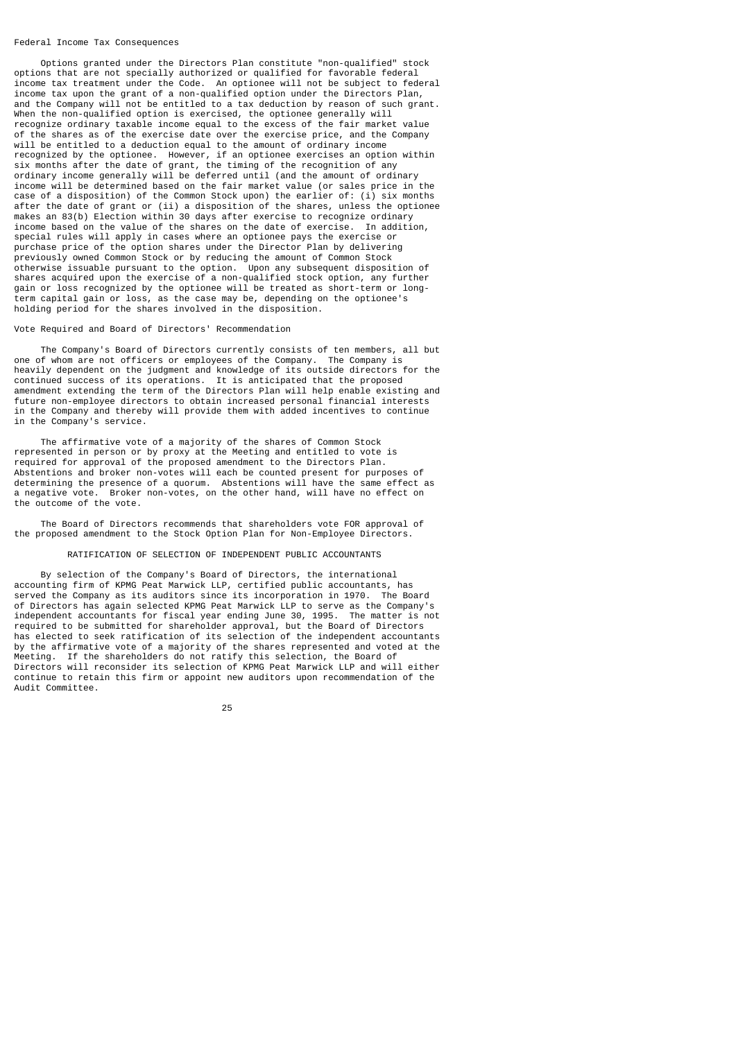#### Federal Income Tax Consequences

 Options granted under the Directors Plan constitute "non-qualified" stock options that are not specially authorized or qualified for favorable federal income tax treatment under the Code. An optionee will not be subject to federal income tax upon the grant of a non-qualified option under the Directors Plan, and the Company will not be entitled to a tax deduction by reason of such grant. When the non-qualified option is exercised, the optionee generally will recognize ordinary taxable income equal to the excess of the fair market value of the shares as of the exercise date over the exercise price, and the Company will be entitled to a deduction equal to the amount of ordinary income recognized by the optionee. However, if an optionee exercises an option within six months after the date of grant, the timing of the recognition of any ordinary income generally will be deferred until (and the amount of ordinary income will be determined based on the fair market value (or sales price in the case of a disposition) of the Common Stock upon) the earlier of: (i) six months after the date of grant or (ii) a disposition of the shares, unless the optionee makes an 83(b) Election within 30 days after exercise to recognize ordinary income based on the value of the shares on the date of exercise. In addition, special rules will apply in cases where an optionee pays the exercise or purchase price of the option shares under the Director Plan by delivering previously owned Common Stock or by reducing the amount of Common Stock otherwise issuable pursuant to the option. Upon any subsequent disposition of shares acquired upon the exercise of a non-qualified stock option, any further gain or loss recognized by the optionee will be treated as short-term or longterm capital gain or loss, as the case may be, depending on the optionee's holding period for the shares involved in the disposition.

### Vote Required and Board of Directors' Recommendation

 The Company's Board of Directors currently consists of ten members, all but one of whom are not officers or employees of the Company. The Company is heavily dependent on the judgment and knowledge of its outside directors for the continued success of its operations. It is anticipated that the proposed amendment extending the term of the Directors Plan will help enable existing and future non-employee directors to obtain increased personal financial interests in the Company and thereby will provide them with added incentives to continue in the Company's service.

 The affirmative vote of a majority of the shares of Common Stock represented in person or by proxy at the Meeting and entitled to vote is required for approval of the proposed amendment to the Directors Plan. Abstentions and broker non-votes will each be counted present for purposes of determining the presence of a quorum. Abstentions will have the same effect as a negative vote. Broker non-votes, on the other hand, will have no effect on the outcome of the vote.

 The Board of Directors recommends that shareholders vote FOR approval of the proposed amendment to the Stock Option Plan for Non-Employee Directors.

#### RATIFICATION OF SELECTION OF INDEPENDENT PUBLIC ACCOUNTANTS

 By selection of the Company's Board of Directors, the international accounting firm of KPMG Peat Marwick LLP, certified public accountants, has served the Company as its auditors since its incorporation in 1970. The Board of Directors has again selected KPMG Peat Marwick LLP to serve as the Company's independent accountants for fiscal year ending June 30, 1995. The matter is not required to be submitted for shareholder approval, but the Board of Directors has elected to seek ratification of its selection of the independent accountants by the affirmative vote of a majority of the shares represented and voted at the Meeting. If the shareholders do not ratify this selection, the Board of Directors will reconsider its selection of KPMG Peat Marwick LLP and will either continue to retain this firm or appoint new auditors upon recommendation of the Audit Committee.

<u>25 and 25 and 26 and 26 and 26 and 26 and 26 and 26 and 26 and 26 and 26 and 26 and 26 and 26 and 26 and 26 and 26 and 26 and 26 and 26 and 26 and 26 and 26 and 26 and 26 and 27 and 27 and 27 and 27 and 27 and 27 and 27 a</u>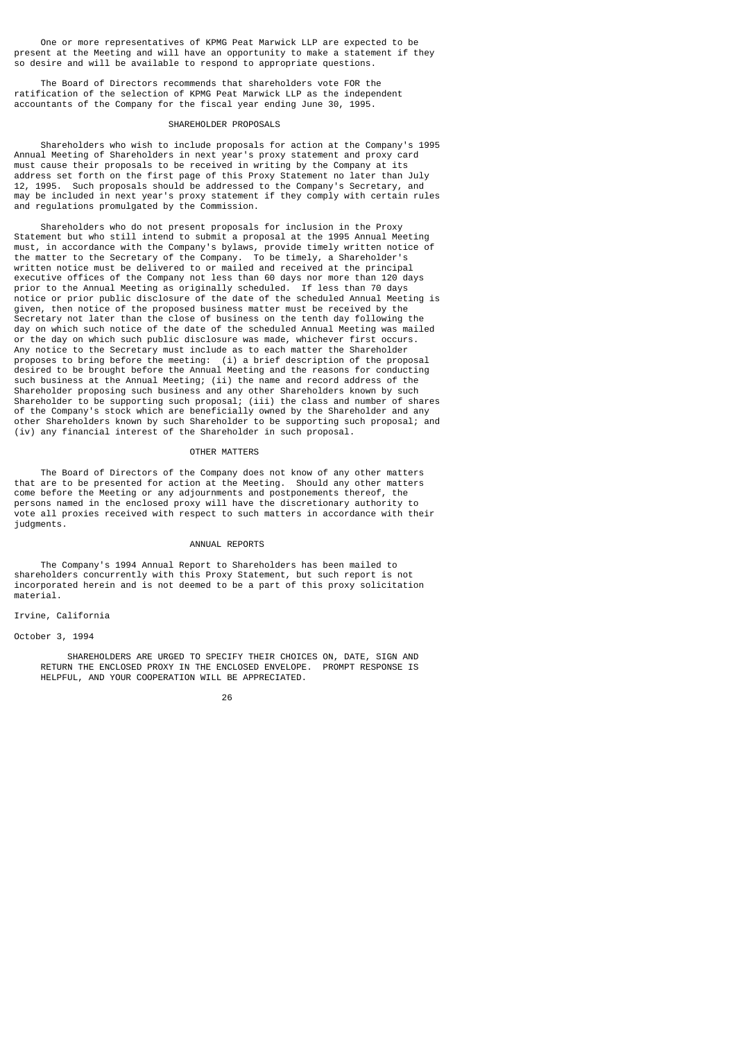One or more representatives of KPMG Peat Marwick LLP are expected to be present at the Meeting and will have an opportunity to make a statement if they so desire and will be available to respond to appropriate questions.

 The Board of Directors recommends that shareholders vote FOR the ratification of the selection of KPMG Peat Marwick LLP as the independent accountants of the Company for the fiscal year ending June 30, 1995.

#### SHAREHOLDER PROPOSALS

 Shareholders who wish to include proposals for action at the Company's 1995 Annual Meeting of Shareholders in next year's proxy statement and proxy card must cause their proposals to be received in writing by the Company at its address set forth on the first page of this Proxy Statement no later than July 12, 1995. Such proposals should be addressed to the Company's Secretary, and may be included in next year's proxy statement if they comply with certain rules and regulations promulgated by the Commission.

 Shareholders who do not present proposals for inclusion in the Proxy Statement but who still intend to submit a proposal at the 1995 Annual Meeting must, in accordance with the Company's bylaws, provide timely written notice of the matter to the Secretary of the Company. To be timely, a Shareholder's written notice must be delivered to or mailed and received at the principal executive offices of the Company not less than 60 days nor more than 120 days prior to the Annual Meeting as originally scheduled. If less than 70 days notice or prior public disclosure of the date of the scheduled Annual Meeting is given, then notice of the proposed business matter must be received by the Secretary not later than the close of business on the tenth day following the day on which such notice of the date of the scheduled Annual Meeting was mailed or the day on which such public disclosure was made, whichever first occurs. Any notice to the Secretary must include as to each matter the Shareholder proposes to bring before the meeting: (i) a brief description of the proposal desired to be brought before the Annual Meeting and the reasons for conducting such business at the Annual Meeting; (ii) the name and record address of the Shareholder proposing such business and any other Shareholders known by such Shareholder to be supporting such proposal; (iii) the class and number of shares of the Company's stock which are beneficially owned by the Shareholder and any other Shareholders known by such Shareholder to be supporting such proposal; and (iv) any financial interest of the Shareholder in such proposal.

# OTHER MATTERS

 The Board of Directors of the Company does not know of any other matters that are to be presented for action at the Meeting. Should any other matters come before the Meeting or any adjournments and postponements thereof, the persons named in the enclosed proxy will have the discretionary authority to vote all proxies received with respect to such matters in accordance with their judgments.

#### ANNUAL REPORTS

 The Company's 1994 Annual Report to Shareholders has been mailed to shareholders concurrently with this Proxy Statement, but such report is not incorporated herein and is not deemed to be a part of this proxy solicitation material.

# Irvine, California

October 3, 1994

 SHAREHOLDERS ARE URGED TO SPECIFY THEIR CHOICES ON, DATE, SIGN AND RETURN THE ENCLOSED PROXY IN THE ENCLOSED ENVELOPE. PROMPT RESPONSE IS HELPFUL, AND YOUR COOPERATION WILL BE APPRECIATED.

<u>26 and 26</u>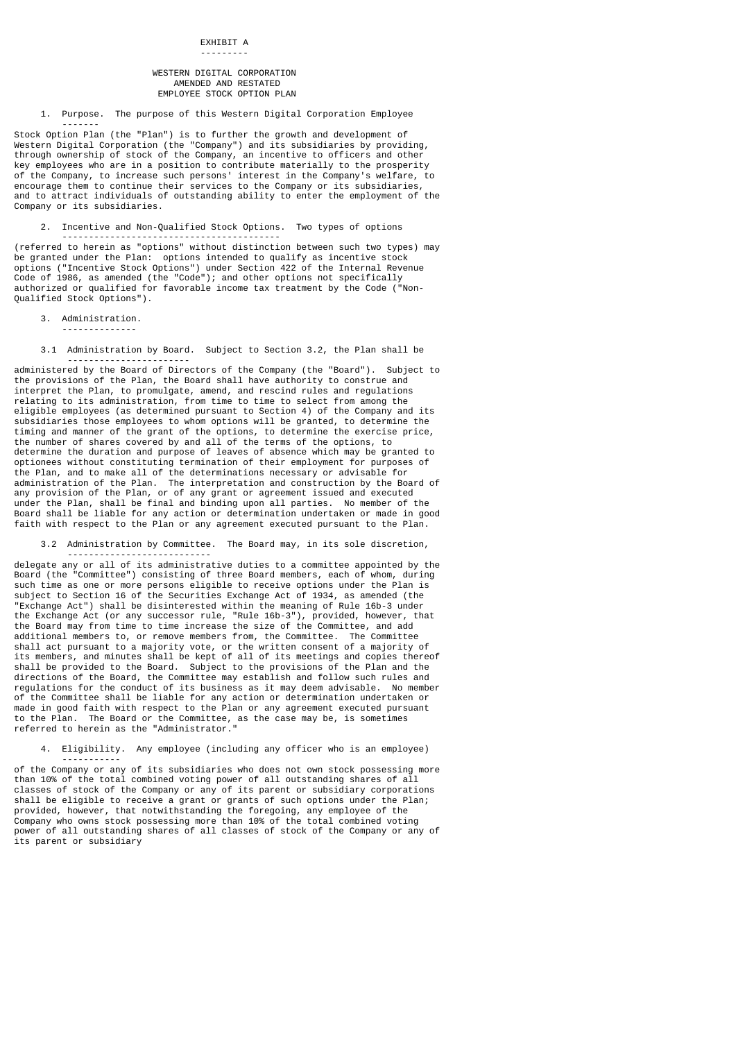### WESTERN DIGITAL CORPORATION AMENDED AND RESTATED EMPLOYEE STOCK OPTION PLAN

1. Purpose. The purpose of this Western Digital Corporation Employee

Stock Option Plan (the "Plan") is to further the growth and development of Western Digital Corporation (the "Company") and its subsidiaries by providing, through ownership of stock of the Company, an incentive to officers and other key employees who are in a position to contribute materially to the prosperity of the Company, to increase such persons' interest in the Company's welfare, to encourage them to continue their services to the Company or its subsidiaries, and to attract individuals of outstanding ability to enter the employment of the Company or its subsidiaries.

2. Incentive and Non-Qualified Stock Options. Two types of options

(referred to herein as "options" without distinction between such two types) may be granted under the Plan: options intended to qualify as incentive stock options ("Incentive Stock Options") under Section 422 of the Internal Revenue Code of 1986, as amended (the "Code"); and other options not specifically authorized or qualified for favorable income tax treatment by the Code ( $\overline{S}$ Qualified Stock Options").

3. Administration.

-------

--------------

-----------------------------------------

 3.1 Administration by Board. Subject to Section 3.2, the Plan shall be -----------------------

administered by the Board of Directors of the Company (the "Board"). Subject to the provisions of the Plan, the Board shall have authority to construe and interpret the Plan, to promulgate, amend, and rescind rules and regulations relating to its administration, from time to time to select from among the eligible employees (as determined pursuant to Section 4) of the Company and its subsidiaries those employees to whom options will be granted, to determine the timing and manner of the grant of the options, to determine the exercise price, the number of shares covered by and all of the terms of the options, to determine the duration and purpose of leaves of absence which may be granted to optionees without constituting termination of their employment for purposes of the Plan, and to make all of the determinations necessary or advisable for administration of the Plan. The interpretation and construction by the Board of any provision of the Plan, or of any grant or agreement issued and executed under the Plan, shall be final and binding upon all parties. No member of the Board shall be liable for any action or determination undertaken or made in good faith with respect to the Plan or any agreement executed pursuant to the Plan.

 3.2 Administration by Committee. The Board may, in its sole discretion, ---------------------------

delegate any or all of its administrative duties to a committee appointed by the Board (the "Committee") consisting of three Board members, each of whom, during such time as one or more persons eligible to receive options under the Plan is subject to Section 16 of the Securities Exchange Act of 1934, as amended (the "Exchange Act") shall be disinterested within the meaning of Rule 16b-3 under the Exchange Act (or any successor rule, "Rule 16b-3"), provided, however, that the Board may from time to time increase the size of the Committee, and add additional members to, or remove members from, the Committee. The Committee shall act pursuant to a majority vote, or the written consent of a majority of its members, and minutes shall be kept of all of its meetings and copies thereof shall be provided to the Board. Subject to the provisions of the Plan and the directions of the Board, the Committee may establish and follow such rules and regulations for the conduct of its business as it may deem advisable. No member of the Committee shall be liable for any action or determination undertaken or made in good faith with respect to the Plan or any agreement executed pursuant to the Plan. The Board or the Committee, as the case may be, is sometimes referred to herein as the "Administrator."

# 4. Eligibility. Any employee (including any officer who is an employee)

 ---------- of the Company or any of its subsidiaries who does not own stock possessing more than 10% of the total combined voting power of all outstanding shares of all classes of stock of the Company or any of its parent or subsidiary corporations shall be eligible to receive a grant or grants of such options under the Plan; provided, however, that notwithstanding the foregoing, any employee of the Company who owns stock possessing more than 10% of the total combined voting power of all outstanding shares of all classes of stock of the Company or any of its parent or subsidiary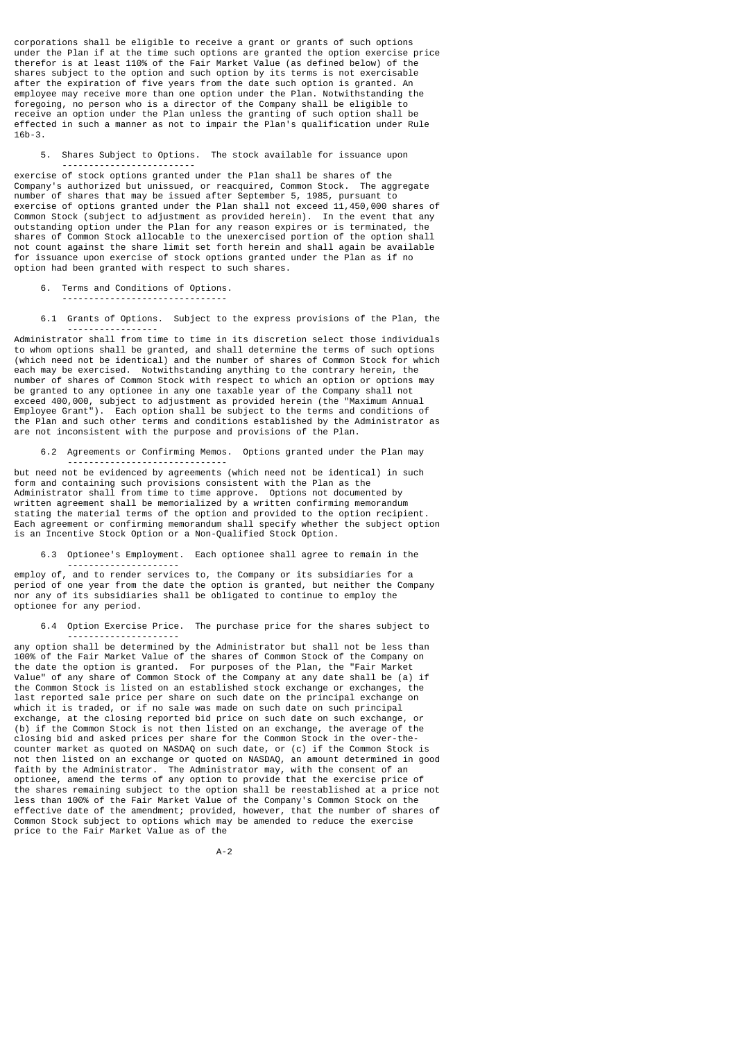corporations shall be eligible to receive a grant or grants of such options under the Plan if at the time such options are granted the option exercise price therefor is at least 110% of the Fair Market Value (as defined below) of the shares subject to the option and such option by its terms is not exercisable after the expiration of five years from the date such option is granted. An employee may receive more than one option under the Plan. Notwithstanding the foregoing, no person who is a director of the Company shall be eligible to receive an option under the Plan unless the granting of such option shall be effected in such a manner as not to impair the Plan's qualification under Rule 16b-3.

5. Shares Subject to Options. The stock available for issuance upon

 ------------------------ exercise of stock options granted under the Plan shall be shares of the Company's authorized but unissued, or reacquired, Common Stock. The aggregate number of shares that may be issued after September 5, 1985, pursuant to exercise of options granted under the Plan shall not exceed 11,450,000 shares of Common Stock (subject to adjustment as provided herein). In the event that any outstanding option under the Plan for any reason expires or is terminated, the shares of Common Stock allocable to the unexercised portion of the option shall not count against the share limit set forth herein and shall again be available for issuance upon exercise of stock options granted under the Plan as if no option had been granted with respect to such shares.

6. Terms and Conditions of Options.

-------------------------------

 6.1 Grants of Options. Subject to the express provisions of the Plan, the -----------------

Administrator shall from time to time in its discretion select those individuals to whom options shall be granted, and shall determine the terms of such options (which need not be identical) and the number of shares of Common Stock for which each may be exercised. Notwithstanding anything to the contrary herein, the number of shares of Common Stock with respect to which an option or options may be granted to any optionee in any one taxable year of the Company shall not exceed 400,000, subject to adjustment as provided herein (the "Maximum Annual Employee Grant"). Each option shall be subject to the terms and conditions of the Plan and such other terms and conditions established by the Administrator as are not inconsistent with the purpose and provisions of the Plan.

6.2 Agreements or Confirming Memos. Options granted under the Plan may

 ----------------------------- but need not be evidenced by agreements (which need not be identical) in such form and containing such provisions consistent with the Plan as the Administrator shall from time to time approve. Options not documented by written agreement shall be memorialized by a written confirming memorandum stating the material terms of the option and provided to the option recipient. Each agreement or confirming memorandum shall specify whether the subject option is an Incentive Stock Option or a Non-Qualified Stock Option.

6.3 Optionee's Employment. Each optionee shall agree to remain in the

 -------------------- employ of, and to render services to, the Company or its subsidiaries for a period of one year from the date the option is granted, but neither the Company nor any of its subsidiaries shall be obligated to continue to employ the optionee for any period.

6.4 Option Exercise Price. The purchase price for the shares subject to

 -------------------- any option shall be determined by the Administrator but shall not be less than 100% of the Fair Market Value of the shares of Common Stock of the Company on the date the option is granted. For purposes of the Plan, the "Fair Market Value" of any share of Common Stock of the Company at any date shall be (a) if the Common Stock is listed on an established stock exchange or exchanges, the last reported sale price per share on such date on the principal exchange on which it is traded, or if no sale was made on such date on such principal exchange, at the closing reported bid price on such date on such exchange, or (b) if the Common Stock is not then listed on an exchange, the average of the closing bid and asked prices per share for the Common Stock in the over-thecounter market as quoted on NASDAQ on such date, or (c) if the Common Stock is not then listed on an exchange or quoted on NASDAQ, an amount determined in good faith by the Administrator. The Administrator may, with the consent of an optionee, amend the terms of any option to provide that the exercise price of the shares remaining subject to the option shall be reestablished at a price not less than 100% of the Fair Market Value of the Company's Common Stock on the effective date of the amendment; provided, however, that the number of shares of Common Stock subject to options which may be amended to reduce the exercise price to the Fair Market Value as of the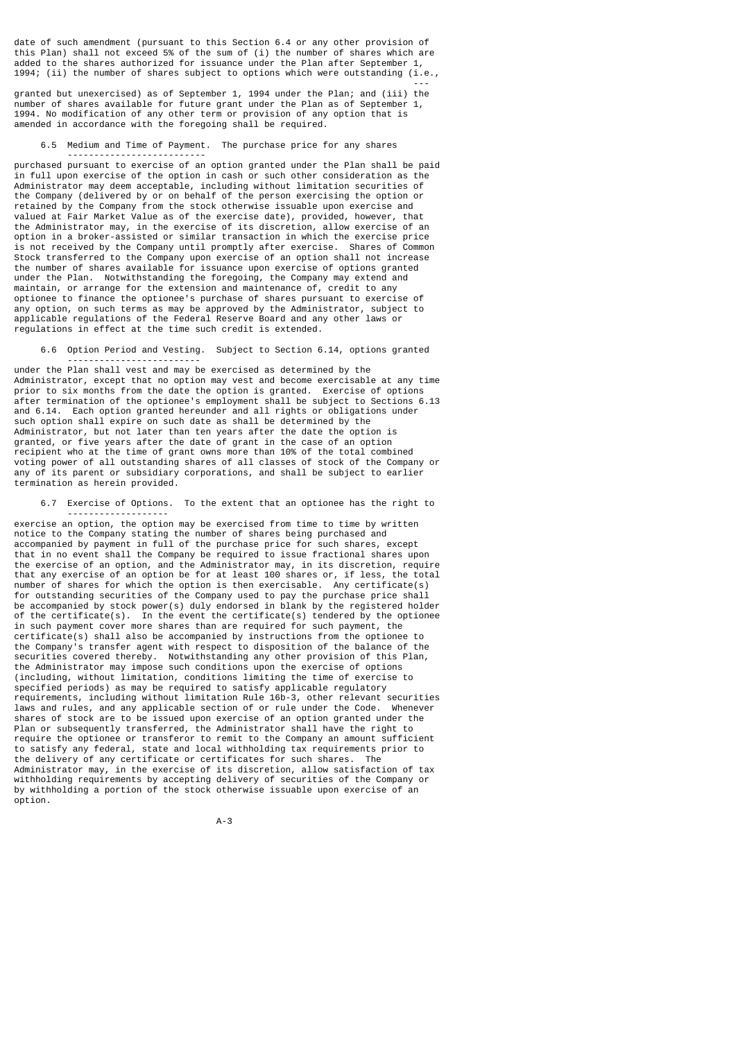date of such amendment (pursuant to this Section 6.4 or any other provision of this Plan) shall not exceed 5% of the sum of (i) the number of shares which are added to the shares authorized for issuance under the Plan after September 1, 1994; (ii) the number of shares subject to options which were outstanding (i.e.,

---

granted but unexercised) as of September 1, 1994 under the Plan; and (iii) the number of shares available for future grant under the Plan as of September 1, 1994. No modification of any other term or provision of any option that is amended in accordance with the foregoing shall be required.

# 6.5 Medium and Time of Payment. The purchase price for any shares

 ------------------------- purchased pursuant to exercise of an option granted under the Plan shall be paid in full upon exercise of the option in cash or such other consideration as the Administrator may deem acceptable, including without limitation securities of the Company (delivered by or on behalf of the person exercising the option or retained by the Company from the stock otherwise issuable upon exercise and valued at Fair Market Value as of the exercise date), provided, however, that the Administrator may, in the exercise of its discretion, allow exercise of an option in a broker-assisted or similar transaction in which the exercise price is not received by the Company until promptly after exercise. Shares of Common Stock transferred to the Company upon exercise of an option shall not increase the number of shares available for issuance upon exercise of options granted under the Plan. Notwithstanding the foregoing, the Company may extend and maintain, or arrange for the extension and maintenance of, credit to any optionee to finance the optionee's purchase of shares pursuant to exercise of any option, on such terms as may be approved by the Administrator, subject to applicable regulations of the Federal Reserve Board and any other laws or regulations in effect at the time such credit is extended.

 6.6 Option Period and Vesting. Subject to Section 6.14, options granted -------------------------

under the Plan shall vest and may be exercised as determined by the Administrator, except that no option may vest and become exercisable at any time prior to six months from the date the option is granted. Exercise of options after termination of the optionee's employment shall be subject to Sections 6.13 and 6.14. Each option granted hereunder and all rights or obligations under such option shall expire on such date as shall be determined by the Administrator, but not later than ten years after the date the option is granted, or five years after the date of grant in the case of an option recipient who at the time of grant owns more than 10% of the total combined voting power of all outstanding shares of all classes of stock of the Company or any of its parent or subsidiary corporations, and shall be subject to earlier termination as herein provided.

 6.7 Exercise of Options. To the extent that an optionee has the right to -------------------

exercise an option, the option may be exercised from time to time by written notice to the Company stating the number of shares being purchased and accompanied by payment in full of the purchase price for such shares, except that in no event shall the Company be required to issue fractional shares upon the exercise of an option, and the Administrator may, in its discretion, require that any exercise of an option be for at least 100 shares or, if less, the total number of shares for which the option is then exercisable. Any certificate(s) for outstanding securities of the Company used to pay the purchase price shall be accompanied by stock power(s) duly endorsed in blank by the registered holder of the certificate(s). In the event the certificate(s) tendered by the optionee in such payment cover more shares than are required for such payment, the certificate(s) shall also be accompanied by instructions from the optionee to the Company's transfer agent with respect to disposition of the balance of the securities covered thereby. Notwithstanding any other provision of this Plan, the Administrator may impose such conditions upon the exercise of options (including, without limitation, conditions limiting the time of exercise to specified periods) as may be required to satisfy applicable regulatory requirements, including without limitation Rule 16b-3, other relevant securities laws and rules, and any applicable section of or rule under the Code. Whenever shares of stock are to be issued upon exercise of an option granted under the Plan or subsequently transferred, the Administrator shall have the right to require the optionee or transferor to remit to the Company an amount sufficient to satisfy any federal, state and local withholding tax requirements prior to the delivery of any certificate or certificates for such shares. The Administrator may, in the exercise of its discretion, allow satisfaction of tax withholding requirements by accepting delivery of securities of the Company or by withholding a portion of the stock otherwise issuable upon exercise of an option.

A-3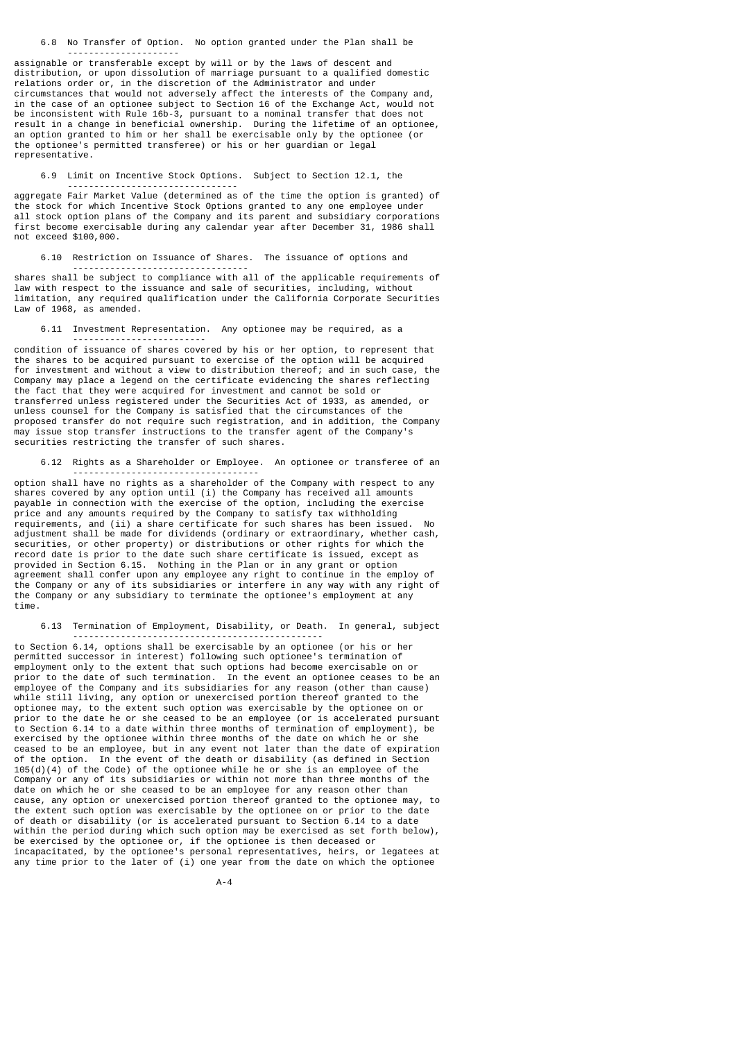6.8 No Transfer of Option. No option granted under the Plan shall be

---------------------

--------------------------------

---------------------------------

assignable or transferable except by will or by the laws of descent and distribution, or upon dissolution of marriage pursuant to a qualified domestic relations order or, in the discretion of the Administrator and under circumstances that would not adversely affect the interests of the Company and, in the case of an optionee subject to Section 16 of the Exchange Act, would not be inconsistent with Rule 16b-3, pursuant to a nominal transfer that does not result in a change in beneficial ownership. During the lifetime of an optionee, an option granted to him or her shall be exercisable only by the optionee (or the optionee's permitted transferee) or his or her guardian or legal representative.

6.9 Limit on Incentive Stock Options. Subject to Section 12.1, the

aggregate Fair Market Value (determined as of the time the option is granted) of the stock for which Incentive Stock Options granted to any one employee under all stock option plans of the Company and its parent and subsidiary corporations first become exercisable during any calendar year after December 31, 1986 shall not exceed \$100,000.

6.10 Restriction on Issuance of Shares. The issuance of options and

shares shall be subject to compliance with all of the applicable requirements of law with respect to the issuance and sale of securities, including, without limitation, any required qualification under the California Corporate Securities Law of 1968, as amended.

6.11 Investment Representation. Any optionee may be required, as a

 ------------------------ condition of issuance of shares covered by his or her option, to represent that the shares to be acquired pursuant to exercise of the option will be acquired for investment and without a view to distribution thereof; and in such case, the Company may place a legend on the certificate evidencing the shares reflecting the fact that they were acquired for investment and cannot be sold or transferred unless registered under the Securities Act of 1933, as amended, or unless counsel for the Company is satisfied that the circumstances of the proposed transfer do not require such registration, and in addition, the Company may issue stop transfer instructions to the transfer agent of the Company's securities restricting the transfer of such shares.

6.12 Rights as a Shareholder or Employee. An optionee or transferee of an

 ---------------------------------- option shall have no rights as a shareholder of the Company with respect to any shares covered by any option until (i) the Company has received all amounts payable in connection with the exercise of the option, including the exercise price and any amounts required by the Company to satisfy tax withholding requirements, and (ii) a share certificate for such shares has been issued. No adjustment shall be made for dividends (ordinary or extraordinary, whether cash, securities, or other property) or distributions or other rights for which the record date is prior to the date such share certificate is issued, except as provided in Section 6.15. Nothing in the Plan or in any grant or option agreement shall confer upon any employee any right to continue in the employ of the Company or any of its subsidiaries or interfere in any way with any right of the Company or any subsidiary to terminate the optionee's employment at any time.

6.13 Termination of Employment, Disability, or Death. In general, subject

-----------------------------------------------

to Section 6.14, options shall be exercisable by an optionee (or his or her permitted successor in interest) following such optionee's termination of employment only to the extent that such options had become exercisable on or prior to the date of such termination. In the event an optionee ceases to be an employee of the Company and its subsidiaries for any reason (other than cause) while still living, any option or unexercised portion thereof granted to the optionee may, to the extent such option was exercisable by the optionee on or prior to the date he or she ceased to be an employee (or is accelerated pursuant to Section 6.14 to a date within three months of termination of employment), be exercised by the optionee within three months of the date on which he or she ceased to be an employee, but in any event not later than the date of expiration of the option. In the event of the death or disability (as defined in Section  $105(d)(4)$  of the Code) of the optionee while he or she is an employee of the Company or any of its subsidiaries or within not more than three months of the date on which he or she ceased to be an employee for any reason other than cause, any option or unexercised portion thereof granted to the optionee may, to the extent such option was exercisable by the optionee on or prior to the date of death or disability (or is accelerated pursuant to Section 6.14 to a date within the period during which such option may be exercised as set forth below), be exercised by the optionee or, if the optionee is then deceased or incapacitated, by the optionee's personal representatives, heirs, or legatees at any time prior to the later of (i) one year from the date on which the optionee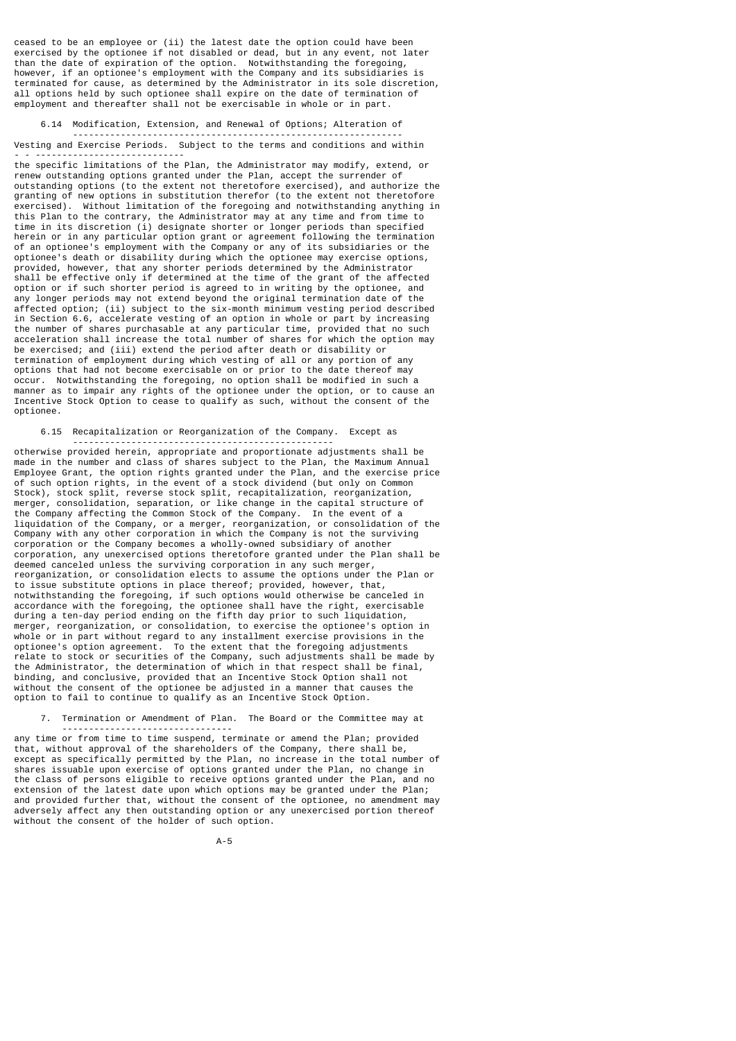ceased to be an employee or (ii) the latest date the option could have been exercised by the optionee if not disabled or dead, but in any event, not later than the date of expiration of the option. Notwithstanding the foregoing, however, if an optionee's employment with the Company and its subsidiaries is terminated for cause, as determined by the Administrator in its sole discretion, all options held by such optionee shall expire on the date of termination of employment and thereafter shall not be exercisable in whole or in part.

### 6.14 Modification, Extension, and Renewal of Options; Alteration of

 -------------------------------------------------------------- Vesting and Exercise Periods. Subject to the terms and conditions and within - - ----------------------------

the specific limitations of the Plan, the Administrator may modify, extend, or renew outstanding options granted under the Plan, accept the surrender of outstanding options (to the extent not theretofore exercised), and authorize the granting of new options in substitution therefor (to the extent not theretofore exercised). Without limitation of the foregoing and notwithstanding anything in this Plan to the contrary, the Administrator may at any time and from time to time in its discretion (i) designate shorter or longer periods than specified herein or in any particular option grant or agreement following the termination of an optionee's employment with the Company or any of its subsidiaries or the optionee's death or disability during which the optionee may exercise options, provided, however, that any shorter periods determined by the Administrator shall be effective only if determined at the time of the grant of the affected option or if such shorter period is agreed to in writing by the optionee, and any longer periods may not extend beyond the original termination date of the affected option; (ii) subject to the six-month minimum vesting period described in Section 6.6, accelerate vesting of an option in whole or part by increasing the number of shares purchasable at any particular time, provided that no such acceleration shall increase the total number of shares for which the option may be exercised; and (iii) extend the period after death or disability or termination of employment during which vesting of all or any portion of any options that had not become exercisable on or prior to the date thereof may occur. Notwithstanding the foregoing, no option shall be modified in such a manner as to impair any rights of the optionee under the option, or to cause an Incentive Stock Option to cease to qualify as such, without the consent of the optionee.

### 6.15 Recapitalization or Reorganization of the Company. Except as -------------------------------------------------

otherwise provided herein, appropriate and proportionate adjustments shall be made in the number and class of shares subject to the Plan, the Maximum Annual Employee Grant, the option rights granted under the Plan, and the exercise price of such option rights, in the event of a stock dividend (but only on Common Stock), stock split, reverse stock split, recapitalization, reorganization, merger, consolidation, separation, or like change in the capital structure of the Company affecting the Common Stock of the Company. In the event of a liquidation of the Company, or a merger, reorganization, or consolidation of the Company with any other corporation in which the Company is not the surviving corporation or the Company becomes a wholly-owned subsidiary of another corporation, any unexercised options theretofore granted under the Plan shall be deemed canceled unless the surviving corporation in any such merger, reorganization, or consolidation elects to assume the options under the Plan or to issue substitute options in place thereof; provided, however, that, notwithstanding the foregoing, if such options would otherwise be canceled in accordance with the foregoing, the optionee shall have the right, exercisable during a ten-day period ending on the fifth day prior to such liquidation, merger, reorganization, or consolidation, to exercise the optionee's option in whole or in part without regard to any installment exercise provisions in the optionee's option agreement. To the extent that the foregoing adjustments relate to stock or securities of the Company, such adjustments shall be made by the Administrator, the determination of which in that respect shall be final, binding, and conclusive, provided that an Incentive Stock Option shall not without the consent of the optionee be adjusted in a manner that causes the option to fail to continue to qualify as an Incentive Stock Option.

7. Termination or Amendment of Plan. The Board or the Committee may at

 ------------------------------- any time or from time to time suspend, terminate or amend the Plan; provided that, without approval of the shareholders of the Company, there shall be, except as specifically permitted by the Plan, no increase in the total number of shares issuable upon exercise of options granted under the Plan, no change in the class of persons eligible to receive options granted under the Plan, and no extension of the latest date upon which options may be granted under the Plan; and provided further that, without the consent of the optionee, no amendment may adversely affect any then outstanding option or any unexercised portion thereof without the consent of the holder of such option.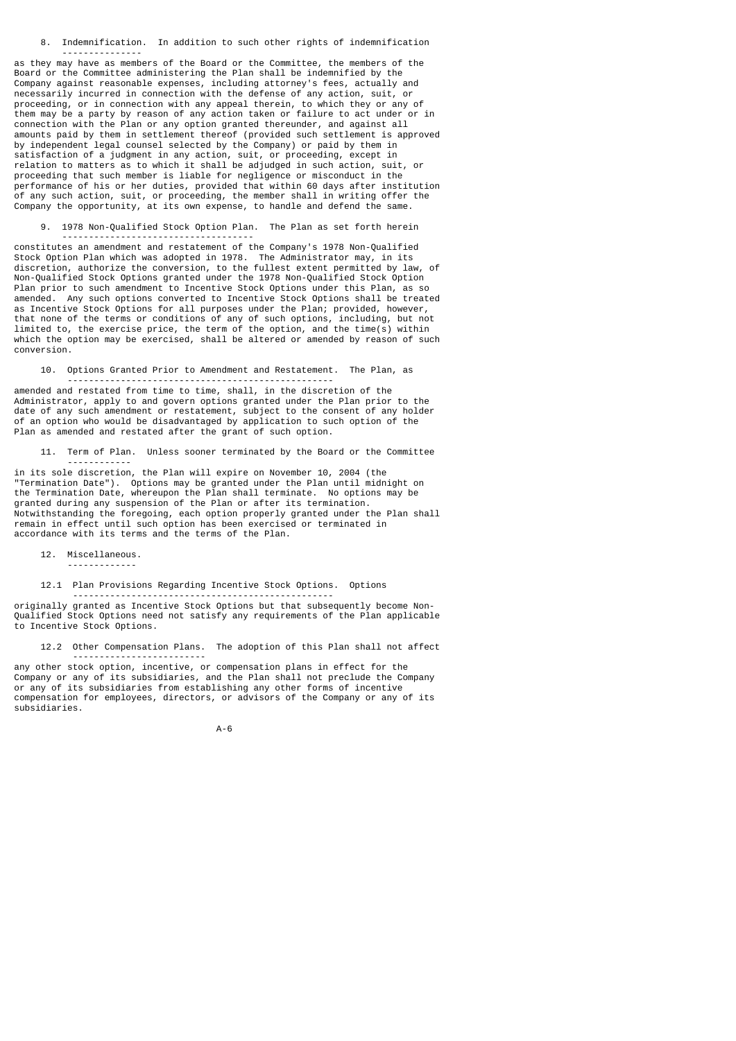8. Indemnification. In addition to such other rights of indemnification

as they may have as members of the Board or the Committee, the members of the Board or the Committee administering the Plan shall be indemnified by the Company against reasonable expenses, including attorney's fees, actually and necessarily incurred in connection with the defense of any action, suit, or proceeding, or in connection with any appeal therein, to which they or any of them may be a party by reason of any action taken or failure to act under or in connection with the Plan or any option granted thereunder, and against all amounts paid by them in settlement thereof (provided such settlement is approved by independent legal counsel selected by the Company) or paid by them in satisfaction of a judgment in any action, suit, or proceeding, except in relation to matters as to which it shall be adjudged in such action, suit, or proceeding that such member is liable for negligence or misconduct in the performance of his or her duties, provided that within 60 days after institution of any such action, suit, or proceeding, the member shall in writing offer the Company the opportunity, at its own expense, to handle and defend the same.

9. 1978 Non-Qualified Stock Option Plan. The Plan as set forth herein

constitutes an amendment and restatement of the Company's 1978 Non-Qualified Stock Option Plan which was adopted in 1978. The Administrator may, in its discretion, authorize the conversion, to the fullest extent permitted by law, of Non-Qualified Stock Options granted under the 1978 Non-Qualified Stock Option Plan prior to such amendment to Incentive Stock Options under this Plan, as so amended. Any such options converted to Incentive Stock Options shall be treated as Incentive Stock Options for all purposes under the Plan; provided, however, that none of the terms or conditions of any of such options, including, but not limited to, the exercise price, the term of the option, and the time(s) within which the option may be exercised, shall be altered or amended by reason of such conversion.

10. Options Granted Prior to Amendment and Restatement. The Plan, as

 ------------------------------------------------- amended and restated from time to time, shall, in the discretion of the Administrator, apply to and govern options granted under the Plan prior to the date of any such amendment or restatement, subject to the consent of any holder of an option who would be disadvantaged by application to such option of the Plan as amended and restated after the grant of such option.

 11. Term of Plan. Unless sooner terminated by the Board or the Committee ------------

in its sole discretion, the Plan will expire on November 10, 2004 (the "Termination Date"). Options may be granted under the Plan until midnight on the Termination Date, whereupon the Plan shall terminate. No options may be granted during any suspension of the Plan or after its termination. Notwithstanding the foregoing, each option properly granted under the Plan shall remain in effect until such option has been exercised or terminated in accordance with its terms and the terms of the Plan.

12. Miscellaneous.

---------------

------------------------------------

12.1 Plan Provisions Regarding Incentive Stock Options. Options

 ------------------------------------------------ originally granted as Incentive Stock Options but that subsequently become Non-Qualified Stock Options need not satisfy any requirements of the Plan applicable to Incentive Stock Options.

 12.2 Other Compensation Plans. The adoption of this Plan shall not affect -------------------------

any other stock option, incentive, or compensation plans in effect for the Company or any of its subsidiaries, and the Plan shall not preclude the Company or any of its subsidiaries from establishing any other forms of incentive compensation for employees, directors, or advisors of the Company or any of its subsidiaries.

A-6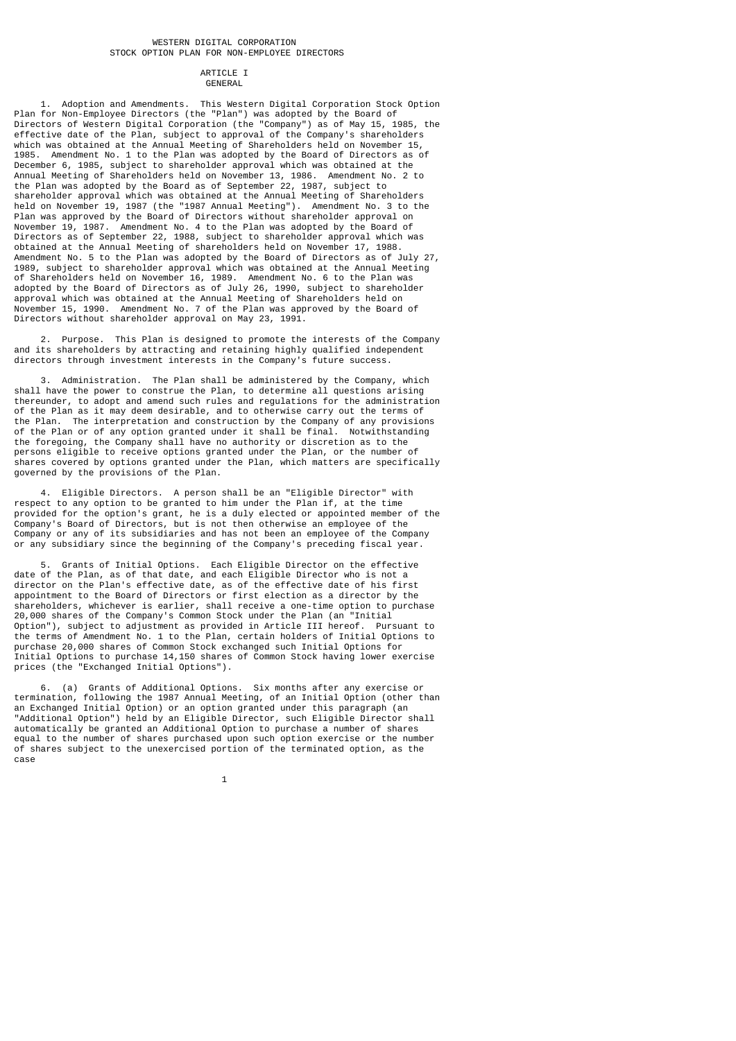### WESTERN DIGITAL CORPORATION STOCK OPTION PLAN FOR NON-EMPLOYEE DIRECTORS

#### ARTICLE I **GENERAL**

 1. Adoption and Amendments. This Western Digital Corporation Stock Option Plan for Non-Employee Directors (the "Plan") was adopted by the Board of Directors of Western Digital Corporation (the "Company") as of May 15, 1985, the effective date of the Plan, subject to approval of the Company's shareholders which was obtained at the Annual Meeting of Shareholders held on November 15, 1985. Amendment No. 1 to the Plan was adopted by the Board of Directors as of December 6, 1985, subject to shareholder approval which was obtained at the Annual Meeting of Shareholders held on November 13, 1986. Amendment No. 2 to the Plan was adopted by the Board as of September 22, 1987, subject to shareholder approval which was obtained at the Annual Meeting of Shareholders held on November 19, 1987 (the "1987 Annual Meeting"). Amendment No. 3 to the Plan was approved by the Board of Directors without shareholder approval on November 19, 1987. Amendment No. 4 to the Plan was adopted by the Board of Directors as of September 22, 1988, subject to shareholder approval which was obtained at the Annual Meeting of shareholders held on November 17, 1988. Amendment No. 5 to the Plan was adopted by the Board of Directors as of July 27, 1989, subject to shareholder approval which was obtained at the Annual Meeting of Shareholders held on November 16, 1989. Amendment No. 6 to the Plan was adopted by the Board of Directors as of July 26, 1990, subject to shareholder approval which was obtained at the Annual Meeting of Shareholders held on November 15, 1990. Amendment No. 7 of the Plan was approved by the Board of Directors without shareholder approval on May 23, 1991.

 2. Purpose. This Plan is designed to promote the interests of the Company and its shareholders by attracting and retaining highly qualified independent directors through investment interests in the Company's future success.

 3. Administration. The Plan shall be administered by the Company, which shall have the power to construe the Plan, to determine all questions arising thereunder, to adopt and amend such rules and regulations for the administration of the Plan as it may deem desirable, and to otherwise carry out the terms of the Plan. The interpretation and construction by the Company of any provisions of the Plan or of any option granted under it shall be final. Notwithstanding the foregoing, the Company shall have no authority or discretion as to the persons eligible to receive options granted under the Plan, or the number of shares covered by options granted under the Plan, which matters are specifically governed by the provisions of the Plan.

 4. Eligible Directors. A person shall be an "Eligible Director" with respect to any option to be granted to him under the Plan if, at the time provided for the option's grant, he is a duly elected or appointed member of the Company's Board of Directors, but is not then otherwise an employee of the Company or any of its subsidiaries and has not been an employee of the Company or any subsidiary since the beginning of the Company's preceding fiscal year.

Grants of Initial Options. Each Eligible Director on the effective date of the Plan, as of that date, and each Eligible Director who is not a director on the Plan's effective date, as of the effective date of his first appointment to the Board of Directors or first election as a director by the shareholders, whichever is earlier, shall receive a one-time option to purchase 20,000 shares of the Company's Common Stock under the Plan (an "Initial Option"), subject to adjustment as provided in Article III hereof. Pursuant to the terms of Amendment No. 1 to the Plan, certain holders of Initial Options to purchase 20,000 shares of Common Stock exchanged such Initial Options for Initial Options to purchase 14,150 shares of Common Stock having lower exercise prices (the "Exchanged Initial Options").

 6. (a) Grants of Additional Options. Six months after any exercise or termination, following the 1987 Annual Meeting, of an Initial Option (other than an Exchanged Initial Option) or an option granted under this paragraph (an "Additional Option") held by an Eligible Director, such Eligible Director shall automatically be granted an Additional Option to purchase a number of shares equal to the number of shares purchased upon such option exercise or the number of shares subject to the unexercised portion of the terminated option, as the case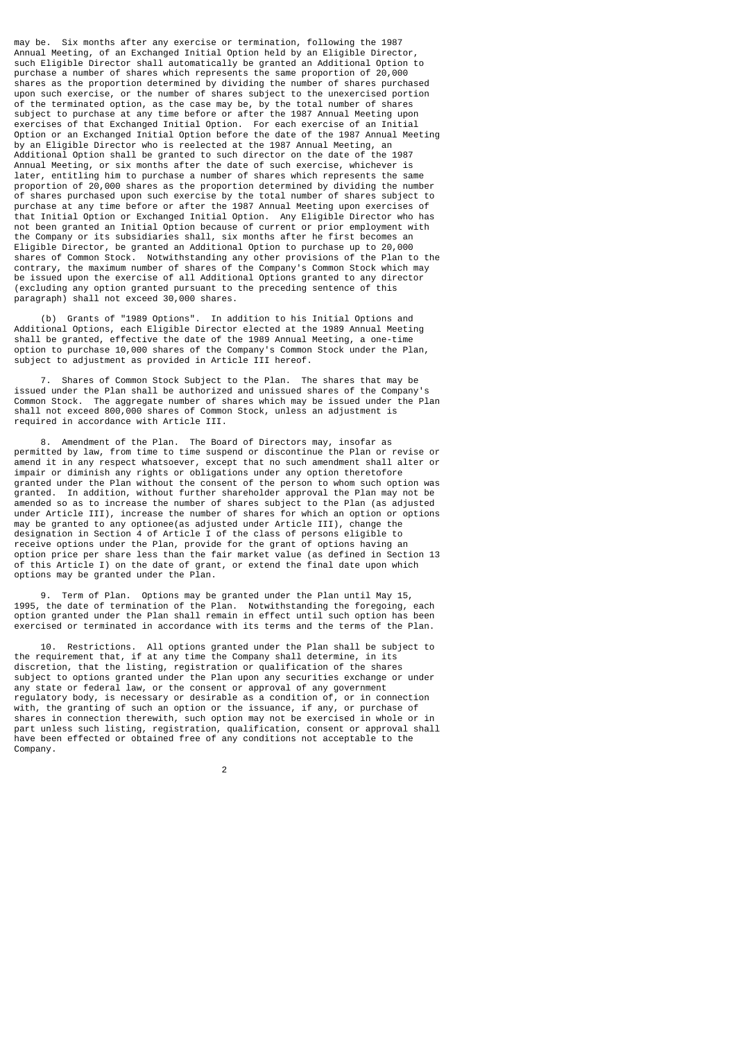may be. Six months after any exercise or termination, following the 1987 Annual Meeting, of an Exchanged Initial Option held by an Eligible Director, such Eligible Director shall automatically be granted an Additional Option to purchase a number of shares which represents the same proportion of 20,000 shares as the proportion determined by dividing the number of shares purchased upon such exercise, or the number of shares subject to the unexercised portion of the terminated option, as the case may be, by the total number of shares subject to purchase at any time before or after the 1987 Annual Meeting upon exercises of that Exchanged Initial Option. For each exercise of an Initial Option or an Exchanged Initial Option before the date of the 1987 Annual Meeting by an Eligible Director who is reelected at the 1987 Annual Meeting, an Additional Option shall be granted to such director on the date of the 1987 Annual Meeting, or six months after the date of such exercise, whichever is later, entitling him to purchase a number of shares which represents the same proportion of 20,000 shares as the proportion determined by dividing the number of shares purchased upon such exercise by the total number of shares subject to purchase at any time before or after the 1987 Annual Meeting upon exercises of that Initial Option or Exchanged Initial Option. Any Eligible Director who has not been granted an Initial Option because of current or prior employment with the Company or its subsidiaries shall, six months after he first becomes an Eligible Director, be granted an Additional Option to purchase up to 20,000 shares of Common Stock. Notwithstanding any other provisions of the Plan to the contrary, the maximum number of shares of the Company's Common Stock which may be issued upon the exercise of all Additional Options granted to any director (excluding any option granted pursuant to the preceding sentence of this paragraph) shall not exceed 30,000 shares.

 (b) Grants of "1989 Options". In addition to his Initial Options and Additional Options, each Eligible Director elected at the 1989 Annual Meeting shall be granted, effective the date of the 1989 Annual Meeting, a one-time option to purchase 10,000 shares of the Company's Common Stock under the Plan, subject to adjustment as provided in Article III hereof.

 7. Shares of Common Stock Subject to the Plan. The shares that may be issued under the Plan shall be authorized and unissued shares of the Company's Common Stock. The aggregate number of shares which may be issued under the Plan shall not exceed 800,000 shares of Common Stock, unless an adjustment is required in accordance with Article III.

Amendment of the Plan. The Board of Directors may, insofar as permitted by law, from time to time suspend or discontinue the Plan or revise or amend it in any respect whatsoever, except that no such amendment shall alter or impair or diminish any rights or obligations under any option theretofore granted under the Plan without the consent of the person to whom such option was granted. In addition, without further shareholder approval the Plan may not be amended so as to increase the number of shares subject to the Plan (as adjusted under Article III), increase the number of shares for which an option or options may be granted to any optionee(as adjusted under Article III), change the designation in Section 4 of Article I of the class of persons eligible to receive options under the Plan, provide for the grant of options having an option price per share less than the fair market value (as defined in Section 13 of this Article I) on the date of grant, or extend the final date upon which options may be granted under the Plan.

 9. Term of Plan. Options may be granted under the Plan until May 15, 1995, the date of termination of the Plan. Notwithstanding the foregoing, each option granted under the Plan shall remain in effect until such option has been exercised or terminated in accordance with its terms and the terms of the Plan.

 10. Restrictions. All options granted under the Plan shall be subject to the requirement that, if at any time the Company shall determine, in its discretion, that the listing, registration or qualification of the shares subject to options granted under the Plan upon any securities exchange or under any state or federal law, or the consent or approval of any government regulatory body, is necessary or desirable as a condition of, or in connection with, the granting of such an option or the issuance, if any, or purchase of shares in connection therewith, such option may not be exercised in whole or in part unless such listing, registration, qualification, consent or approval shall have been effected or obtained free of any conditions not acceptable to the Company.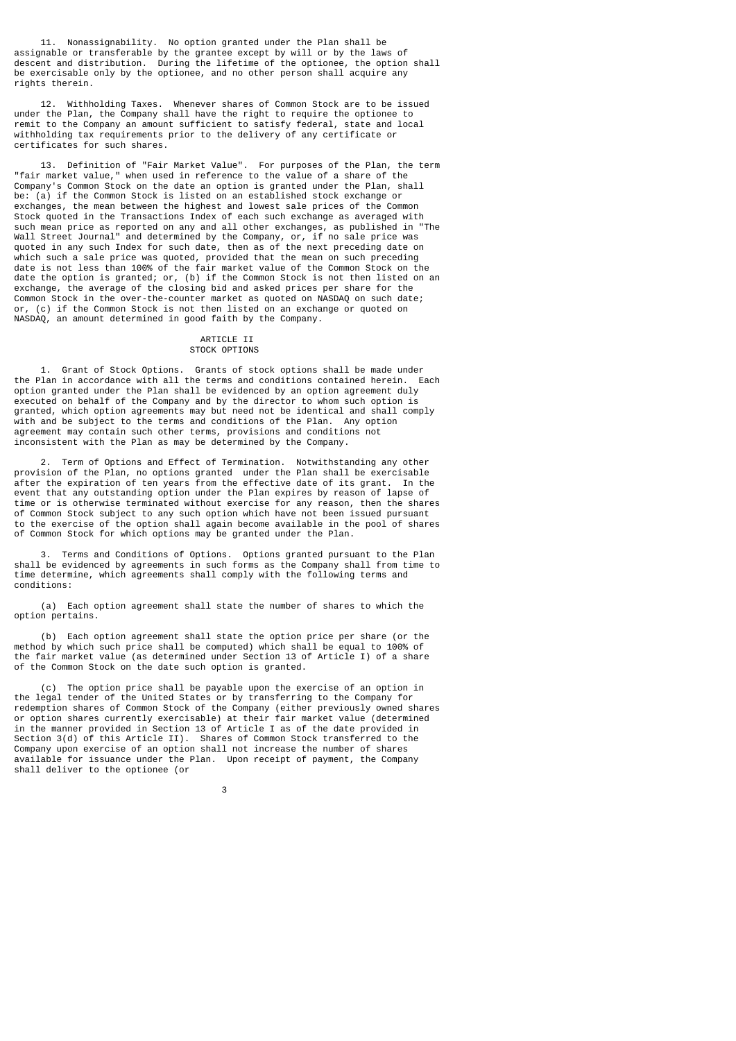11. Nonassignability. No option granted under the Plan shall be assignable or transferable by the grantee except by will or by the laws of descent and distribution. During the lifetime of the optionee, the option shall be exercisable only by the optionee, and no other person shall acquire any rights therein.

 12. Withholding Taxes. Whenever shares of Common Stock are to be issued under the Plan, the Company shall have the right to require the optionee to remit to the Company an amount sufficient to satisfy federal, state and local withholding tax requirements prior to the delivery of any certificate or certificates for such shares.

 13. Definition of "Fair Market Value". For purposes of the Plan, the term "fair market value," when used in reference to the value of a share of the Company's Common Stock on the date an option is granted under the Plan, shall be: (a) if the Common Stock is listed on an established stock exchange or exchanges, the mean between the highest and lowest sale prices of the Common Stock quoted in the Transactions Index of each such exchange as averaged with such mean price as reported on any and all other exchanges, as published in "The Wall Street Journal" and determined by the Company, or, if no sale price was quoted in any such Index for such date, then as of the next preceding date on which such a sale price was quoted, provided that the mean on such preceding date is not less than 100% of the fair market value of the Common Stock on the date the option is granted; or, (b) if the Common Stock is not then listed on an exchange, the average of the closing bid and asked prices per share for the Common Stock in the over-the-counter market as quoted on NASDAQ on such date; or, (c) if the Common Stock is not then listed on an exchange or quoted on NASDAQ, an amount determined in good faith by the Company.

## ARTICLE II

## STOCK OPTIONS

 1. Grant of Stock Options. Grants of stock options shall be made under the Plan in accordance with all the terms and conditions contained herein. Each option granted under the Plan shall be evidenced by an option agreement duly executed on behalf of the Company and by the director to whom such option is granted, which option agreements may but need not be identical and shall comply with and be subject to the terms and conditions of the Plan. Any option agreement may contain such other terms, provisions and conditions not inconsistent with the Plan as may be determined by the Company.

 2. Term of Options and Effect of Termination. Notwithstanding any other provision of the Plan, no options granted under the Plan shall be exercisable after the expiration of ten years from the effective date of its grant. In the event that any outstanding option under the Plan expires by reason of lapse of time or is otherwise terminated without exercise for any reason, then the shares of Common Stock subject to any such option which have not been issued pursuant to the exercise of the option shall again become available in the pool of shares of Common Stock for which options may be granted under the Plan.

 3. Terms and Conditions of Options. Options granted pursuant to the Plan shall be evidenced by agreements in such forms as the Company shall from time to time determine, which agreements shall comply with the following terms and conditions:

 (a) Each option agreement shall state the number of shares to which the option pertains.

 (b) Each option agreement shall state the option price per share (or the method by which such price shall be computed) which shall be equal to 100% of the fair market value (as determined under Section 13 of Article I) of a share of the Common Stock on the date such option is granted.

 (c) The option price shall be payable upon the exercise of an option in the legal tender of the United States or by transferring to the Company for redemption shares of Common Stock of the Company (either previously owned shares or option shares currently exercisable) at their fair market value (determined in the manner provided in Section 13 of Article I as of the date provided in Section 3(d) of this Article II). Shares of Common Stock transferred to the Company upon exercise of an option shall not increase the number of shares available for issuance under the Plan. Upon receipt of payment, the Company shall deliver to the optionee (or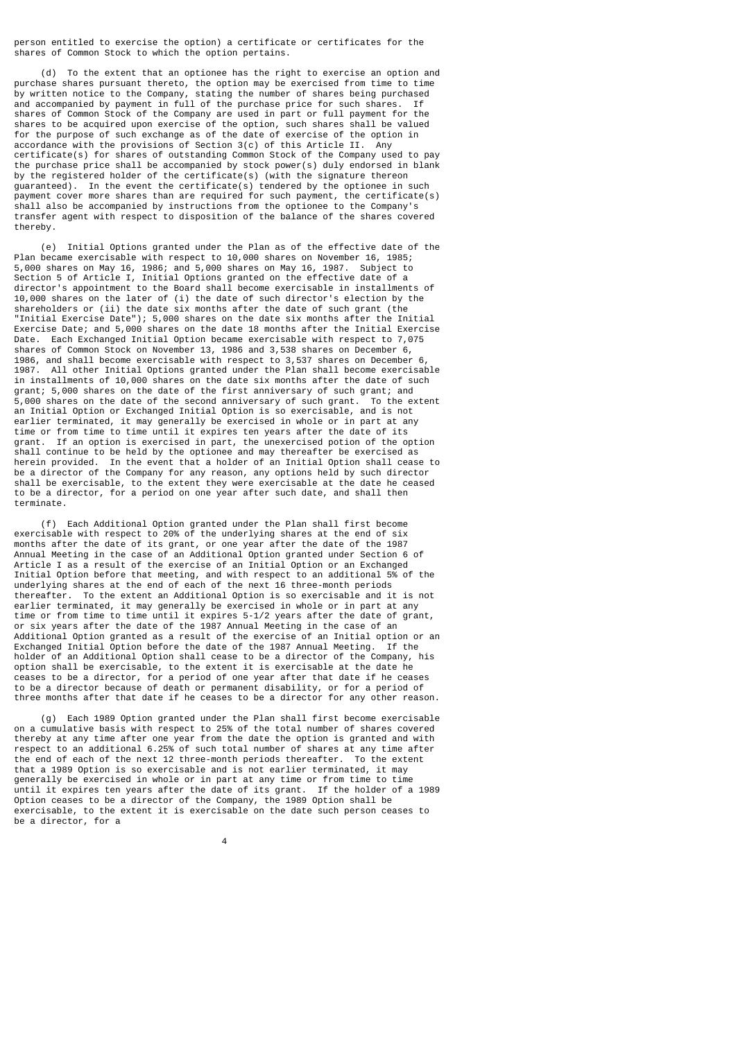person entitled to exercise the option) a certificate or certificates for the shares of Common Stock to which the option pertains.

 (d) To the extent that an optionee has the right to exercise an option and purchase shares pursuant thereto, the option may be exercised from time to time by written notice to the Company, stating the number of shares being purchased and accompanied by payment in full of the purchase price for such shares. If shares of Common Stock of the Company are used in part or full payment for the shares to be acquired upon exercise of the option, such shares shall be valued for the purpose of such exchange as of the date of exercise of the option in accordance with the provisions of Section 3(c) of this Article II. Any certificate(s) for shares of outstanding Common Stock of the Company used to pay the purchase price shall be accompanied by stock power(s) duly endorsed in blank by the registered holder of the certificate(s) (with the signature thereon guaranteed). In the event the certificate(s) tendered by the optionee in such payment cover more shares than are required for such payment, the certificate(s) shall also be accompanied by instructions from the optionee to the Company's transfer agent with respect to disposition of the balance of the shares covered thereby.

 (e) Initial Options granted under the Plan as of the effective date of the Plan became exercisable with respect to 10,000 shares on November 16, 1985; 5,000 shares on May 16, 1986; and 5,000 shares on May 16, 1987. Subject to Section 5 of Article I, Initial Options granted on the effective date of a director's appointment to the Board shall become exercisable in installments of 10,000 shares on the later of (i) the date of such director's election by the shareholders or (ii) the date six months after the date of such grant (the "Initial Exercise Date"); 5,000 shares on the date six months after the Initial Exercise Date; and 5,000 shares on the date 18 months after the Initial Exercise Date. Each Exchanged Initial Option became exercisable with respect to 7,075 shares of Common Stock on November 13, 1986 and 3,538 shares on December 6, 1986, and shall become exercisable with respect to 3,537 shares on December 6, 1987. All other Initial Options granted under the Plan shall become exercisable in installments of 10,000 shares on the date six months after the date of such grant; 5,000 shares on the date of the first anniversary of such grant; and 5,000 shares on the date of the second anniversary of such grant. To the extent an Initial Option or Exchanged Initial Option is so exercisable, and is not earlier terminated, it may generally be exercised in whole or in part at any time or from time to time until it expires ten years after the date of its grant. If an option is exercised in part, the unexercised potion of the option shall continue to be held by the optionee and may thereafter be exercised as herein provided. In the event that a holder of an Initial Option shall cease to be a director of the Company for any reason, any options held by such director shall be exercisable, to the extent they were exercisable at the date he ceased to be a director, for a period on one year after such date, and shall then terminate.

 (f) Each Additional Option granted under the Plan shall first become exercisable with respect to 20% of the underlying shares at the end of six months after the date of its grant, or one year after the date of the 1987 Annual Meeting in the case of an Additional Option granted under Section 6 of Article I as a result of the exercise of an Initial Option or an Exchanged Initial Option before that meeting, and with respect to an additional 5% of the underlying shares at the end of each of the next 16 three-month periods thereafter. To the extent an Additional Option is so exercisable and it is not earlier terminated, it may generally be exercised in whole or in part at any time or from time to time until it expires 5-1/2 years after the date of grant, or six years after the date of the 1987 Annual Meeting in the case of an Additional Option granted as a result of the exercise of an Initial option or an Exchanged Initial Option before the date of the 1987 Annual Meeting. If the holder of an Additional Option shall cease to be a director of the Company, his option shall be exercisable, to the extent it is exercisable at the date he ceases to be a director, for a period of one year after that date if he ceases to be a director because of death or permanent disability, or for a period of three months after that date if he ceases to be a director for any other reason.

 (g) Each 1989 Option granted under the Plan shall first become exercisable on a cumulative basis with respect to 25% of the total number of shares covered thereby at any time after one year from the date the option is granted and with respect to an additional 6.25% of such total number of shares at any time after the end of each of the next 12 three-month periods thereafter. To the extent that a 1989 Option is so exercisable and is not earlier terminated, it may generally be exercised in whole or in part at any time or from time to time until it expires ten years after the date of its grant. If the holder of a 1989 Option ceases to be a director of the Company, the 1989 Option shall be exercisable, to the extent it is exercisable on the date such person ceases to be a director, for a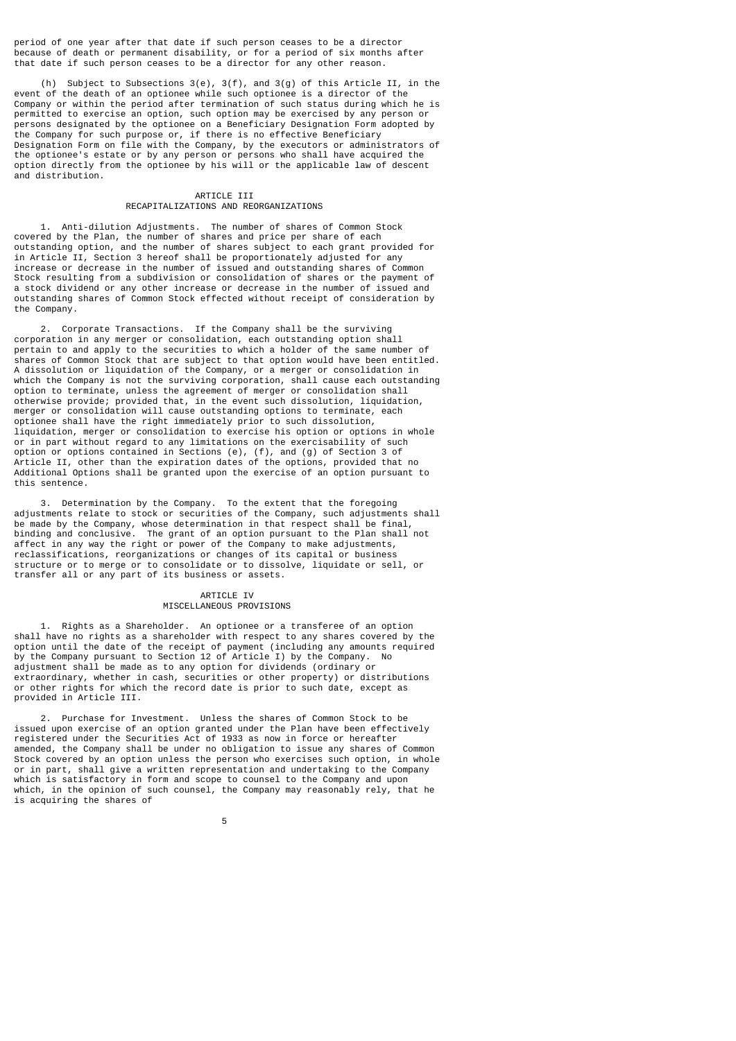period of one year after that date if such person ceases to be a director because of death or permanent disability, or for a period of six months after that date if such person ceases to be a director for any other reason.

Subject to Subsections  $3(e)$ ,  $3(f)$ , and  $3(g)$  of this Article II, in the event of the death of an optionee while such optionee is a director of the Company or within the period after termination of such status during which he is permitted to exercise an option, such option may be exercised by any person or persons designated by the optionee on a Beneficiary Designation Form adopted by the Company for such purpose or, if there is no effective Beneficiary Designation Form on file with the Company, by the executors or administrators of the optionee's estate or by any person or persons who shall have acquired the option directly from the optionee by his will or the applicable law of descent and distribution.

# ARTICLE III RECAPITALIZATIONS AND REORGANIZATIONS

 1. Anti-dilution Adjustments. The number of shares of Common Stock covered by the Plan, the number of shares and price per share of each outstanding option, and the number of shares subject to each grant provided for in Article II, Section 3 hereof shall be proportionately adjusted for any increase or decrease in the number of issued and outstanding shares of Common Stock resulting from a subdivision or consolidation of shares or the payment of a stock dividend or any other increase or decrease in the number of issued and outstanding shares of Common Stock effected without receipt of consideration by the Company.

 2. Corporate Transactions. If the Company shall be the surviving corporation in any merger or consolidation, each outstanding option shall pertain to and apply to the securities to which a holder of the same number of shares of Common Stock that are subject to that option would have been entitled. A dissolution or liquidation of the Company, or a merger or consolidation in which the Company is not the surviving corporation, shall cause each outstanding option to terminate, unless the agreement of merger or consolidation shall otherwise provide; provided that, in the event such dissolution, liquidation, merger or consolidation will cause outstanding options to terminate, each optionee shall have the right immediately prior to such dissolution, liquidation, merger or consolidation to exercise his option or options in whole or in part without regard to any limitations on the exercisability of such option or options contained in Sections (e), (f), and (g) of Section 3 of Article II, other than the expiration dates of the options, provided that no Additional Options shall be granted upon the exercise of an option pursuant to this sentence.

 3. Determination by the Company. To the extent that the foregoing adjustments relate to stock or securities of the Company, such adjustments shall be made by the Company, whose determination in that respect shall be final, binding and conclusive. The grant of an option pursuant to the Plan shall not affect in any way the right or power of the Company to make adjustments, reclassifications, reorganizations or changes of its capital or business structure or to merge or to consolidate or to dissolve, liquidate or sell, or transfer all or any part of its business or assets.

#### ARTICLE IV MISCELLANEOUS PROVISIONS

 1. Rights as a Shareholder. An optionee or a transferee of an option shall have no rights as a shareholder with respect to any shares covered by the option until the date of the receipt of payment (including any amounts required by the Company pursuant to Section 12 of Article I) by the Company. No adjustment shall be made as to any option for dividends (ordinary or extraordinary, whether in cash, securities or other property) or distributions or other rights for which the record date is prior to such date, except as provided in Article III.

 2. Purchase for Investment. Unless the shares of Common Stock to be issued upon exercise of an option granted under the Plan have been effectively registered under the Securities Act of 1933 as now in force or hereafter amended, the Company shall be under no obligation to issue any shares of Common Stock covered by an option unless the person who exercises such option, in whole or in part, shall give a written representation and undertaking to the Company which is satisfactory in form and scope to counsel to the Company and upon which, in the opinion of such counsel, the Company may reasonably rely, that he is acquiring the shares of

the contract of the contract of the contract of the contract of the contract of the contract of the contract o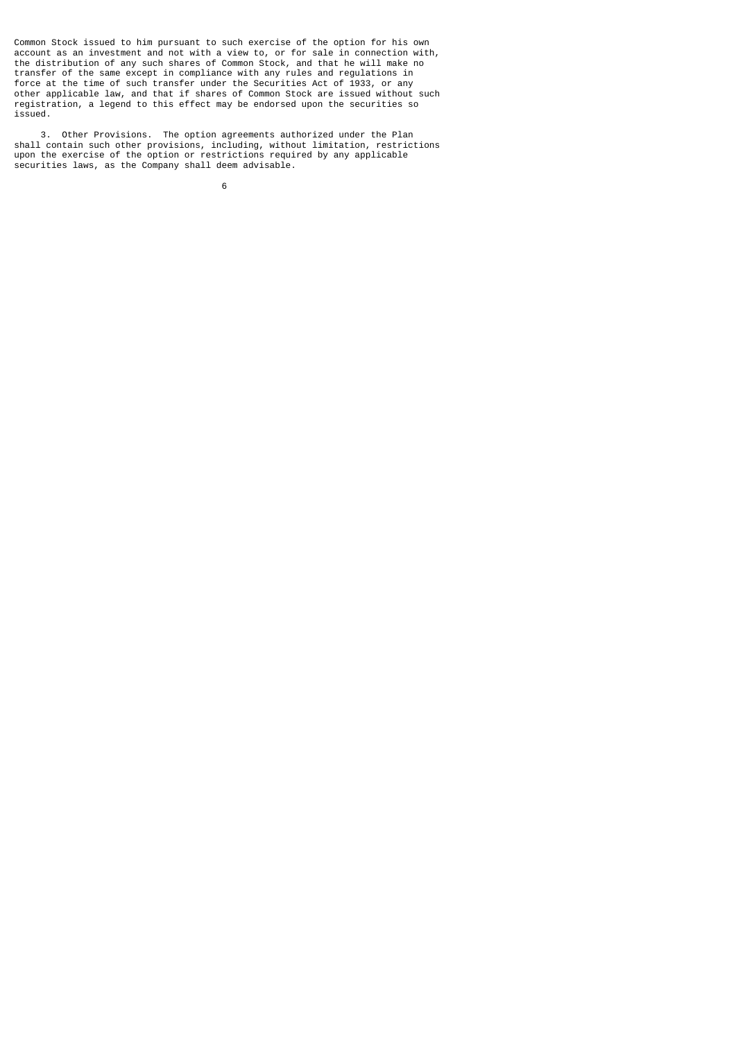Common Stock issued to him pursuant to such exercise of the option for his own account as an investment and not with a view to, or for sale in connection with, the distribution of any such shares of Common Stock, and that he will make no transfer of the same except in compliance with any rules and regulations in force at the time of such transfer under the Securities Act of 1933, or any other applicable law, and that if shares of Common Stock are issued without such registration, a legend to this effect may be endorsed upon the securities so issued.

 3. Other Provisions. The option agreements authorized under the Plan shall contain such other provisions, including, without limitation, restrictions upon the exercise of the option or restrictions required by any applicable securities laws, as the Company shall deem advisable.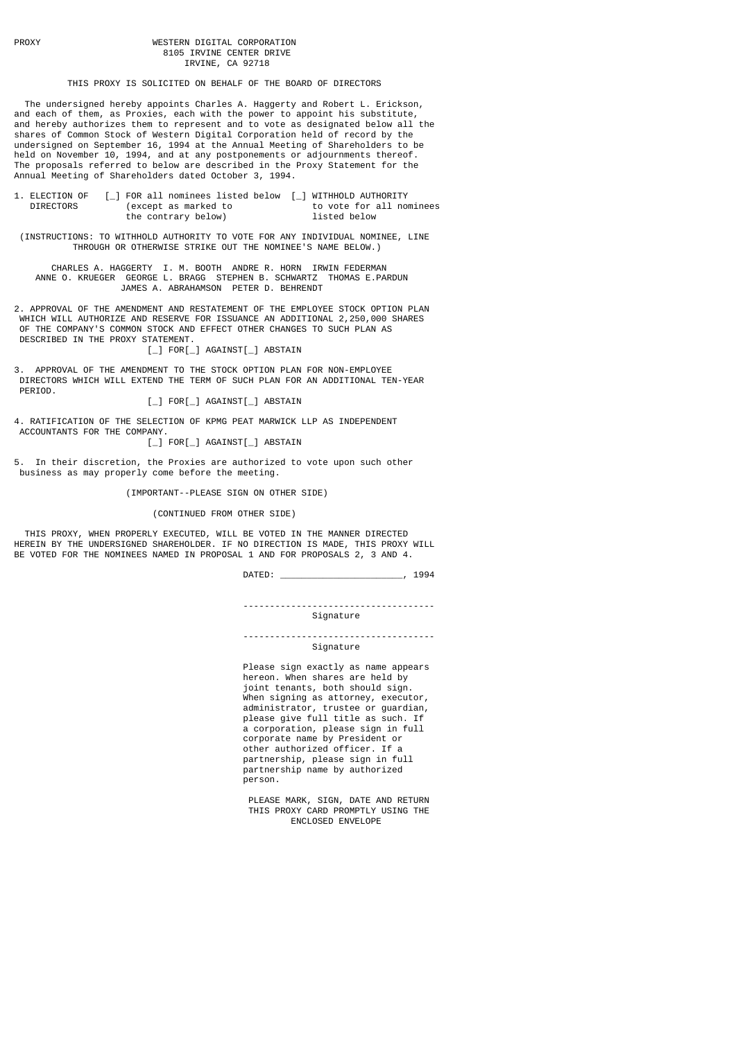## PROXY WESTERN DIGITAL CORPORATION 8105 IRVINE CENTER DRIVE IRVINE, CA 92718

THIS PROXY IS SOLICITED ON BEHALF OF THE BOARD OF DIRECTORS

 The undersigned hereby appoints Charles A. Haggerty and Robert L. Erickson, and each of them, as Proxies, each with the power to appoint his substitute, and hereby authorizes them to represent and to vote as designated below all the shares of Common Stock of Western Digital Corporation held of record by the undersigned on September 16, 1994 at the Annual Meeting of Shareholders to be held on November 10, 1994, and at any postponements or adjournments thereof. The proposals referred to below are described in the Proxy Statement for the Annual Meeting of Shareholders dated October 3, 1994.

| 1. ELECTION OF | [ ] FOR all nominees listed below [ ] WITHHOLD AUTHORITY |                          |
|----------------|----------------------------------------------------------|--------------------------|
| DIRECTORS      | (except as marked to                                     | to vote for all nominees |
|                | the contrary below)                                      | listed below             |

 (INSTRUCTIONS: TO WITHHOLD AUTHORITY TO VOTE FOR ANY INDIVIDUAL NOMINEE, LINE THROUGH OR OTHERWISE STRIKE OUT THE NOMINEE'S NAME BELOW.)

 CHARLES A. HAGGERTY I. M. BOOTH ANDRE R. HORN IRWIN FEDERMAN ANNE O. KRUEGER GEORGE L. BRAGG STEPHEN B. SCHWARTZ THOMAS E.PARDUN JAMES A. ABRAHAMSON PETER D. BEHRENDT

2. APPROVAL OF THE AMENDMENT AND RESTATEMENT OF THE EMPLOYEE STOCK OPTION PLAN WHICH WILL AUTHORIZE AND RESERVE FOR ISSUANCE AN ADDITIONAL 2,250,000 SHARES OF THE COMPANY'S COMMON STOCK AND EFFECT OTHER CHANGES TO SUCH PLAN AS DESCRIBED IN THE PROXY STATEMENT.

[\_] FOR[\_] AGAINST[\_] ABSTAIN

3. APPROVAL OF THE AMENDMENT TO THE STOCK OPTION PLAN FOR NON-EMPLOYEE DIRECTORS WHICH WILL EXTEND THE TERM OF SUCH PLAN FOR AN ADDITIONAL TEN-YEAR PERIOD.

[\_] FOR[\_] AGAINST[\_] ABSTAIN

4. RATIFICATION OF THE SELECTION OF KPMG PEAT MARWICK LLP AS INDEPENDENT ACCOUNTANTS FOR THE COMPANY.

.......<br>[ ] FOR[ ] AGAINST[ ] ABSTAIN

5. In their discretion, the Proxies are authorized to vote upon such other business as may properly come before the meeting.

(IMPORTANT--PLEASE SIGN ON OTHER SIDE)

(CONTINUED FROM OTHER SIDE)

 THIS PROXY, WHEN PROPERLY EXECUTED, WILL BE VOTED IN THE MANNER DIRECTED HEREIN BY THE UNDERSIGNED SHAREHOLDER. IF NO DIRECTION IS MADE, THIS PROXY WILL BE VOTED FOR THE NOMINEES NAMED IN PROPOSAL 1 AND FOR PROPOSALS 2, 3 AND 4.

DATED: \_\_\_\_\_\_\_\_\_\_\_\_\_\_\_\_\_\_\_\_\_\_\_, 1994

 ------------------------------------ Signature

 ------------------------------------ Signature

 Please sign exactly as name appears hereon. When shares are held by joint tenants, both should sign. When signing as attorney, executor, administrator, trustee or guardian, please give full title as such. If a corporation, please sign in full corporate name by President or other authorized officer. If a partnership, please sign in full partnership name by authorized .<br>person

> PLEASE MARK, SIGN, DATE AND RETURN THIS PROXY CARD PROMPTLY USING THE ENCLOSED ENVELOPE